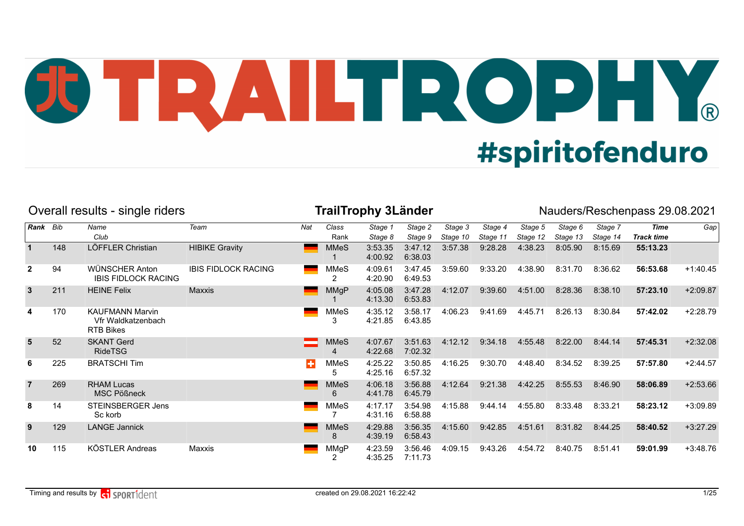## JU TRAILTROPHY. **#spiritofenduro**

|                |     | Overall results - single riders                                  |                            |     |                   | <b>TrailTrophy 3Länder</b> |                    |                     |                     |                     |                     |                     | Nauders/Reschenpass 29.08.2021 |            |
|----------------|-----|------------------------------------------------------------------|----------------------------|-----|-------------------|----------------------------|--------------------|---------------------|---------------------|---------------------|---------------------|---------------------|--------------------------------|------------|
| Rank Bib       |     | Name<br>Club                                                     | Team                       | Nat | Class<br>Rank     | Stage 1<br>Stage 8         | Stage 2<br>Stage 9 | Stage 3<br>Stage 10 | Stage 4<br>Stage 11 | Stage 5<br>Stage 12 | Stage 6<br>Stage 13 | Stage 7<br>Stage 14 | Time<br><b>Track time</b>      | Gap        |
|                | 148 | LÖFFLER Christian                                                | <b>HIBIKE Gravity</b>      |     | <b>MMeS</b>       | 3:53.35<br>4:00.92         | 3:47.12<br>6:38.03 | 3:57.38             | 9:28.28             | 4:38.23             | 8:05.90             | 8:15.69             | 55:13.23                       |            |
| $\overline{2}$ | 94  | WÜNSCHER Anton<br><b>IBIS FIDLOCK RACING</b>                     | <b>IBIS FIDLOCK RACING</b> |     | MMeS<br>2         | 4:09.61<br>4:20.90         | 3:47.45<br>6:49.53 | 3:59.60             | 9:33.20             | 4:38.90             | 8:31.70             | 8:36.62             | 56:53.68                       | $+1:40.45$ |
| $\mathbf{3}$   | 211 | <b>HEINE Felix</b>                                               | Maxxis                     |     | <b>MMgP</b>       | 4:05.08<br>4:13.30         | 3:47.28<br>6:53.83 | 4:12.07             | 9:39.60             | 4:51.00             | 8:28.36             | 8:38.10             | 57:23.10                       | $+2:09.87$ |
| 4              | 170 | <b>KAUFMANN Marvin</b><br>Vfr Waldkatzenbach<br><b>RTB Bikes</b> |                            |     | <b>MMeS</b><br>3  | 4:35.12<br>4:21.85         | 3:58.17<br>6:43.85 | 4:06.23             | 9:41.69             | 4:45.71             | 8:26.13             | 8:30.84             | 57:42.02                       | $+2:28.79$ |
| $5\phantom{1}$ | 52  | <b>SKANT Gerd</b><br><b>RideTSG</b>                              |                            |     | <b>MMeS</b><br>4  | 4:07.67<br>4:22.68         | 3:51.63<br>7:02.32 | 4:12.12             | 9:34.18             | 4:55.48             | 8:22.00             | 8:44.14             | 57:45.31                       | $+2:32.08$ |
| 6              | 225 | <b>BRATSCHI Tim</b>                                              |                            | н   | <b>MMeS</b><br>5. | 4:25.22<br>4:25.16         | 3:50.85<br>6:57.32 | 4:16.25             | 9:30.70             | 4:48.40             | 8:34.52             | 8:39.25             | 57:57.80                       | $+2:44.57$ |
| $\overline{7}$ | 269 | <b>RHAM Lucas</b><br><b>MSC Pößneck</b>                          |                            |     | <b>MMeS</b><br>6  | 4:06.18<br>4:41.78         | 3:56.88<br>6:45.79 | 4:12.64             | 9:21.38             | 4:42.25             | 8:55.53             | 8:46.90             | 58:06.89                       | $+2:53.66$ |
| 8              | 14  | STEINSBERGER Jens<br>Sc korb                                     |                            |     | <b>MMeS</b>       | 4:17.17<br>4:31.16         | 3:54.98<br>6:58.88 | 4:15.88             | 9:44.14             | 4:55.80             | 8:33.48             | 8:33.21             | 58:23.12                       | $+3:09.89$ |
| 9              | 129 | <b>LANGE Jannick</b>                                             |                            |     | <b>MMeS</b><br>8  | 4:29.88<br>4:39.19         | 3:56.35<br>6:58.43 | 4:15.60             | 9:42.85             | 4:51.61             | 8:31.82             | 8:44.25             | 58:40.52                       | $+3:27.29$ |
| 10             | 115 | KÖSTLER Andreas                                                  | Maxxis                     |     | MMgP              | 4:23.59<br>4:35.25         | 3:56.46<br>7:11.73 | 4:09.15             | 9:43.26             | 4:54.72             | 8:40.75             | 8:51.41             | 59:01.99                       | $+3:48.76$ |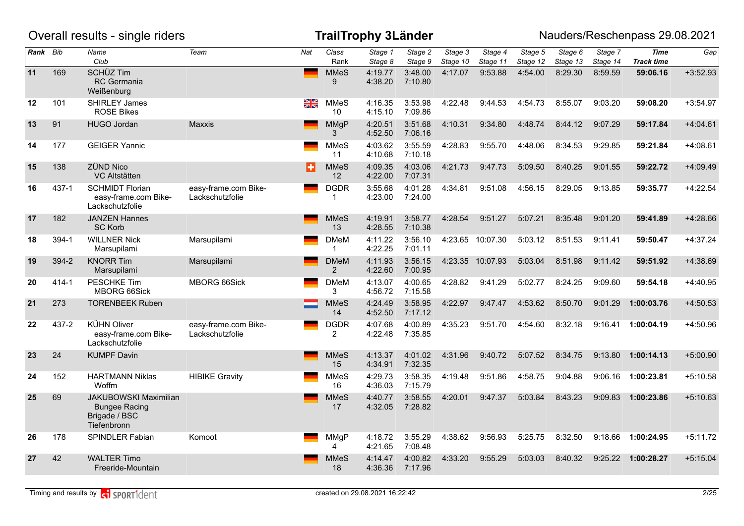|          |       | Overall results - single riders                                                      |                                         |                 |                                | <b>TrailTrophy 3Länder</b> |                    |                     |                     |                     |                     |                     | Nauders/Reschenpass 29.08.2021   |            |
|----------|-------|--------------------------------------------------------------------------------------|-----------------------------------------|-----------------|--------------------------------|----------------------------|--------------------|---------------------|---------------------|---------------------|---------------------|---------------------|----------------------------------|------------|
| Rank Bib |       | Name<br>Club                                                                         | Team                                    | Nat             | Class<br>Rank                  | Stage 1<br>Stage 8         | Stage 2<br>Stage 9 | Stage 3<br>Stage 10 | Stage 4<br>Stage 11 | Stage 5<br>Stage 12 | Stage 6<br>Stage 13 | Stage 7<br>Stage 14 | <b>Time</b><br><b>Track time</b> | Gap        |
| 11       | 169   | <b>SCHÜZ Tim</b><br><b>RC</b> Germania<br>Weißenburg                                 |                                         | <b>Contract</b> | <b>MMeS</b><br>9               | 4:19.77<br>4:38.20         | 3:48.00<br>7:10.80 | 4:17.07             | 9:53.88             | 4:54.00             | 8:29.30             | 8:59.59             | 59:06.16                         | $+3:52.93$ |
| $12 \,$  | 101   | <b>SHIRLEY James</b><br><b>ROSE Bikes</b>                                            |                                         | $\frac{N}{N}$   | <b>MMeS</b><br>10 <sup>°</sup> | 4:16.35<br>4:15.10         | 3:53.98<br>7:09.86 | 4:22.48             | 9:44.53             | 4:54.73             | 8:55.07             | 9:03.20             | 59:08.20                         | $+3:54.97$ |
| 13       | 91    | <b>HUGO Jordan</b>                                                                   | <b>Maxxis</b>                           |                 | <b>MMgP</b><br>3               | 4:20.51<br>4:52.50         | 3:51.68<br>7:06.16 | 4:10.31             | 9:34.80             | 4:48.74             | 8:44.12             | 9:07.29             | 59:17.84                         | $+4:04.61$ |
| 14       | 177   | <b>GEIGER Yannic</b>                                                                 |                                         |                 | <b>MMeS</b><br>11              | 4:03.62<br>4:10.68         | 3:55.59<br>7:10.18 | 4:28.83             | 9:55.70             | 4:48.06             | 8:34.53             | 9:29.85             | 59:21.84                         | $+4:08.61$ |
| 15       | 138   | <b>ZÜND Nico</b><br>VC Altstätten                                                    |                                         | ŀ.              | <b>MMeS</b><br>12              | 4:09.35<br>4:22.00         | 4:03.06<br>7:07.31 | 4:21.73             | 9:47.73             | 5:09.50             | 8:40.25             | 9:01.55             | 59:22.72                         | $+4:09.49$ |
| 16       | 437-1 | <b>SCHMIDT Florian</b><br>easy-frame.com Bike-<br>Lackschutzfolie                    | easy-frame.com Bike-<br>Lackschutzfolie |                 | <b>DGDR</b><br>$\mathbf{1}$    | 3:55.68<br>4:23.00         | 4:01.28<br>7:24.00 | 4:34.81             | 9:51.08             | 4:56.15             | 8:29.05             | 9:13.85             | 59:35.77                         | $+4:22.54$ |
| 17       | 182   | <b>JANZEN Hannes</b><br><b>SC Korb</b>                                               |                                         |                 | <b>MMeS</b><br>13              | 4:19.91<br>4:28.55         | 3:58.77<br>7:10.38 | 4:28.54             | 9:51.27             | 5:07.21             | 8:35.48             | 9:01.20             | 59:41.89                         | $+4:28.66$ |
| 18       | 394-1 | <b>WILLNER Nick</b><br>Marsupilami                                                   | Marsupilami                             |                 | <b>DMeM</b><br>$\mathbf{1}$    | 4:11.22<br>4:22.25         | 3:56.10<br>7:01.11 |                     | 4:23.65 10:07.30    | 5:03.12             | 8:51.53             | 9:11.41             | 59:50.47                         | $+4:37.24$ |
| 19       | 394-2 | <b>KNORR Tim</b><br>Marsupilami                                                      | Marsupilami                             |                 | <b>DMeM</b><br>$\overline{2}$  | 4:11.93<br>4:22.60         | 3:56.15<br>7:00.95 |                     | 4:23.35 10:07.93    | 5:03.04             | 8:51.98             | 9:11.42             | 59:51.92                         | +4:38.69   |
| 20       | 414-1 | <b>PESCHKE Tim</b><br><b>MBORG 66Sick</b>                                            | MBORG 66Sick                            |                 | <b>DMeM</b><br>3               | 4:13.07<br>4:56.72         | 4:00.65<br>7:15.58 | 4:28.82             | 9:41.29             | 5:02.77             | 8:24.25             | 9:09.60             | 59:54.18                         | $+4:40.95$ |
| 21       | 273   | <b>TORENBEEK Ruben</b>                                                               |                                         |                 | <b>MMeS</b><br>14              | 4:24.49<br>4:52.50         | 3:58.95<br>7:17.12 | 4:22.97             | 9:47.47             | 4:53.62             | 8:50.70             | 9:01.29             | 1:00:03.76                       | $+4:50.53$ |
| 22       | 437-2 | <b>KÜHN Oliver</b><br>easy-frame.com Bike-<br>Lackschutzfolie                        | easy-frame.com Bike-<br>Lackschutzfolie |                 | <b>DGDR</b><br>$\overline{2}$  | 4:07.68<br>4:22.48         | 4:00.89<br>7:35.85 | 4:35.23             | 9:51.70             | 4:54.60             | 8:32.18             | 9:16.41             | 1:00:04.19                       | $+4:50.96$ |
| 23       | 24    | <b>KUMPF Davin</b>                                                                   |                                         |                 | <b>MMeS</b><br>15              | 4:13.37<br>4:34.91         | 4:01.02<br>7:32.35 | 4:31.96             | 9:40.72             | 5:07.52             | 8:34.75             | 9:13.80             | 1:00:14.13                       | $+5:00.90$ |
| 24       | 152   | <b>HARTMANN Niklas</b><br>Woffm                                                      | <b>HIBIKE Gravity</b>                   |                 | <b>MMeS</b><br>16              | 4:29.73<br>4:36.03         | 3:58.35<br>7:15.79 | 4:19.48             | 9:51.86             | 4:58.75             | 9:04.88             | 9:06.16             | 1:00:23.81                       | $+5:10.58$ |
| 25       | 69    | <b>JAKUBOWSKI Maximilian</b><br><b>Bungee Racing</b><br>Brigade / BSC<br>Tiefenbronn |                                         |                 | <b>MMeS</b><br>17              | 4:40.77<br>4:32.05         | 3:58.55<br>7:28.82 | 4:20.01             | 9:47.37             | 5:03.84             | 8:43.23             | 9:09.83             | 1:00:23.86                       | $+5:10.63$ |
| 26       | 178   | SPINDLER Fabian                                                                      | Komoot                                  |                 | <b>MMgP</b><br>4               | 4:18.72<br>4:21.65         | 3:55.29<br>7:08.48 | 4:38.62             | 9:56.93             | 5:25.75             | 8:32.50             | 9:18.66             | 1:00:24.95                       | $+5:11.72$ |
| 27       | 42    | <b>WALTER Timo</b><br>Freeride-Mountain                                              |                                         |                 | <b>MMeS</b><br>18              | 4:14.47<br>4:36.36         | 4:00.82<br>7:17.96 | 4:33.20             | 9:55.29             | 5:03.03             | 8:40.32             | 9:25.22             | 1:00:28.27                       | $+5:15.04$ |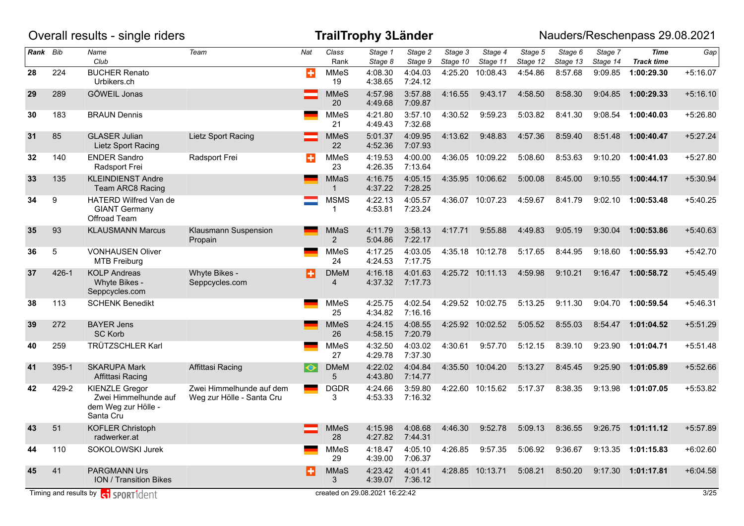|          |       | Overall results - single riders                                                   |                                                       |                 |                        | <b>TrailTrophy 3Länder</b>     |                    |                     |                     |                     |                     |                     | Nauders/Reschenpass 29.08.2021   |            |
|----------|-------|-----------------------------------------------------------------------------------|-------------------------------------------------------|-----------------|------------------------|--------------------------------|--------------------|---------------------|---------------------|---------------------|---------------------|---------------------|----------------------------------|------------|
| Rank Bib |       | Name<br>Club                                                                      | Team                                                  | Nat             | Class<br>Rank          | Stage 1<br>Stage 8             | Stage 2<br>Stage 9 | Stage 3<br>Stage 10 | Stage 4<br>Stage 11 | Stage 5<br>Stage 12 | Stage 6<br>Stage 13 | Stage 7<br>Stage 14 | <b>Time</b><br><b>Track time</b> | Gap        |
| 28       | 224   | <b>BUCHER Renato</b><br>Urbikers.ch                                               |                                                       | ÷               | <b>MMeS</b><br>19      | 4:08.30<br>4:38.65             | 4:04.03<br>7:24.12 | 4:25.20             | 10:08.43            | 4:54.86             | 8:57.68             | 9:09.85             | 1:00:29.30                       | $+5:16.07$ |
| 29       | 289   | GÖWEIL Jonas                                                                      |                                                       |                 | <b>MMeS</b><br>20      | 4:57.98<br>4:49.68             | 3:57.88<br>7:09.87 | 4:16.55             | 9:43.17             | 4:58.50             | 8:58.30             | 9:04.85             | 1:00:29.33                       | $+5:16.10$ |
| 30       | 183   | <b>BRAUN Dennis</b>                                                               |                                                       |                 | <b>MMeS</b><br>21      | 4:21.80<br>4:49.43             | 3:57.10<br>7:32.68 | 4:30.52             | 9:59.23             | 5:03.82             | 8:41.30             | 9:08.54             | 1:00:40.03                       | $+5:26.80$ |
| 31       | 85    | <b>GLASER Julian</b><br>Lietz Sport Racing                                        | Lietz Sport Racing                                    |                 | <b>MMeS</b><br>22      | 5:01.37<br>4:52.36             | 4:09.95<br>7:07.93 | 4:13.62             | 9:48.83             | 4:57.36             | 8:59.40             | 8:51.48             | 1:00:40.47                       | $+5:27.24$ |
| 32       | 140   | <b>ENDER Sandro</b><br>Radsport Frei                                              | Radsport Frei                                         | ÷               | <b>MMeS</b><br>23      | 4:19.53<br>4:26.35             | 4:00.00<br>7:13.64 | 4:36.05             | 10:09.22            | 5:08.60             | 8:53.63             | 9:10.20             | 1:00:41.03                       | $+5:27.80$ |
| 33       | 135   | <b>KLEINDIENST Andre</b><br>Team ARC8 Racing                                      |                                                       |                 | <b>MMaS</b><br>1       | 4:16.75<br>4:37.22             | 4:05.15<br>7:28.25 |                     | 4:35.95 10:06.62    | 5:00.08             | 8:45.00             | 9:10.55             | 1:00:44.17                       | $+5:30.94$ |
| 34       | 9     | HATERD Wilfred Van de<br><b>GIANT Germany</b><br>Offroad Team                     |                                                       |                 | <b>MSMS</b><br>1       | 4:22.13<br>4:53.81             | 4:05.57<br>7:23.24 | 4:36.07             | 10:07.23            | 4:59.67             | 8:41.79             | 9:02.10             | 1:00:53.48                       | $+5:40.25$ |
| 35       | 93    | <b>KLAUSMANN Marcus</b>                                                           | Klausmann Suspension<br>Propain                       |                 | MMaS<br>$\overline{2}$ | 4:11.79<br>5:04.86             | 3:58.13<br>7:22.17 | 4:17.71             | 9:55.88             | 4:49.83             | 9:05.19             | 9:30.04             | 1:00:53.86                       | $+5:40.63$ |
| 36       | 5     | <b>VONHAUSEN Oliver</b><br><b>MTB Freiburg</b>                                    |                                                       |                 | <b>MMeS</b><br>24      | 4:17.25<br>4:24.53             | 4:03.05<br>7:17.75 | 4:35.18             | 10:12.78            | 5:17.65             | 8:44.95             | 9:18.60             | 1:00:55.93                       | $+5:42.70$ |
| 37       | 426-1 | <b>KOLP Andreas</b><br>Whyte Bikes -<br>Seppcycles.com                            | Whyte Bikes -<br>Seppcycles.com                       | ÷               | <b>DMeM</b><br>4       | 4:16.18<br>4:37.32             | 4:01.63<br>7:17.73 |                     | 4:25.72 10:11.13    | 4:59.98             | 9:10.21             | 9:16.47             | 1:00:58.72                       | $+5:45.49$ |
| 38       | 113   | <b>SCHENK Benedikt</b>                                                            |                                                       |                 | <b>MMeS</b><br>25      | 4:25.75<br>4:34.82             | 4:02.54<br>7:16.16 |                     | 4:29.52 10:02.75    | 5:13.25             | 9:11.30             | 9:04.70             | 1:00:59.54                       | $+5:46.31$ |
| 39       | 272   | <b>BAYER Jens</b><br><b>SC Korb</b>                                               |                                                       |                 | <b>MMeS</b><br>26      | 4:24.15<br>4:58.15             | 4:08.55<br>7:20.79 | 4:25.92             | 10:02.52            | 5:05.52             | 8:55.03             | 8:54.47             | 1:01:04.52                       | $+5:51.29$ |
| 40       | 259   | <b>TRÜTZSCHLER Karl</b>                                                           |                                                       |                 | <b>MMeS</b><br>27      | 4:32.50<br>4:29.78             | 4:03.02<br>7:37.30 | 4:30.61             | 9:57.70             | 5:12.15             | 8:39.10             | 9:23.90             | 1:01:04.71                       | $+5:51.48$ |
| 41       | 395-1 | <b>SKARUPA Mark</b><br>Affittasi Racing                                           | Affittasi Racing                                      | $\blacklozenge$ | <b>DMeM</b><br>5       | 4:22.02<br>4:43.80             | 4:04.84<br>7:14.77 | 4:35.50             | 10:04.20            | 5:13.27             | 8:45.45             | 9:25.90             | 1:01:05.89                       | $+5:52.66$ |
| 42       | 429-2 | <b>KIENZLE Gregor</b><br>Zwei Himmelhunde auf<br>dem Weg zur Hölle -<br>Santa Cru | Zwei Himmelhunde auf dem<br>Weg zur Hölle - Santa Cru |                 | <b>DGDR</b><br>3       | 4:24.66<br>4:53.33             | 3:59.80<br>7:16.32 | 4:22.60             | 10:15.62            | 5:17.37             | 8:38.35             | 9:13.98             | 1:01:07.05                       | $+5:53.82$ |
| 43       | 51    | <b>KOFLER Christoph</b><br>radwerker.at                                           |                                                       |                 | <b>MMeS</b><br>28      | 4:15.98<br>4:27.82             | 4:08.68<br>7:44.31 | 4:46.30             | 9:52.78             | 5:09.13             | 8:36.55             |                     | 9:26.75 1:01:11.12               | $+5:57.89$ |
| 44       | 110   | SOKOLOWSKI Jurek                                                                  |                                                       |                 | <b>MMeS</b><br>29      | 4:18.47<br>4:39.00             | 4:05.10<br>7:06.37 | 4:26.85             | 9:57.35             | 5:06.92             | 9:36.67             |                     | 9:13.35 1:01:15.83               | $+6:02.60$ |
| 45       | 41    | <b>PARGMANN Urs</b><br><b>ION / Transition Bikes</b>                              |                                                       | в               | MMaS<br>3              | 4:23.42<br>4:39.07             | 4:01.41<br>7:36.12 |                     | 4:28.85 10:13.71    | 5:08.21             | 8:50.20             |                     | 9:17.30 1:01:17.81               | $+6:04.58$ |
|          |       | Timing and results by <b>c</b> open sport ident                                   |                                                       |                 |                        | created on 29.08.2021 16:22:42 |                    |                     |                     |                     |                     |                     |                                  | 3/25       |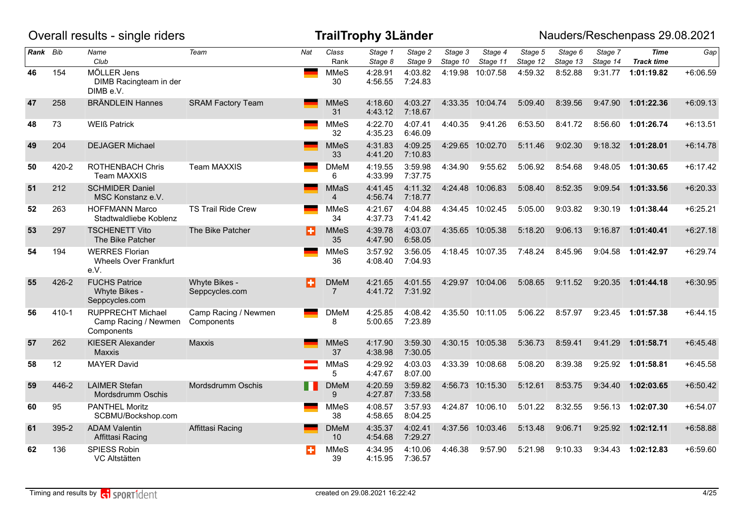|          |           | Overall results - single riders                                |                                    |       |                                | <b>TrailTrophy 3Länder</b> |                    |                     |                     |                     |                     |                     | Nauders/Reschenpass 29.08.2021   |            |
|----------|-----------|----------------------------------------------------------------|------------------------------------|-------|--------------------------------|----------------------------|--------------------|---------------------|---------------------|---------------------|---------------------|---------------------|----------------------------------|------------|
| Rank Bib |           | Name<br>Club                                                   | Team                               | Nat   | Class<br>Rank                  | Stage 1<br>Stage 8         | Stage 2<br>Stage 9 | Stage 3<br>Stage 10 | Stage 4<br>Stage 11 | Stage 5<br>Stage 12 | Stage 6<br>Stage 13 | Stage 7<br>Stage 14 | <b>Time</b><br><b>Track time</b> | Gap        |
| 46       | 154       | MÖLLER Jens<br>DIMB Racingteam in der<br>DIMB e.V.             |                                    |       | <b>MMeS</b><br>30              | 4:28.91<br>4:56.55         | 4:03.82<br>7:24.83 | 4:19.98             | 10:07.58            | 4:59.32             | 8:52.88             | 9:31.77             | 1:01:19.82                       | $+6:06.59$ |
| 47       | 258       | <b>BRÄNDLEIN Hannes</b>                                        | <b>SRAM Factory Team</b>           |       | <b>MMeS</b><br>31              | 4:18.60<br>4:43.12         | 4:03.27<br>7:18.67 |                     | 4:33.35 10:04.74    | 5:09.40             | 8:39.56             | 9:47.90             | 1:01:22.36                       | $+6:09.13$ |
| 48       | 73        | <b>WEIß Patrick</b>                                            |                                    |       | <b>MMeS</b><br>32              | 4:22.70<br>4:35.23         | 4:07.41<br>6:46.09 | 4:40.35             | 9:41.26             | 6:53.50             | 8:41.72             | 8:56.60             | 1:01:26.74                       | $+6:13.51$ |
| 49       | 204       | <b>DEJAGER Michael</b>                                         |                                    |       | <b>MMeS</b><br>33              | 4:31.83<br>4:41.20         | 4:09.25<br>7:10.83 |                     | 4:29.65 10:02.70    | 5:11.46             | 9:02.30             | 9:18.32             | 1:01:28.01                       | $+6:14.78$ |
| 50       | 420-2     | <b>ROTHENBACH Chris</b><br>Team MAXXIS                         | <b>Team MAXXIS</b>                 |       | <b>DMeM</b><br>6               | 4:19.55<br>4:33.99         | 3:59.98<br>7:37.75 | 4:34.90             | 9:55.62             | 5:06.92             | 8:54.68             | 9:48.05             | 1:01:30.65                       | $+6:17.42$ |
| 51       | 212       | <b>SCHMIDER Daniel</b><br>MSC Konstanz e.V.                    |                                    |       | <b>MMaS</b><br>$\overline{4}$  | 4:41.45<br>4:56.74         | 4:11.32<br>7:18.77 |                     | 4:24.48 10:06.83    | 5:08.40             | 8:52.35             | 9:09.54             | 1:01:33.56                       | $+6:20.33$ |
| 52       | 263       | <b>HOFFMANN Marco</b><br>Stadtwaldliebe Koblenz                | <b>TS Trail Ride Crew</b>          |       | <b>MMeS</b><br>34              | 4:21.67<br>4:37.73         | 4:04.88<br>7:41.42 |                     | 4:34.45 10:02.45    | 5:05.00             | 9:03.82             | 9:30.19             | 1:01:38.44                       | $+6:25.21$ |
| 53       | 297       | <b>TSCHENETT Vito</b><br>The Bike Patcher                      | The Bike Patcher                   | в     | <b>MMeS</b><br>35              | 4:39.78<br>4:47.90         | 4:03.07<br>6:58.05 |                     | 4:35.65 10:05.38    | 5:18.20             | 9:06.13             | 9:16.87             | 1:01:40.41                       | $+6:27.18$ |
| 54       | 194       | <b>WERRES Florian</b><br><b>Wheels Over Frankfurt</b><br>e.V.  |                                    |       | <b>MMeS</b><br>36              | 3:57.92<br>4:08.40         | 3:56.05<br>7:04.93 |                     | 4:18.45 10:07.35    | 7:48.24             | 8:45.96             | 9:04.58             | 1:01:42.97                       | $+6:29.74$ |
| 55       | 426-2     | <b>FUCHS Patrice</b><br>Whyte Bikes -<br>Seppcycles.com        | Whyte Bikes -<br>Seppcycles.com    | в     | DMeM<br>$\overline{7}$         | 4:21.65<br>4:41.72         | 4:01.55<br>7:31.92 |                     | 4:29.97 10:04.06    | 5:08.65             | 9:11.52             | 9:20.35             | 1:01:44.18                       | $+6:30.95$ |
| 56       | $410 - 1$ | <b>RUPPRECHT Michael</b><br>Camp Racing / Newmen<br>Components | Camp Racing / Newmen<br>Components |       | <b>DMeM</b><br>8               | 4:25.85<br>5:00.65         | 4:08.42<br>7:23.89 |                     | 4:35.50 10:11.05    | 5:06.22             | 8:57.97             | 9:23.45             | 1:01:57.38                       | $+6:44.15$ |
| 57       | 262       | <b>KIESER Alexander</b><br>Maxxis                              | <b>Maxxis</b>                      |       | <b>MMeS</b><br>37              | 4:17.90<br>4:38.98         | 3:59.30<br>7:30.05 |                     | 4:30.15 10:05.38    | 5:36.73             | 8:59.41             | 9:41.29             | 1:01:58.71                       | $+6:45.48$ |
| 58       | 12        | <b>MAYER David</b>                                             |                                    |       | MMaS<br>5                      | 4:29.92<br>4:47.67         | 4:03.03<br>8:07.00 |                     | 4:33.39 10:08.68    | 5:08.20             | 8:39.38             | 9:25.92             | 1:01:58.81                       | $+6:45.58$ |
| 59       | 446-2     | <b>LAIMER Stefan</b><br>Mordsdrumm Oschis                      | Mordsdrumm Oschis                  | n a s | <b>DMeM</b><br>9               | 4:20.59<br>4:27.87         | 3:59.82<br>7:33.58 |                     | 4:56.73 10:15.30    | 5:12.61             | 8:53.75             | 9:34.40             | 1:02:03.65                       | $+6:50.42$ |
| 60       | 95        | <b>PANTHEL Moritz</b><br>SCBMU/Bockshop.com                    |                                    |       | <b>MMeS</b><br>38              | 4:08.57<br>4:58.65         | 3:57.93<br>8:04.25 |                     | 4:24.87 10:06.10    | 5:01.22             | 8:32.55             | 9:56.13             | 1:02:07.30                       | $+6:54.07$ |
| 61       | 395-2     | <b>ADAM Valentin</b><br>Affittasi Racing                       | Affittasi Racing                   |       | <b>DMeM</b><br>10 <sup>°</sup> | 4:35.37<br>4:54.68         | 4:02.41<br>7:29.27 |                     | 4:37.56 10:03.46    | 5:13.48             | 9:06.71             | 9:25.92             | 1:02:12.11                       | $+6:58.88$ |
| 62       | 136       | SPIESS Robin<br>VC Altstätten                                  |                                    | ÷     | <b>MMeS</b><br>39              | 4:34.95<br>4:15.95         | 4:10.06<br>7:36.57 | 4:46.38             | 9:57.90             | 5:21.98             | 9:10.33             | 9:34.43             | 1:02:12.83                       | $+6:59.60$ |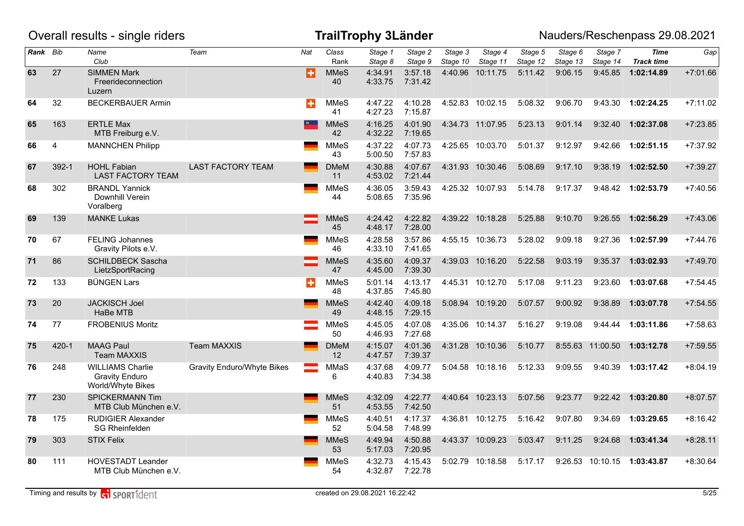|          |                | Overall results - single riders                                       |                            |                  |                                  | <b>TrailTrophy 3Länder</b> |                    |                     |                     |                     |                     |                     | Nauders/Reschenpass 29.08.2021   |            |
|----------|----------------|-----------------------------------------------------------------------|----------------------------|------------------|----------------------------------|----------------------------|--------------------|---------------------|---------------------|---------------------|---------------------|---------------------|----------------------------------|------------|
| Rank Bib |                | Name<br>Club                                                          | Team                       | Nat              | Class<br>Rank                    | Stage 1<br>Stage 8         | Stage 2<br>Stage 9 | Stage 3<br>Stage 10 | Stage 4<br>Stage 11 | Stage 5<br>Stage 12 | Stage 6<br>Stage 13 | Stage 7<br>Stage 14 | <b>Time</b><br><b>Track time</b> | Gap        |
| 63       | 27             | <b>SIMMEN Mark</b><br>Freerideconnection<br>Luzern                    |                            | Ð                | <b>MMeS</b><br>40                | 4:34.91<br>4:33.75         | 3:57.18<br>7:31.42 | 4:40.96             | 10:11.75            | 5:11.42             | 9:06.15             | 9:45.85             | 1:02:14.89                       | $+7:01.66$ |
| 64       | 32             | <b>BECKERBAUER Armin</b>                                              |                            | $\ddot{\bullet}$ | <b>MMeS</b><br>41                | 4:47.22<br>4:27.23         | 4:10.28<br>7:15.87 |                     | 4:52.83 10:02.15    | 5:08.32             | 9:06.70             | 9:43.30             | 1:02:24.25                       | $+7:11.02$ |
| 65       | 163            | <b>ERTLE Max</b><br>MTB Freiburg e.V.                                 |                            | $\triangle$      | <b>MMeS</b><br>42                | 4:16.25<br>4:32.22         | 4:01.90<br>7:19.65 |                     | 4:34.73 11:07.95    | 5:23.13             | 9:01.14             | 9:32.40             | 1:02:37.08                       | $+7:23.85$ |
| 66       | $\overline{4}$ | <b>MANNCHEN Philipp</b>                                               |                            |                  | <b>MMeS</b><br>43                | 4:37.22<br>5:00.50         | 4:07.73<br>7:57.83 |                     | 4:25.65 10:03.70    | 5:01.37             | 9:12.97             | 9:42.66             | 1:02:51.15                       | $+7:37.92$ |
| 67       | $392 - 1$      | <b>HOHL Fabian</b><br><b>LAST FACTORY TEAM</b>                        | <b>LAST FACTORY TEAM</b>   |                  | <b>DMeM</b><br>11                | 4:30.88<br>4:53.02         | 4:07.67<br>7:21.44 |                     | 4:31.93 10:30.46    | 5:08.69             | 9:17.10             | 9:38.19             | 1:02:52.50                       | $+7:39.27$ |
| 68       | 302            | <b>BRANDL Yannick</b><br>Downhill Verein<br>Voralberg                 |                            |                  | <b>MMeS</b><br>44                | 4:36.05<br>5:08.65         | 3:59.43<br>7:35.96 |                     | 4:25.32 10:07.93    | 5:14.78             | 9:17.37             |                     | 9:48.42 1:02:53.79               | $+7:40.56$ |
| 69       | 139            | <b>MANKE Lukas</b>                                                    |                            |                  | <b>MMeS</b><br>45                | 4:24.42<br>4:48.17         | 4:22.82<br>7:28.00 |                     | 4:39.22 10:18.28    | 5:25.88             | 9:10.70             | 9:26.55             | 1:02:56.29                       | $+7:43.06$ |
| 70       | 67             | <b>FELING Johannes</b><br>Gravity Pilots e.V.                         |                            |                  | <b>MMeS</b><br>46                | 4:28.58<br>4:33.10         | 3:57.86<br>7:41.65 |                     | 4:55.15 10:36.73    | 5:28.02             | 9:09.18             | 9:27.36             | 1:02:57.99                       | $+7:44.76$ |
| 71       | 86             | <b>SCHILDBECK Sascha</b><br>LietzSportRacing                          |                            |                  | <b>MMeS</b><br>47                | 4:35.60<br>4:45.00         | 4:09.37<br>7:39.30 |                     | 4:39.03 10:16.20    | 5:22.58             | 9:03.19             | 9:35.37             | 1:03:02.93                       | $+7:49.70$ |
| 72       | 133            | <b>BÜNGEN Lars</b>                                                    |                            | ÷                | <b>MMeS</b><br>48                | 5:01.14<br>4:37.85         | 4:13.17<br>7:45.80 |                     | 4:45.31 10:12.70    | 5:17.08             | 9:11.23             | 9:23.60             | 1:03:07.68                       | $+7:54.45$ |
| 73       | 20             | <b>JACKISCH Joel</b><br>HaBe MTB                                      |                            |                  | <b>MMeS</b><br>49                | 4:42.40<br>4:48.15         | 4:09.18<br>7:29.15 |                     | 5:08.94 10:19.20    | 5:07.57             | 9:00.92             | 9:38.89             | 1:03:07.78                       | $+7:54.55$ |
| 74       | 77             | <b>FROBENIUS Moritz</b>                                               |                            |                  | <b>MMeS</b><br>50                | 4:45.05<br>4:46.93         | 4:07.08<br>7:27.68 |                     | 4:35.06 10:14.37    | 5:16.27             | 9:19.08             |                     | 9:44.44 1:03:11.86               | $+7:58.63$ |
| 75       | $420 - 1$      | <b>MAAG Paul</b><br><b>Team MAXXIS</b>                                | <b>Team MAXXIS</b>         |                  | <b>DMeM</b><br>$12 \overline{ }$ | 4:15.07<br>4:47.57         | 4:01.36<br>7:39.37 |                     | 4:31.28 10:10.36    | 5:10.77             |                     | 8:55.63 11:00.50    | 1:03:12.78                       | $+7:59.55$ |
| 76       | 248            | <b>WILLIAMS Charlie</b><br><b>Gravity Enduro</b><br>World/Whyte Bikes | Gravity Enduro/Whyte Bikes |                  | MMaS<br>6                        | 4:37.68<br>4:40.83         | 4:09.77<br>7:34.38 |                     | 5:04.58 10:18.16    | 5:12.33             | 9:09.55             | 9:40.39             | 1:03:17.42                       | $+8:04.19$ |
| 77       | 230            | <b>SPICKERMANN Tim</b><br>MTB Club München e.V.                       |                            |                  | <b>MMeS</b><br>51                | 4:32.09<br>4:53.55         | 4:22.77<br>7:42.50 |                     | 4:40.64 10:23.13    | 5:07.56             | 9:23.77             | 9:22.42             | 1:03:20.80                       | $+8:07.57$ |
| 78       | 175            | <b>RUDIGIER Alexander</b><br><b>SG Rheinfelden</b>                    |                            |                  | <b>MMeS</b><br>52                | 4:40.51<br>5:04.58         | 4:17.37<br>7:48.99 |                     | 4:36.81 10:12.75    | 5:16.42             | 9:07.80             | 9:34.69             | 1:03:29.65                       | $+8:16.42$ |
| 79       | 303            | <b>STIX Felix</b>                                                     |                            |                  | <b>MMeS</b><br>53                | 4:49.94<br>5:17.03         | 4:50.88<br>7:20.95 |                     | 4:43.37 10:09.23    | 5:03.47             | 9:11.25             | 9:24.68             | 1:03:41.34                       | $+8:28.11$ |
| 80       | 111            | <b>HOVESTADT Leander</b><br>MTB Club München e.V.                     |                            |                  | <b>MMeS</b><br>54                | 4:32.73<br>4:32.87         | 4:15.43<br>7:22.78 | 5:02.79             | 10:18.58            | 5:17.17             | 9:26.53             | 10:10.15            | 1:03:43.87                       | $+8:30.64$ |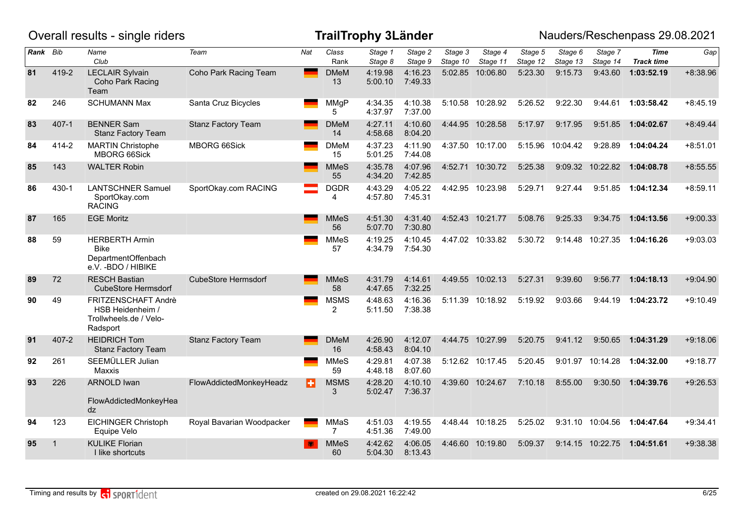|          |              | Overall results - single riders                                                    |                            |     |                               | <b>TrailTrophy 3Länder</b> |                    |                     |                     |                     |                     |                     | Nauders/Reschenpass 29.08.2021 |            |
|----------|--------------|------------------------------------------------------------------------------------|----------------------------|-----|-------------------------------|----------------------------|--------------------|---------------------|---------------------|---------------------|---------------------|---------------------|--------------------------------|------------|
| Rank Bib |              | Name<br>Club                                                                       | Team                       | Nat | Class<br>Rank                 | Stage 1<br>Stage 8         | Stage 2<br>Stage 9 | Stage 3<br>Stage 10 | Stage 4<br>Stage 11 | Stage 5<br>Stage 12 | Stage 6<br>Stage 13 | Stage 7<br>Stage 14 | Time<br><b>Track time</b>      | Gap        |
| 81       | 419-2        | <b>LECLAIR Sylvain</b><br>Coho Park Racing<br>Team                                 | Coho Park Racing Team      |     | <b>DMeM</b><br>13             | 4:19.98<br>5:00.10         | 4:16.23<br>7:49.33 |                     | 5:02.85 10:06.80    | 5:23.30             | 9:15.73             | 9:43.60             | 1:03:52.19                     | $+8:38.96$ |
| 82       | 246          | <b>SCHUMANN Max</b>                                                                | Santa Cruz Bicycles        |     | <b>MMgP</b><br>5              | 4:34.35<br>4:37.97         | 4:10.38<br>7:37.00 |                     | 5:10.58 10:28.92    | 5:26.52             | 9:22.30             | 9:44.61             | 1:03:58.42                     | $+8:45.19$ |
| 83       | 407-1        | <b>BENNER Sam</b><br><b>Stanz Factory Team</b>                                     | <b>Stanz Factory Team</b>  |     | <b>DMeM</b><br>14             | 4:27.11<br>4:58.68         | 4:10.60<br>8:04.20 |                     | 4:44.95 10:28.58    | 5:17.97             | 9:17.95             | 9:51.85             | 1:04:02.67                     | $+8:49.44$ |
| 84       | 414-2        | <b>MARTIN Christophe</b><br><b>MBORG 66Sick</b>                                    | <b>MBORG 66Sick</b>        |     | <b>DMeM</b><br>15             | 4:37.23<br>5:01.25         | 4:11.90<br>7:44.08 |                     | 4:37.50 10:17.00    | 5:15.96             | 10:04.42            | 9:28.89             | 1:04:04.24                     | $+8:51.01$ |
| 85       | 143          | <b>WALTER Robin</b>                                                                |                            |     | <b>MMeS</b><br>55             | 4:35.78<br>4:34.20         | 4:07.96<br>7:42.85 |                     | 4:52.71 10:30.72    | 5:25.38             | 9:09.32             | 10:22.82            | 1:04:08.78                     | $+8:55.55$ |
| 86       | 430-1        | <b>LANTSCHNER Samuel</b><br>SportOkay.com<br><b>RACING</b>                         | SportOkay.com RACING       |     | <b>DGDR</b><br>4              | 4:43.29<br>4:57.80         | 4:05.22<br>7:45.31 |                     | 4:42.95 10:23.98    | 5:29.71             | 9:27.44             | 9:51.85             | 1:04:12.34                     | $+8:59.11$ |
| 87       | 165          | <b>EGE Moritz</b>                                                                  |                            |     | <b>MMeS</b><br>56             | 4:51.30<br>5:07.70         | 4:31.40<br>7:30.80 |                     | 4:52.43 10:21.77    | 5:08.76             | 9:25.33             | 9:34.75             | 1:04:13.56                     | $+9:00.33$ |
| 88       | 59           | <b>HERBERTH Armin</b><br><b>Bike</b><br>DepartmentOffenbach<br>e.V. - BDO / HIBIKE |                            |     | <b>MMeS</b><br>57             | 4:19.25<br>4:34.79         | 4:10.45<br>7:54.30 |                     | 4:47.02 10:33.82    | 5:30.72             |                     | 9:14.48 10:27.35    | 1:04:16.26                     | $+9:03.03$ |
| 89       | 72           | <b>RESCH Bastian</b><br><b>CubeStore Hermsdorf</b>                                 | <b>CubeStore Hermsdorf</b> |     | <b>MMeS</b><br>58             | 4:31.79<br>4:47.65         | 4:14.61<br>7:32.25 |                     | 4:49.55 10:02.13    | 5:27.31             | 9:39.60             | 9:56.77             | 1:04:18.13                     | $+9:04.90$ |
| 90       | 49           | FRITZENSCHAFT Andrè<br>HSB Heidenheim /<br>Trollwheels.de / Velo-<br>Radsport      |                            |     | <b>MSMS</b><br>2              | 4:48.63<br>5:11.50         | 4:16.36<br>7:38.38 |                     | 5:11.39 10:18.92    | 5:19.92             | 9:03.66             | 9:44.19             | 1:04:23.72                     | $+9:10.49$ |
| 91       | $407 - 2$    | <b>HEIDRICH Tom</b><br><b>Stanz Factory Team</b>                                   | <b>Stanz Factory Team</b>  |     | <b>DMeM</b><br>16             | 4:26.90<br>4:58.43         | 4:12.07<br>8:04.10 |                     | 4:44.75 10:27.99    | 5:20.75             | 9:41.12             | 9:50.65             | 1:04:31.29                     | $+9:18.06$ |
| 92       | 261          | SEEMÜLLER Julian<br>Maxxis                                                         |                            |     | <b>MMeS</b><br>59             | 4:29.81<br>4:48.18         | 4:07.38<br>8:07.60 |                     | 5:12.62 10:17.45    | 5:20.45             |                     | 9:01.97 10:14.28    | 1:04:32.00                     | $+9:18.77$ |
| 93       | 226          | <b>ARNOLD Iwan</b><br>FlowAddictedMonkeyHea<br>dz                                  | FlowAddictedMonkeyHeadz    | в   | <b>MSMS</b><br>3              | 4:28.20<br>5:02.47         | 4:10.10<br>7:36.37 |                     | 4:39.60 10:24.67    | 7:10.18             | 8:55.00             | 9:30.50             | 1:04:39.76                     | $+9:26.53$ |
| 94       | 123          | <b>EICHINGER Christoph</b><br>Equipe Velo                                          | Royal Bavarian Woodpacker  |     | <b>MMaS</b><br>$\overline{7}$ | 4:51.03<br>4:51.36         | 4:19.55<br>7:49.00 |                     | 4:48.44 10:18.25    | 5:25.02             |                     | 9:31.10 10:04.56    | 1:04:47.64                     | $+9:34.41$ |
| 95       | $\mathbf{1}$ | <b>KULIKE Florian</b><br>I like shortcuts                                          |                            |     | <b>MMeS</b><br>60             | 4:42.62<br>5:04.30         | 4:06.05<br>8:13.43 |                     | 4:46.60 10:19.80    | 5:09.37             | 9:14.15             | 10:22.75            | 1:04:51.61                     | $+9:38.38$ |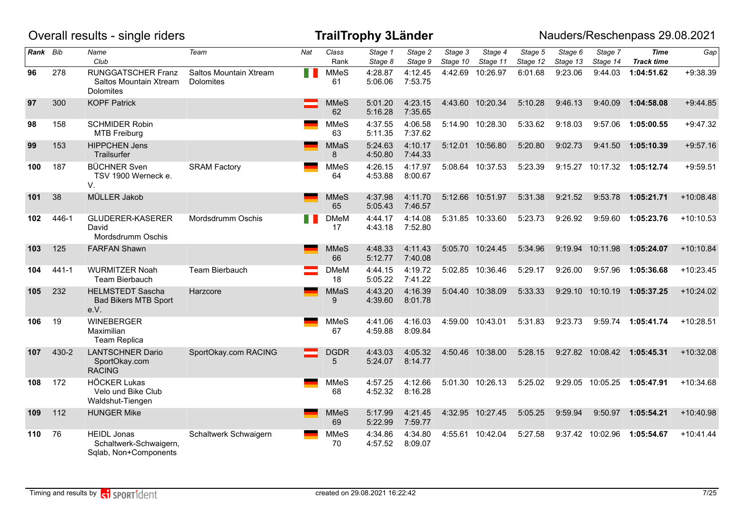|          |           | Overall results - single riders                                         |                                            |     |                   | <b>TrailTrophy 3Länder</b> |                    |                     |                     |                     |                     |                     | Nauders/Reschenpass 29.08.2021   |             |
|----------|-----------|-------------------------------------------------------------------------|--------------------------------------------|-----|-------------------|----------------------------|--------------------|---------------------|---------------------|---------------------|---------------------|---------------------|----------------------------------|-------------|
| Rank Bib |           | Name<br>Club                                                            | Team                                       | Nat | Class<br>Rank     | Stage 1<br>Stage 8         | Stage 2<br>Stage 9 | Stage 3<br>Stage 10 | Stage 4<br>Stage 11 | Stage 5<br>Stage 12 | Stage 6<br>Stage 13 | Stage 7<br>Stage 14 | <b>Time</b><br><b>Track time</b> | Gap         |
| 96       | 278       | <b>RUNGGATSCHER Franz</b><br>Saltos Mountain Xtream<br><b>Dolomites</b> | Saltos Mountain Xtream<br><b>Dolomites</b> | M.  | <b>MMeS</b><br>61 | 4:28.87<br>5:06.06         | 4:12.45<br>7:53.75 |                     | 4:42.69 10:26.97    | 6:01.68             | 9:23.06             | 9:44.03             | 1:04:51.62                       | $+9:38.39$  |
| 97       | 300       | <b>KOPF Patrick</b>                                                     |                                            |     | <b>MMeS</b><br>62 | 5:01.20<br>5:16.28         | 4:23.15<br>7:35.65 |                     | 4:43.60 10:20.34    | 5:10.28             | 9:46.13             | 9:40.09             | 1:04:58.08                       | $+9:44.85$  |
| 98       | 158       | <b>SCHMIDER Robin</b><br><b>MTB Freiburg</b>                            |                                            |     | <b>MMeS</b><br>63 | 4:37.55<br>5:11.35         | 4:06.58<br>7:37.62 |                     | 5:14.90 10:28.30    | 5:33.62             | 9:18.03             | 9:57.06             | 1:05:00.55                       | $+9:47.32$  |
| 99       | 153       | <b>HIPPCHEN Jens</b><br>Trailsurfer                                     |                                            |     | <b>MMaS</b><br>8  | 5:24.63<br>4:50.80         | 4:10.17<br>7:44.33 |                     | 5:12.01 10:56.80    | 5:20.80             | 9:02.73             | 9:41.50             | 1:05:10.39                       | $+9:57.16$  |
| 100      | 187       | <b>BÜCHNER Sven</b><br>TSV 1900 Werneck e.<br>V.                        | <b>SRAM Factory</b>                        |     | <b>MMeS</b><br>64 | 4:26.15<br>4:53.88         | 4:17.97<br>8:00.67 |                     | 5:08.64 10:37.53    | 5:23.39             |                     |                     | 9:15.27 10:17.32 1:05:12.74      | $+9:59.51$  |
| 101      | 38        | MÜLLER Jakob                                                            |                                            |     | <b>MMeS</b><br>65 | 4:37.98<br>5:05.43         | 4:11.70<br>7:46.57 |                     | 5:12.66 10:51.97    | 5:31.38             | 9:21.52             | 9:53.78             | 1:05:21.71                       | $+10:08.48$ |
| 102      | 446-1     | GLUDERER-KASERER<br>David<br>Mordsdrumm Oschis                          | Mordsdrumm Oschis                          |     | <b>DMeM</b><br>17 | 4:44.17<br>4:43.18         | 4:14.08<br>7:52.80 |                     | 5:31.85 10:33.60    | 5:23.73             | 9:26.92             | 9:59.60             | 1:05:23.76                       | $+10:10.53$ |
| 103      | 125       | <b>FARFAN Shawn</b>                                                     |                                            |     | <b>MMeS</b><br>66 | 4:48.33<br>5:12.77         | 4:11.43<br>7:40.08 |                     | 5:05.70 10:24.45    | 5:34.96             | 9:19.94             | 10:11.98            | 1:05:24.07                       | $+10:10.84$ |
| 104      | $441 - 1$ | <b>WURMITZER Noah</b><br><b>Team Bierbauch</b>                          | Team Bierbauch                             |     | <b>DMeM</b><br>18 | 4:44.15<br>5:05.22         | 4:19.72<br>7:41.22 |                     | 5:02.85 10:36.46    | 5:29.17             | 9:26.00             | 9:57.96             | 1:05:36.68                       | $+10:23.45$ |
| 105      | 232       | <b>HELMSTEDT Sascha</b><br><b>Bad Bikers MTB Sport</b><br>e.V.          | Harzcore                                   |     | <b>MMaS</b><br>9  | 4:43.20<br>4:39.60         | 4:16.39<br>8:01.78 |                     | 5:04.40 10:38.09    | 5:33.33             |                     | 9:29.10 10:10.19    | 1:05:37.25                       | $+10:24.02$ |
| 106      | 19        | <b>WINEBERGER</b><br>Maximilian<br><b>Team Replica</b>                  |                                            |     | <b>MMeS</b><br>67 | 4:41.06<br>4:59.88         | 4:16.03<br>8:09.84 |                     | 4:59.00 10:43.01    | 5:31.83             | 9:23.73             | 9:59.74             | 1:05:41.74                       | $+10:28.51$ |
| 107      | 430-2     | <b>LANTSCHNER Dario</b><br>SportOkay.com<br><b>RACING</b>               | SportOkay.com RACING                       |     | <b>DGDR</b><br>5  | 4:43.03<br>5:24.07         | 4:05.32<br>8:14.77 |                     | 4:50.46 10:38.00    | 5:28.15             |                     |                     | 9:27.82 10:08.42 1:05:45.31      | $+10:32.08$ |
| 108      | 172       | <b>HÖCKER Lukas</b><br>Velo und Bike Club<br>Waldshut-Tiengen           |                                            |     | <b>MMeS</b><br>68 | 4:57.25<br>4:52.32         | 4:12.66<br>8:16.28 |                     | 5:01.30 10:26.13    | 5:25.02             | 9:29.05             | 10:05.25            | 1:05:47.91                       | $+10:34.68$ |
| 109      | 112       | <b>HUNGER Mike</b>                                                      |                                            |     | <b>MMeS</b><br>69 | 5:17.99<br>5:22.99         | 4:21.45<br>7:59.77 |                     | 4:32.95 10:27.45    | 5:05.25             | 9:59.94             | 9:50.97             | 1:05:54.21                       | $+10:40.98$ |
| 110      | 76        | <b>HEIDL Jonas</b><br>Schaltwerk-Schwaigern,<br>Sqlab, Non+Components   | Schaltwerk Schwaigern                      |     | <b>MMeS</b><br>70 | 4:34.86<br>4:57.52         | 4:34.80<br>8:09.07 |                     | 4:55.61 10:42.04    | 5:27.58             |                     | 9:37.42 10:02.96    | 1:05:54.67                       | $+10:41.44$ |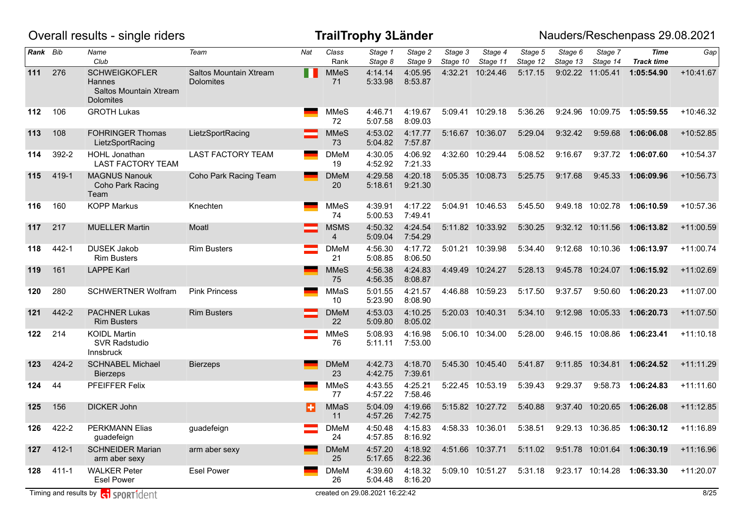|          |           | Overall results - single riders                                              |                                            |                |                   | <b>TrailTrophy 3Länder</b>     |                    |                     |                     |                     |                     |                     | Nauders/Reschenpass 29.08.2021   |             |
|----------|-----------|------------------------------------------------------------------------------|--------------------------------------------|----------------|-------------------|--------------------------------|--------------------|---------------------|---------------------|---------------------|---------------------|---------------------|----------------------------------|-------------|
| Rank Bib |           | Name<br>Club                                                                 | Team                                       | Nat            | Class<br>Rank     | Stage 1<br>Stage 8             | Stage 2<br>Stage 9 | Stage 3<br>Stage 10 | Stage 4<br>Stage 11 | Stage 5<br>Stage 12 | Stage 6<br>Stage 13 | Stage 7<br>Stage 14 | <b>Time</b><br><b>Track time</b> | Gap         |
| 111      | 276       | <b>SCHWEIGKOFLER</b><br>Hannes<br>Saltos Mountain Xtream<br><b>Dolomites</b> | Saltos Mountain Xtream<br><b>Dolomites</b> | $\blacksquare$ | <b>MMeS</b><br>71 | 4:14.14<br>5:33.98             | 4:05.95<br>8:53.87 | 4:32.21             | 10:24.46            | 5:17.15             | 9:02.22             | 11:05.41            | 1:05:54.90                       | $+10:41.67$ |
| 112      | 106       | <b>GROTH Lukas</b>                                                           |                                            |                | <b>MMeS</b><br>72 | 4:46.71<br>5:07.58             | 4:19.67<br>8:09.03 |                     | 5:09.41 10:29.18    | 5:36.26             | 9:24.96             | 10:09.75            | 1:05:59.55                       | $+10:46.32$ |
| 113      | 108       | <b>FOHRINGER Thomas</b><br>LietzSportRacing                                  | LietzSportRacing                           |                | <b>MMeS</b><br>73 | 4:53.02<br>5:04.82             | 4:17.77<br>7:57.87 |                     | 5:16.67 10:36.07    | 5:29.04             | 9:32.42             | 9:59.68             | 1:06:06.08                       | $+10:52.85$ |
| 114      | 392-2     | HOHL Jonathan<br><b>LAST FACTORY TEAM</b>                                    | <b>LAST FACTORY TEAM</b>                   |                | <b>DMeM</b><br>19 | 4:30.05<br>4:52.92             | 4:06.92<br>7:21.33 |                     | 4:32.60 10:29.44    | 5:08.52             | 9:16.67             | 9:37.72             | 1:06:07.60                       | $+10:54.37$ |
| 115      | 419-1     | <b>MAGNUS Nanouk</b><br>Coho Park Racing<br>Team                             | Coho Park Racing Team                      | 一              | <b>DMeM</b><br>20 | 4:29.58<br>5:18.61             | 4:20.18<br>9:21.30 |                     | 5:05.35 10:08.73    | 5:25.75             | 9:17.68             | 9:45.33             | 1:06:09.96                       | $+10:56.73$ |
| 116      | 160       | <b>KOPP Markus</b>                                                           | Knechten                                   |                | <b>MMeS</b><br>74 | 4:39.91<br>5:00.53             | 4:17.22<br>7:49.41 |                     | 5:04.91 10:46.53    | 5:45.50             | 9:49.18             | 10:02.78            | 1:06:10.59                       | +10:57.36   |
| 117      | 217       | <b>MUELLER Martin</b>                                                        | Moatl                                      |                | <b>MSMS</b><br>4  | 4:50.32<br>5:09.04             | 4:24.54<br>7:54.29 |                     | 5:11.82 10:33.92    | 5:30.25             |                     | 9:32.12 10:11.56    | 1:06:13.82                       | $+11:00.59$ |
| 118      | 442-1     | <b>DUSEK Jakob</b><br><b>Rim Busters</b>                                     | <b>Rim Busters</b>                         |                | <b>DMeM</b><br>21 | 4:56.30<br>5:08.85             | 4:17.72<br>8:06.50 |                     | 5:01.21 10:39.98    | 5:34.40             |                     | 9:12.68 10:10.36    | 1:06:13.97                       | $+11:00.74$ |
| 119      | 161       | <b>LAPPE Karl</b>                                                            |                                            |                | <b>MMeS</b><br>75 | 4:56.38<br>4:56.35             | 4:24.83<br>8:08.87 |                     | 4:49.49 10:24.27    | 5:28.13             | 9:45.78             | 10:24.07            | 1:06:15.92                       | $+11:02.69$ |
| 120      | 280       | <b>SCHWERTNER Wolfram</b>                                                    | <b>Pink Princess</b>                       |                | MMaS<br>10        | 5:01.55<br>5:23.90             | 4:21.57<br>8:08.90 |                     | 4:46.88 10:59.23    | 5:17.50             | 9:37.57             | 9:50.60             | 1:06:20.23                       | $+11:07.00$ |
| 121      | 442-2     | <b>PACHNER Lukas</b><br><b>Rim Busters</b>                                   | <b>Rim Busters</b>                         |                | <b>DMeM</b><br>22 | 4:53.03<br>5:09.80             | 4:10.25<br>8:05.02 |                     | 5:20.03 10:40.31    | 5:34.10             | 9:12.98             | 10:05.33            | 1:06:20.73                       | $+11:07.50$ |
| 122      | 214       | <b>KOIDL Martin</b><br><b>SVR Radstudio</b><br>Innsbruck                     |                                            |                | <b>MMeS</b><br>76 | 5:08.93<br>5:11.11             | 4:16.98<br>7:53.00 |                     | 5:06.10 10:34.00    | 5:28.00             |                     | 9:46.15 10:08.86    | 1:06:23.41                       | $+11:10.18$ |
| 123      | 424-2     | <b>SCHNABEL Michael</b><br><b>Bierzeps</b>                                   | <b>Bierzeps</b>                            |                | <b>DMeM</b><br>23 | 4:42.73<br>4:42.75             | 4:18.70<br>7:39.61 |                     | 5:45.30 10:45.40    | 5:41.87             | 9:11.85             | 10:34.81            | 1:06:24.52                       | $+11:11.29$ |
| 124      | 44        | PFEIFFER Felix                                                               |                                            |                | <b>MMeS</b><br>77 | 4:43.55<br>4:57.22             | 4:25.21<br>7:58.46 |                     | 5:22.45 10:53.19    | 5:39.43             | 9:29.37             | 9:58.73             | 1:06:24.83                       | $+11:11.60$ |
| 125      | 156       | <b>DICKER John</b>                                                           |                                            | ÷              | <b>MMaS</b><br>11 | 5:04.09<br>4:57.26             | 4:19.66<br>7:42.75 |                     | 5:15.82 10:27.72    | 5:40.88             | 9:37.40             | 10:20.65            | 1:06:26.08                       | $+11:12.85$ |
| 126      | 422-2     | <b>PERKMANN Elias</b><br>guadefeign                                          | guadefeign                                 |                | DMeM<br>24        | 4:50.48<br>4:57.85             | 4:15.83<br>8:16.92 |                     | 4:58.33 10:36.01    | 5:38.51             |                     |                     | 9:29.13 10:36.85 1:06:30.12      | $+11:16.89$ |
| 127      | $412 - 1$ | <b>SCHNEIDER Marian</b><br>arm aber sexy                                     | arm aber sexy                              |                | <b>DMeM</b><br>25 | 4:57.20<br>5:17.65             | 4:18.92<br>8:22.36 |                     | 4:51.66 10:37.71    | 5:11.02             |                     |                     | 9:51.78 10:01.64 1:06:30.19      | $+11:16.96$ |
| 128      | $411 - 1$ | <b>WALKER Peter</b><br><b>Esel Power</b>                                     | <b>Esel Power</b>                          |                | <b>DMeM</b><br>26 | 4:39.60<br>5:04.48             | 4:18.32<br>8:16.20 |                     | 5:09.10 10:51.27    | 5:31.18             |                     |                     | 9:23.17 10:14.28 1:06:33.30      | $+11:20.07$ |
|          |           | Timing and results by <b>c</b> SPORT1dent                                    |                                            |                |                   | created on 29.08.2021 16:22:42 |                    |                     |                     |                     |                     |                     |                                  | 8/25        |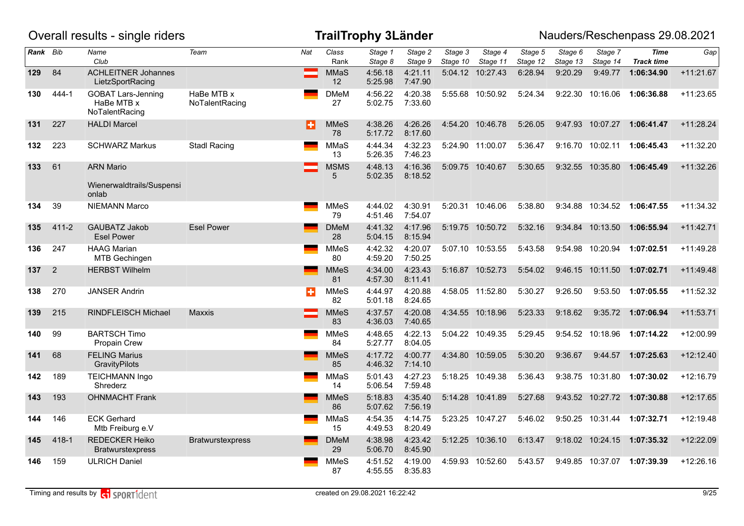|          |                | Overall results - single riders                           |                              |     |                   | <b>TrailTrophy 3Länder</b> |                    |                     |                     |                     |                     |                     | Nauders/Reschenpass 29.08.2021   |             |
|----------|----------------|-----------------------------------------------------------|------------------------------|-----|-------------------|----------------------------|--------------------|---------------------|---------------------|---------------------|---------------------|---------------------|----------------------------------|-------------|
| Rank Bib |                | Name<br>Club                                              | Team                         | Nat | Class<br>Rank     | Stage 1<br>Stage 8         | Stage 2<br>Stage 9 | Stage 3<br>Stage 10 | Stage 4<br>Stage 11 | Stage 5<br>Stage 12 | Stage 6<br>Stage 13 | Stage 7<br>Stage 14 | <b>Time</b><br><b>Track time</b> | Gap         |
| 129      | 84             | <b>ACHLEITNER Johannes</b><br>LietzSportRacing            |                              |     | MMaS<br>12        | 4:56.18<br>5:25.98         | 4:21.11<br>7:47.90 |                     | 5:04.12 10:27.43    | 6:28.94             | 9:20.29             | 9:49.77             | 1:06:34.90                       | $+11:21.67$ |
| 130      | 444-1          | <b>GOBAT Lars-Jenning</b><br>HaBe MTB x<br>NoTalentRacing | HaBe MTB x<br>NoTalentRacing |     | <b>DMeM</b><br>27 | 4:56.22<br>5:02.75         | 4:20.38<br>7:33.60 |                     | 5:55.68 10:50.92    | 5:24.34             | 9:22.30             | 10:16.06            | 1:06:36.88                       | $+11:23.65$ |
| 131      | 227            | <b>HALDI Marcel</b>                                       |                              | B   | <b>MMeS</b><br>78 | 4:38.26<br>5:17.72         | 4:26.26<br>8:17.60 |                     | 4:54.20 10:46.78    | 5:26.05             |                     | 9:47.93 10:07.27    | 1:06:41.47                       | $+11:28.24$ |
| 132      | 223            | <b>SCHWARZ Markus</b>                                     | <b>Stadl Racing</b>          |     | MMaS<br>13        | 4:44.34<br>5:26.35         | 4:32.23<br>7:46.23 |                     | 5:24.90 11:00.07    | 5:36.47             |                     | 9:16.70 10:02.11    | 1:06:45.43                       | $+11:32.20$ |
| 133      | 61             | <b>ARN Mario</b>                                          |                              |     | <b>MSMS</b><br>5  | 4:48.13<br>5:02.35         | 4:16.36<br>8:18.52 |                     | 5:09.75 10:40.67    | 5:30.65             |                     | 9:32.55 10:35.80    | 1:06:45.49                       | $+11:32.26$ |
|          |                | Wienerwaldtrails/Suspensi<br>onlab                        |                              |     |                   |                            |                    |                     |                     |                     |                     |                     |                                  |             |
| 134      | 39             | <b>NIEMANN Marco</b>                                      |                              |     | <b>MMeS</b><br>79 | 4:44.02<br>4:51.46         | 4:30.91<br>7:54.07 |                     | 5:20.31 10:46.06    | 5:38.80             |                     |                     | 9:34.88 10:34.52 1:06:47.55      | $+11:34.32$ |
| 135      | $411 - 2$      | GAUBATZ Jakob<br><b>Esel Power</b>                        | <b>Esel Power</b>            |     | <b>DMeM</b><br>28 | 4:41.32<br>5:04.15         | 4:17.96<br>8:15.94 |                     | 5:19.75 10:50.72    | 5:32.16             | 9:34.84             | 10:13.50            | 1:06:55.94                       | $+11:42.71$ |
| 136      | 247            | <b>HAAG Marian</b><br><b>MTB Gechingen</b>                |                              |     | <b>MMeS</b><br>80 | 4:42.32<br>4:59.20         | 4:20.07<br>7:50.25 |                     | 5:07.10 10:53.55    | 5:43.58             |                     |                     | 9:54.98 10:20.94 1:07:02.51      | $+11:49.28$ |
| 137      | $\overline{2}$ | <b>HERBST Wilhelm</b>                                     |                              |     | <b>MMeS</b><br>81 | 4:34.00<br>4:57.30         | 4:23.43<br>8:11.41 |                     | 5:16.87 10:52.73    | 5:54.02             |                     | 9:46.15 10:11.50    | 1:07:02.71                       | $+11:49.48$ |
| 138      | 270            | <b>JANSER Andrin</b>                                      |                              | EF. | <b>MMeS</b><br>82 | 4:44.97<br>5:01.18         | 4:20.88<br>8:24.65 |                     | 4:58.05 11:52.80    | 5:30.27             | 9:26.50             | 9:53.50             | 1:07:05.55                       | $+11:52.32$ |
| 139      | 215            | <b>RINDFLEISCH Michael</b>                                | <b>Maxxis</b>                |     | <b>MMeS</b><br>83 | 4:37.57<br>4:36.03         | 4:20.08<br>7:40.65 |                     | 4:34.55 10:18.96    | 5:23.33             | 9:18.62             |                     | 9:35.72 1:07:06.94               | $+11:53.71$ |
| 140      | 99             | <b>BARTSCH Timo</b><br>Propain Crew                       |                              |     | <b>MMeS</b><br>84 | 4:48.65<br>5:27.77         | 4:22.13<br>8:04.05 |                     | 5:04.22 10:49.35    | 5:29.45             |                     | 9:54.52 10:18.96    | 1:07:14.22                       | +12:00.99   |
| 141      | 68             | <b>FELING Marius</b><br>GravityPilots                     |                              |     | <b>MMeS</b><br>85 | 4:17.72<br>4:46.32         | 4:00.77<br>7:14.10 |                     | 4:34.80 10:59.05    | 5:30.20             | 9:36.67             | 9:44.57             | 1:07:25.63                       | $+12:12.40$ |
| 142      | 189            | <b>TEICHMANN Ingo</b><br>Shrederz                         |                              |     | MMaS<br>14        | 5:01.43<br>5:06.54         | 4:27.23<br>7:59.48 |                     | 5:18.25 10:49.38    | 5:36.43             |                     | 9:38.75 10:31.80    | 1:07:30.02                       | $+12:16.79$ |
| 143      | 193            | <b>OHNMACHT Frank</b>                                     |                              |     | <b>MMeS</b><br>86 | 5:18.83<br>5:07.62         | 4:35.40<br>7:56.19 |                     | 5:14.28 10:41.89    | 5:27.68             |                     |                     | 9:43.52 10:27.72 1:07:30.88      | $+12:17.65$ |
| 144      | 146            | <b>ECK Gerhard</b><br>Mtb Freiburg e.V                    |                              |     | MMaS<br>15        | 4:54.35<br>4:49.53         | 4:14.75<br>8:20.49 |                     | 5:23.25 10:47.27    | 5:46.02             |                     |                     | 9:50.25 10:31.44 1:07:32.71      | $+12:19.48$ |
| 145      | 418-1          | <b>REDECKER Heiko</b><br>Bratwurstexpress                 | <b>Bratwurstexpress</b>      |     | <b>DMeM</b><br>29 | 4:38.98<br>5:06.70         | 4:23.42<br>8:45.90 |                     | 5:12.25 10:36.10    | 6:13.47             |                     |                     | 9:18.02 10:24.15 1:07:35.32      | $+12:22.09$ |
| 146      | 159            | <b>ULRICH Daniel</b>                                      |                              |     | <b>MMeS</b><br>87 | 4:51.52<br>4:55.55         | 4:19.00<br>8:35.83 |                     | 4:59.93 10:52.60    | 5:43.57             |                     | 9:49.85 10:37.07    | 1:07:39.39                       | $+12:26.16$ |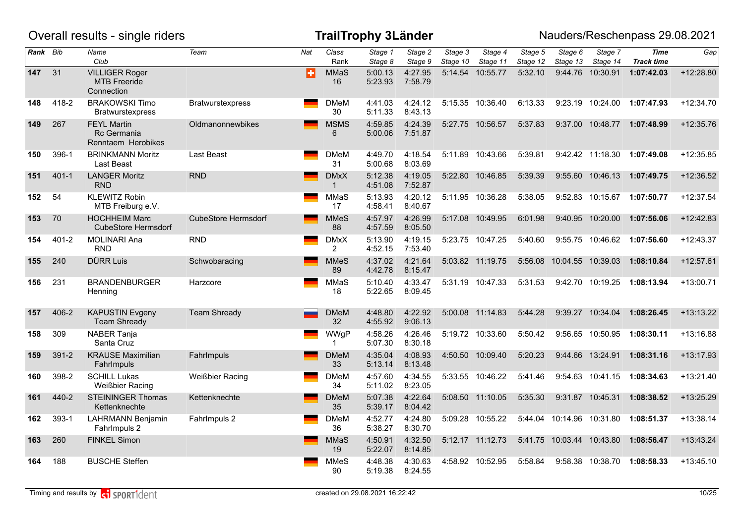|          |           | Overall results - single riders                            |                            |     |                               | <b>TrailTrophy 3Länder</b> |                    |                                  |                     |                                  |                     |                     | Nauders/Reschenpass 29.08.2021   |             |
|----------|-----------|------------------------------------------------------------|----------------------------|-----|-------------------------------|----------------------------|--------------------|----------------------------------|---------------------|----------------------------------|---------------------|---------------------|----------------------------------|-------------|
| Rank Bib |           | Name<br>Club                                               | Team                       | Nat | Class<br>Rank                 | Stage 1<br>Stage 8         | Stage 2<br>Stage 9 | $\overline{Stage}$ 3<br>Stage 10 | Stage 4<br>Stage 11 | $\overline{Stage 5}$<br>Stage 12 | Stage 6<br>Stage 13 | Stage 7<br>Stage 14 | <b>Time</b><br><b>Track time</b> | Gap         |
| 147      | 31        | <b>VILLIGER Roger</b><br><b>MTB</b> Freeride<br>Connection |                            | в   | <b>MMaS</b><br>16             | 5:00.13<br>5:23.93         | 4:27.95<br>7:58.79 | 5:14.54                          | 10:55.77            | 5:32.10                          | 9:44.76             | 10:30.91            | 1:07:42.03                       | +12:28.80   |
| 148      | 418-2     | <b>BRAKOWSKI Timo</b><br><b>Bratwurstexpress</b>           | <b>Bratwurstexpress</b>    |     | DMeM<br>30                    | 4:41.03<br>5:11.33         | 4:24.12<br>8:43.13 |                                  | 5:15.35 10:36.40    | 6:13.33                          | 9:23.19             | 10:24.00            | 1:07:47.93                       | $+12:34.70$ |
| 149      | 267       | <b>FEYL Martin</b><br>Rc Germania<br>Renntaem Herobikes    | Oldmanonnewbikes           |     | <b>MSMS</b><br>6              | 4:59.85<br>5:00.06         | 4:24.39<br>7:51.87 |                                  | 5:27.75 10:56.57    | 5:37.83                          | 9:37.00             |                     | 10:48.77  1:07:48.99             | $+12:35.76$ |
| 150      | 396-1     | <b>BRINKMANN Moritz</b><br>Last Beast                      | Last Beast                 |     | <b>DMeM</b><br>31             | 4:49.70<br>5:00.68         | 4:18.54<br>8:03.69 |                                  | 5:11.89 10:43.66    | 5:39.81                          |                     | 9:42.42 11:18.30    | 1:07:49.08                       | $+12:35.85$ |
| 151      | $401 - 1$ | <b>LANGER Moritz</b><br><b>RND</b>                         | <b>RND</b>                 |     | <b>DMxX</b><br>$\mathbf{1}$   | 5:12.38<br>4:51.08         | 4:19.05<br>7:52.87 |                                  | 5:22.80 10:46.85    | 5:39.39                          | 9:55.60             | 10:46.13            | 1:07:49.75                       | $+12:36.52$ |
| 152      | 54        | <b>KLEWITZ Robin</b><br>MTB Freiburg e.V.                  |                            |     | MMaS<br>17                    | 5:13.93<br>4:58.41         | 4:20.12<br>8:40.67 |                                  | 5:11.95 10:36.28    | 5:38.05                          |                     |                     | 9:52.83 10:15.67 1:07:50.77      | $+12:37.54$ |
| 153      | 70        | <b>HOCHHEIM Marc</b><br><b>CubeStore Hermsdorf</b>         | <b>CubeStore Hermsdorf</b> |     | <b>MMeS</b><br>88             | 4:57.97<br>4:57.59         | 4:26.99<br>8:05.50 |                                  | 5:17.08 10:49.95    | 6:01.98                          | 9:40.95             | 10:20.00            | 1:07:56.06                       | $+12:42.83$ |
| 154      | $401 - 2$ | <b>MOLINARI Ana</b><br><b>RND</b>                          | <b>RND</b>                 |     | <b>DMxX</b><br>$\overline{2}$ | 5:13.90<br>4:52.15         | 4:19.15<br>7:53.40 |                                  | 5:23.75 10:47.25    | 5:40.60                          |                     |                     | 9:55.75 10:46.62 1:07:56.60      | $+12:43.37$ |
| 155      | 240       | <b>DÜRR Luis</b>                                           | Schwobaracing              |     | <b>MMeS</b><br>89             | 4:37.02<br>4:42.78         | 4:21.64<br>8:15.47 |                                  | 5:03.82 11:19.75    | 5:56.08                          | 10:04.55 10:39.03   |                     | 1:08:10.84                       | $+12:57.61$ |
| 156      | 231       | <b>BRANDENBURGER</b><br>Henning                            | Harzcore                   |     | MMaS<br>18                    | 5:10.40<br>5:22.65         | 4:33.47<br>8:09.45 |                                  | 5:31.19 10:47.33    | 5:31.53                          |                     | 9:42.70 10:19.25    | 1:08:13.94                       | $+13:00.71$ |
| 157      | 406-2     | <b>KAPUSTIN Evgeny</b><br><b>Team Shready</b>              | <b>Team Shready</b>        |     | <b>DMeM</b><br>32             | 4:48.80<br>4:55.92         | 4:22.92<br>9:06.13 |                                  | 5:00.08 11:14.83    | 5:44.28                          |                     | 9:39.27 10:34.04    | 1:08:26.45                       | $+13:13.22$ |
| 158      | 309       | NABER Tanja<br>Santa Cruz                                  |                            |     | WWgP<br>$\mathbf{1}$          | 4:58.26<br>5:07.30         | 4:26.46<br>8:30.18 |                                  | 5:19.72 10:33.60    | 5:50.42                          |                     | 9:56.65 10:50.95    | 1:08:30.11                       | $+13:16.88$ |
| 159      | 391-2     | <b>KRAUSE Maximilian</b><br>Fahrlmpuls                     | FahrImpuls                 |     | <b>DMeM</b><br>33             | 4:35.04<br>5:13.14         | 4:08.93<br>8:13.48 |                                  | 4:50.50 10:09.40    | 5:20.23                          |                     | 9:44.66 13:24.91    | 1:08:31.16                       | $+13:17.93$ |
| 160      | 398-2     | <b>SCHILL Lukas</b><br><b>Weißbier Racing</b>              | <b>Weißbier Racing</b>     |     | <b>DMeM</b><br>34             | 4:57.60<br>5:11.02         | 4:34.55<br>8:23.05 |                                  | 5:33.55 10:46.22    | 5:41.46                          | 9:54.63             | 10:41.15            | 1:08:34.63                       | $+13:21.40$ |
| 161      | 440-2     | <b>STEININGER Thomas</b><br>Kettenknechte                  | Kettenknechte              |     | <b>DMeM</b><br>35             | 5:07.38<br>5:39.17         | 4:22.64<br>8:04.42 |                                  | 5:08.50 11:10.05    | 5:35.30                          |                     | 9:31.87 10:45.31    | 1:08:38.52                       | $+13:25.29$ |
| 162      | 393-1     | <b>LAHRMANN Benjamin</b><br>Fahrlmpuls 2                   | Fahrlmpuls 2               |     | <b>DMeM</b><br>36             | 4:52.77<br>5:38.27         | 4:24.80<br>8:30.70 |                                  | 5:09.28 10:55.22    | 5:44.04                          | 10:14.96 10:31.80   |                     | 1:08:51.37                       | $+13:38.14$ |
| 163      | 260       | <b>FINKEL Simon</b>                                        |                            |     | <b>MMaS</b><br>19             | 4:50.91<br>5:22.07         | 4:32.50<br>8:14.85 |                                  | 5:12.17 11:12.73    | 5:41.75                          | 10:03.44 10:43.80   |                     | 1:08:56.47                       | $+13:43.24$ |
| 164      | 188       | <b>BUSCHE Steffen</b>                                      |                            |     | MMeS<br>90                    | 4:48.38<br>5:19.38         | 4:30.63<br>8:24.55 |                                  | 4:58.92 10:52.95    | 5:58.84                          | 9:58.38             | 10:38.70            | 1:08:58.33                       | $+13:45.10$ |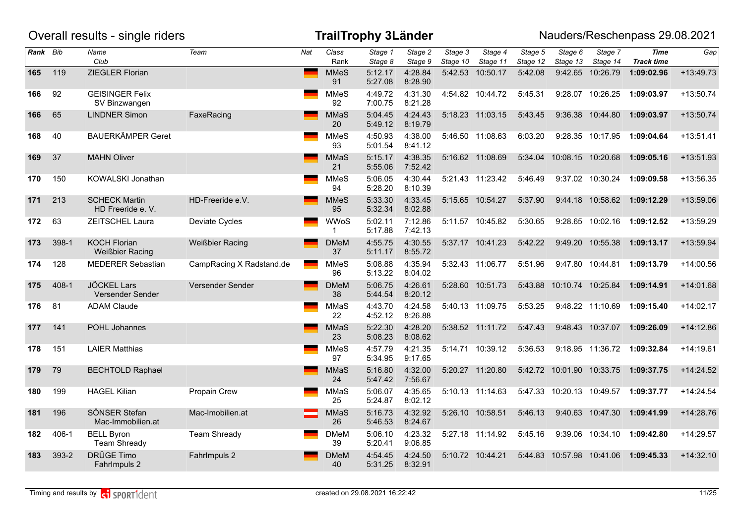|          |           | Overall results - single riders               |                          |     |                             | <b>TrailTrophy 3Länder</b> |                    |                                  |                     |                     |                           |                     | Nauders/Reschenpass 29.08.2021       |             |
|----------|-----------|-----------------------------------------------|--------------------------|-----|-----------------------------|----------------------------|--------------------|----------------------------------|---------------------|---------------------|---------------------------|---------------------|--------------------------------------|-------------|
| Rank Bib |           | Name<br>Club                                  | Team                     | Nat | Class<br>Rank               | Stage 1<br>Stage 8         | Stage 2<br>Stage 9 | $\overline{Stage}$ 3<br>Stage 10 | Stage 4<br>Stage 11 | Stage 5<br>Stage 12 | Stage 6<br>Stage 13       | Stage 7<br>Stage 14 | <b>Time</b><br><b>Track time</b>     | Gap         |
| 165      | 119       | ZIEGLER Florian                               |                          |     | <b>MMeS</b><br>91           | 5:12.17<br>5:27.08         | 4:28.84<br>8:28.90 | 5:42.53                          | 10:50.17            | 5:42.08             | 9:42.65                   | 10:26.79            | 1:09:02.96                           | $+13:49.73$ |
| 166      | 92        | <b>GEISINGER Felix</b><br>SV Binzwangen       |                          |     | <b>MMeS</b><br>92           | 4:49.72<br>7:00.75         | 4:31.30<br>8:21.28 |                                  | 4:54.82 10:44.72    | 5:45.31             |                           | 9:28.07 10:26.25    | 1:09:03.97                           | $+13:50.74$ |
| 166      | 65        | <b>LINDNER Simon</b>                          | FaxeRacing               |     | <b>MMaS</b><br>20           | 5:04.45<br>5:49.12         | 4:24.43<br>8:19.79 |                                  | 5:18.23 11:03.15    | 5:43.45             | 9:36.38                   | 10:44.80            | 1:09:03.97                           | $+13:50.74$ |
| 168      | 40        | <b>BAUERKÄMPER Geret</b>                      |                          |     | <b>MMeS</b><br>93           | 4:50.93<br>5:01.54         | 4:38.00<br>8:41.12 |                                  | 5:46.50 11:08.63    | 6:03.20             |                           | 9:28.35 10:17.95    | 1:09:04.64                           | $+13:51.41$ |
| 169      | 37        | <b>MAHN Oliver</b>                            |                          |     | <b>MMaS</b><br>21           | 5:15.17<br>5:55.06         | 4:38.35<br>7:52.42 |                                  | 5:16.62 11:08.69    | 5:34.04             | 10:08.15 10:20.68         |                     | 1:09:05.16                           | $+13:51.93$ |
| 170      | 150       | KOWALSKI Jonathan                             |                          |     | <b>MMeS</b><br>94           | 5:06.05<br>5:28.20         | 4:30.44<br>8:10.39 |                                  | 5:21.43 11:23.42    | 5:46.49             |                           | 9:37.02 10:30.24    | 1:09:09.58                           | +13:56.35   |
| 171      | 213       | <b>SCHECK Martin</b><br>HD Freeride e. V.     | HD-Freeride e.V.         |     | <b>MMeS</b><br>95           | 5:33.30<br>5:32.34         | 4:33.45<br>8:02.88 |                                  | 5:15.65 10:54.27    | 5:37.90             |                           |                     | 9:44.18 10:58.62 1:09:12.29          | +13:59.06   |
| 172      | 63        | ZEITSCHEL Laura                               | Deviate Cycles           |     | <b>WWoS</b><br>$\mathbf{1}$ | 5:02.11<br>5:17.88         | 7:12.86<br>7:42.13 |                                  | 5:11.57 10:45.82    | 5:30.65             | 9:28.65                   | 10:02.16            | 1:09:12.52                           | +13:59.29   |
| 173      | 398-1     | <b>KOCH Florian</b><br><b>Weißbier Racing</b> | <b>Weißbier Racing</b>   |     | <b>DMeM</b><br>37           | 4:55.75<br>5:11.17         | 4:30.55<br>8:55.72 |                                  | 5:37.17 10:41.23    | 5:42.22             | 9:49.20                   | 10:55.38            | 1:09:13.17                           | +13:59.94   |
| 174      | 128       | <b>MEDERER Sebastian</b>                      | CampRacing X Radstand.de |     | <b>MMeS</b><br>96           | 5:08.88<br>5:13.22         | 4:35.94<br>8:04.02 |                                  | 5:32.43 11:06.77    | 5:51.96             |                           | 9:47.80 10:44.81    | 1:09:13.79                           | $+14:00.56$ |
| 175      | $408 - 1$ | <b>JÖCKEL Lars</b><br>Versender Sender        | Versender Sender         |     | <b>DMeM</b><br>38           | 5:06.75<br>5:44.54         | 4:26.61<br>8:20.12 |                                  | 5:28.60 10:51.73    |                     | 5:43.88 10:10.74 10:25.84 |                     | 1:09:14.91                           | $+14:01.68$ |
| 176      | 81        | <b>ADAM Claude</b>                            |                          |     | MMaS<br>22                  | 4:43.70<br>4:52.12         | 4:24.58<br>8:26.88 |                                  | 5:40.13 11:09.75    | 5:53.25             |                           | 9:48.22 11:10.69    | 1:09:15.40                           | $+14:02.17$ |
| 177      | 141       | <b>POHL Johannes</b>                          |                          |     | <b>MMaS</b><br>23           | 5:22.30<br>5:08.23         | 4:28.20<br>8:08.62 |                                  | 5:38.52 11:11.72    | 5:47.43             |                           | 9:48.43 10:37.07    | 1:09:26.09                           | $+14:12.86$ |
| 178      | 151       | <b>LAIER Matthias</b>                         |                          |     | <b>MMeS</b><br>97           | 4:57.79<br>5:34.95         | 4:21.35<br>9:17.65 |                                  | 5:14.71 10:39.12    | 5:36.53             |                           | 9:18.95 11:36.72    | 1:09:32.84                           | $+14:19.61$ |
| 179      | 79        | <b>BECHTOLD Raphael</b>                       |                          |     | <b>MMaS</b><br>24           | 5:16.80<br>5:47.42         | 4:32.00<br>7:56.67 |                                  | 5:20.27 11:20.80    |                     | 5:42.72 10:01.90 10:33.75 |                     | 1:09:37.75                           | $+14:24.52$ |
| 180      | 199       | <b>HAGEL Kilian</b>                           | Propain Crew             |     | MMaS<br>25                  | 5:06.07<br>5:24.87         | 4:35.65<br>8:02.12 |                                  | 5:10.13 11:14.63    |                     |                           |                     | 5:47.33 10:20.13 10:49.57 1:09:37.77 | $+14:24.54$ |
| 181      | 196       | SÖNSER Stefan<br>Mac-Immobilien.at            | Mac-Imobilien.at         |     | <b>MMaS</b><br>26           | 5:16.73<br>5:46.53         | 4:32.92<br>8:24.67 |                                  | 5:26.10 10:58.51    | 5:46.13             |                           |                     | 9:40.63 10:47.30 1:09:41.99          | $+14:28.76$ |
| 182      | 406-1     | <b>BELL Byron</b><br><b>Team Shready</b>      | <b>Team Shready</b>      |     | <b>DMeM</b><br>39           | 5:06.10<br>5:20.41         | 4:23.32<br>9:06.85 |                                  | 5:27.18 11:14.92    | 5:45.16             |                           | 9:39.06 10:34.10    | 1:09:42.80                           | $+14:29.57$ |
| 183      | 393-2     | DRÜGE Timo<br>Fahrlmpuls 2                    | Fahrlmpuls 2             |     | <b>DMeM</b><br>40           | 4:54.45<br>5:31.25         | 4:24.50<br>8:32.91 |                                  | 5:10.72 10:44.21    |                     | 5:44.83 10:57.98          | 10:41.06            | 1:09:45.33                           | $+14:32.10$ |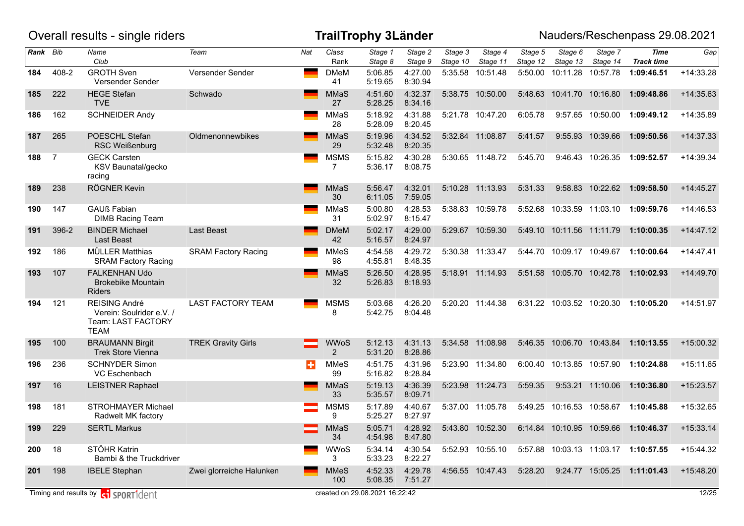|          |                | Overall results - single riders                                                       |                            |     |                               | <b>TrailTrophy 3Länder</b>     |                    |                     |                     |                     |                           |                     | Nauders/Reschenpass 29.08.2021       |             |
|----------|----------------|---------------------------------------------------------------------------------------|----------------------------|-----|-------------------------------|--------------------------------|--------------------|---------------------|---------------------|---------------------|---------------------------|---------------------|--------------------------------------|-------------|
| Rank Bib |                | Name<br>Club                                                                          | Team                       | Nat | Class<br>Rank                 | Stage 1<br>Stage 8             | Stage 2<br>Stage 9 | Stage 3<br>Stage 10 | Stage 4<br>Stage 11 | Stage 5<br>Stage 12 | Stage 6<br>Stage 13       | Stage 7<br>Stage 14 | Time<br><b>Track time</b>            | Gap         |
| 184      | 408-2          | <b>GROTH Sven</b><br>Versender Sender                                                 | Versender Sender           |     | <b>DMeM</b><br>41             | 5:06.85<br>5:19.65             | 4:27.00<br>8:30.94 |                     | 5:35.58 10:51.48    |                     | 5:50.00 10:11.28 10:57.78 |                     | 1:09:46.51                           | $+14:33.28$ |
| 185      | 222            | <b>HEGE Stefan</b><br><b>TVE</b>                                                      | Schwado                    |     | <b>MMaS</b><br>27             | 4:51.60<br>5:28.25             | 4:32.37<br>8:34.16 |                     | 5:38.75 10:50.00    |                     | 5:48.63 10:41.70 10:16.80 |                     | 1:09:48.86                           | $+14:35.63$ |
| 186      | 162            | <b>SCHNEIDER Andy</b>                                                                 |                            |     | MMaS<br>28                    | 5:18.92<br>5:28.09             | 4:31.88<br>8:20.45 |                     | 5:21.78 10:47.20    | 6:05.78             |                           |                     | 9:57.65 10:50.00 1:09:49.12          | +14:35.89   |
| 187      | 265            | POESCHL Stefan<br><b>RSC Weißenburg</b>                                               | Oldmenonnewbikes           |     | MMaS<br>29                    | 5:19.96<br>5:32.48             | 4:34.52<br>8:20.35 |                     | 5:32.84 11:08.87    | 5:41.57             |                           | 9:55.93 10:39.66    | 1:09:50.56                           | $+14:37.33$ |
| 188      | $\overline{7}$ | <b>GECK Carsten</b><br>KSV Baunatal/gecko<br>racing                                   |                            |     | <b>MSMS</b><br>7              | 5:15.82<br>5:36.17             | 4:30.28<br>8:08.75 |                     | 5:30.65 11:48.72    | 5:45.70             |                           |                     | 9:46.43 10:26.35 1:09:52.57          | $+14:39.34$ |
| 189      | 238            | RÖGNER Kevin                                                                          |                            |     | MMaS<br>30                    | 5:56.47<br>6:11.05             | 4:32.01<br>7:59.05 |                     | 5:10.28 11:13.93    | 5:31.33             |                           | 9:58.83 10:22.62    | 1:09:58.50                           | $+14:45.27$ |
| 190      | 147            | <b>GAUß Fabian</b><br><b>DIMB Racing Team</b>                                         |                            |     | MMaS<br>31                    | 5:00.80<br>5:02.97             | 4:28.53<br>8:15.47 |                     | 5:38.83 10:59.78    | 5:52.68             | 10:33.59 11:03.10         |                     | 1:09:59.76                           | $+14:46.53$ |
| 191      | 396-2          | <b>BINDER Michael</b><br>Last Beast                                                   | <b>Last Beast</b>          |     | <b>DMeM</b><br>42             | 5:02.17<br>5:16.57             | 4:29.00<br>8:24.97 |                     | 5:29.67 10:59.30    |                     | 5:49.10 10:11.56 11:11.79 |                     | 1:10:00.35                           | $+14:47.12$ |
| 192      | 186            | <b>MÜLLER Matthias</b><br><b>SRAM Factory Racing</b>                                  | <b>SRAM Factory Racing</b> |     | <b>MMeS</b><br>98             | 4:54.58<br>4:55.81             | 4:29.72<br>8:48.35 |                     | 5:30.38 11:33.47    |                     | 5:44.70 10:09.17 10:49.67 |                     | 1:10:00.64                           | $+14:47.41$ |
| 193      | 107            | <b>FALKENHAN Udo</b><br><b>Brokebike Mountain</b><br>Riders                           |                            |     | MMaS<br>32                    | 5:26.50<br>5:26.83             | 4:28.95<br>8:18.93 |                     | 5:18.91 11:14.93    |                     |                           |                     | 5:51.58 10:05.70 10:42.78 1:10:02.93 | $+14:49.70$ |
| 194      | 121            | <b>REISING André</b><br>Verein: Soulrider e.V. /<br>Team: LAST FACTORY<br><b>TEAM</b> | <b>LAST FACTORY TEAM</b>   |     | <b>MSMS</b><br>8              | 5:03.68<br>5:42.75             | 4:26.20<br>8:04.48 |                     | 5:20.20 11:44.38    |                     |                           |                     | 6:31.22 10:03.52 10:20.30 1:10:05.20 | $+14:51.97$ |
| 195      | 100            | <b>BRAUMANN Birgit</b><br><b>Trek Store Vienna</b>                                    | <b>TREK Gravity Girls</b>  |     | <b>WWoS</b><br>$\overline{2}$ | 5:12.13<br>5:31.20             | 4:31.13<br>8:28.86 |                     | 5:34.58 11:08.98    |                     |                           |                     | 5:46.35 10:06.70 10:43.84 1:10:13.55 | $+15:00.32$ |
| 196      | 236            | <b>SCHNYDER Simon</b><br>VC Eschenbach                                                |                            | ÷   | <b>MMeS</b><br>99             | 4:51.75<br>5:16.82             | 4:31.96<br>8:28.84 |                     | 5:23.90 11:34.80    |                     | 6:00.40 10:13.85 10:57.90 |                     | 1:10:24.88                           | $+15:11.65$ |
| 197      | 16             | <b>LEISTNER Raphael</b>                                                               |                            |     | MMaS<br>33                    | 5:19.13<br>5:35.57             | 4:36.39<br>8:09.71 |                     | 5:23.98 11:24.73    | 5:59.35             |                           | 9:53.21 11:10.06    | 1:10:36.80                           | $+15:23.57$ |
| 198      | 181            | <b>STROHMAYER Michael</b><br>Radwelt MK factory                                       |                            |     | <b>MSMS</b><br>9              | 5:17.89<br>5:25.27             | 4:40.67<br>8:27.97 |                     | 5:37.00 11:05.78    |                     | 5:49.25 10:16.53 10:58.67 |                     | 1:10:45.88                           | $+15:32.65$ |
| 199      | 229            | <b>SERTL Markus</b>                                                                   |                            |     | MMaS<br>34                    | 5:05.71<br>4:54.98             | 4:28.92<br>8:47.80 |                     | 5:43.80 10:52.30    |                     |                           |                     | 6:14.84 10:10.95 10:59.66 1:10:46.37 | $+15:33.14$ |
| 200      | 18             | STÖHR Katrin<br>Bambi & the Truckdriver                                               |                            |     | WWoS<br>3                     | 5:34.14<br>5:33.23             | 4:30.54<br>8:22.27 |                     | 5:52.93 10:55.10    |                     |                           |                     | 5:57.88 10:03.13 11:03.17 1:10:57.55 | $+15:44.32$ |
| 201      | 198            | <b>IBELE Stephan</b>                                                                  | Zwei glorreiche Halunken   |     | <b>MMeS</b><br>100            | 4:52.33<br>5:08.35             | 4:29.78<br>7:51.27 |                     | 4:56.55 10:47.43    | 5:28.20             |                           |                     | 9:24.77 15:05.25 1:11:01.43          | $+15:48.20$ |
|          |                | Timing and results by <b>container that the SPORT1</b> dent                           |                            |     |                               | created on 29.08.2021 16:22:42 |                    |                     |                     |                     |                           |                     |                                      | 12/25       |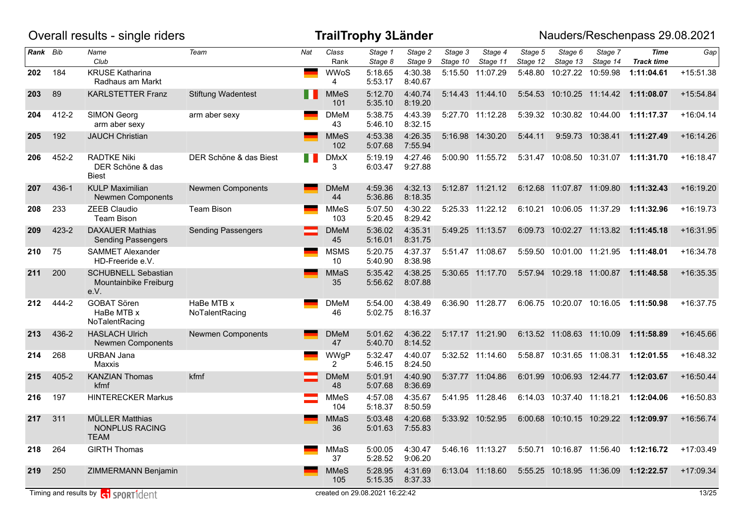|          |           | Overall results - single riders                                                                                                                                                                                                      |                              |     |                        | <b>TrailTrophy 3Länder</b>     |                            |                     |                     |                     |                           |                           | Nauders/Reschenpass 29.08.2021       |             |
|----------|-----------|--------------------------------------------------------------------------------------------------------------------------------------------------------------------------------------------------------------------------------------|------------------------------|-----|------------------------|--------------------------------|----------------------------|---------------------|---------------------|---------------------|---------------------------|---------------------------|--------------------------------------|-------------|
| Rank Bib |           | Name<br>Club                                                                                                                                                                                                                         | Team                         | Nat | Class<br>Rank          | Stage 1<br>Stage 8             | Stage 2<br>Stage 9         | Stage 3<br>Stage 10 | Stage 4<br>Stage 11 | Stage 5<br>Stage 12 | Stage 6<br>Stage 13       | Stage 7<br>Stage 14       | <b>Time</b><br><b>Track time</b>     | Gap         |
| 202      | 184       | <b>KRUSE Katharina</b><br>Radhaus am Markt                                                                                                                                                                                           |                              |     | <b>WWoS</b><br>4       | 5:18.65<br>5:53.17             | 4:30.38<br>8:40.67         |                     | 5:15.50 11:07.29    | 5:48.80             |                           | 10:27.22 10:59.98         | 1:11:04.61                           | $+15:51.38$ |
| 203      | 89        | <b>KARLSTETTER Franz</b>                                                                                                                                                                                                             | <b>Stiftung Wadentest</b>    | . . | <b>MMeS</b><br>101     | 5:12.70<br>5:35.10             | 4:40.74<br>8:19.20         |                     | 5:14.43 11:44.10    | 5:54.53             |                           |                           | 10:10.25  11:14.42  1:11:08.07       | $+15:54.84$ |
| 204      | 412-2     | <b>SIMON Georg</b><br>arm aber sexy                                                                                                                                                                                                  | arm aber sexy                |     | <b>DMeM</b><br>43      | 5:38.75<br>5:46.10             | 4:43.39<br>8:32.15         |                     | 5:27.70 11:12.28    |                     |                           | 5:39.32 10:30.82 10:44.00 | 1:11:17.37                           | $+16:04.14$ |
| 205      | 192       | <b>JAUCH Christian</b>                                                                                                                                                                                                               |                              |     | <b>MMeS</b><br>102     | 4:53.38<br>5:07.68             | 4:26.35<br>7:55.94         |                     | 5:16.98 14:30.20    | 5:44.11             |                           | 9:59.73 10:38.41          | 1:11:27.49                           | $+16:14.26$ |
| 206      | 452-2     | <b>RADTKE Niki</b><br>DER Schöne & das<br><b>Biest</b>                                                                                                                                                                               | DER Schöne & das Biest       | H H | <b>DMxX</b><br>3       | 5:19.19<br>6:03.47             | 4:27.46<br>9:27.88         |                     | 5:00.90 11:55.72    |                     |                           |                           | 5:31.47 10:08.50 10:31.07 1:11:31.70 | $+16:18.47$ |
| 207      | 436-1     | <b>KULP Maximilian</b><br><b>Newmen Components</b>                                                                                                                                                                                   | <b>Newmen Components</b>     |     | <b>DMeM</b><br>44      | 4:59.36<br>5:36.86             | 4:32.13<br>8:18.35         |                     | 5:12.87 11:21.12    | 6:12.68             | 11:07.87 11:09.80         |                           | 1:11:32.43                           | $+16:19.20$ |
| 208      | 233       | <b>ZEEB Claudio</b><br>Team Bison                                                                                                                                                                                                    | <b>Team Bison</b>            |     | <b>MMeS</b><br>103     | 5:07.50<br>5:20.45             | 4:30.22<br>8:29.42         |                     | 5:25.33 11:22.12    | 6:10.21             | 10:06.05 11:37.29         |                           | 1:11:32.96                           | $+16:19.73$ |
| 209      | 423-2     | <b>DAXAUER Mathias</b><br><b>Sending Passengers</b>                                                                                                                                                                                  | <b>Sending Passengers</b>    |     | <b>DMeM</b><br>45      | 5:36.02<br>5:16.01             | 4:35.31<br>8:31.75         |                     | 5:49.25 11:13.57    | 6:09.73             |                           |                           | 10:02.27 11:13.82 1:11:45.18         | $+16:31.95$ |
| 210      | 75        | <b>SAMMET Alexander</b><br>HD-Freeride e.V.                                                                                                                                                                                          |                              |     | <b>MSMS</b><br>10      | 5:20.75<br>5:40.90             | 4:37.37<br>8:38.98         |                     | 5:51.47 11:08.67    | 5:59.50             | 10:01.00 11:21.95         |                           | 1:11:48.01                           | +16:34.78   |
| 211      | 200       | <b>SCHUBNELL Sebastian</b><br>Mountainbike Freiburg<br>e.V.                                                                                                                                                                          |                              |     | MMaS<br>35             | 5:35.42<br>5:56.62             | 4:38.25<br>8:07.88         |                     | 5:30.65 11:17.70    |                     |                           |                           | 5:57.94 10:29.18 11:00.87 1:11:48.58 | $+16:35.35$ |
| 212      | 444-2     | <b>GOBAT Sören</b><br>HaBe MTB x<br>NoTalentRacing                                                                                                                                                                                   | HaBe MTB x<br>NoTalentRacing |     | <b>DMeM</b><br>46      | 5:54.00<br>5:02.75             | 4:38.49<br>8:16.37         |                     | 6:36.90 11:28.77    |                     |                           | 6:06.75 10:20.07 10:16.05 | 1:11:50.98                           | $+16:37.75$ |
| 213      | 436-2     | <b>HASLACH Ulrich</b><br><b>Newmen Components</b>                                                                                                                                                                                    | <b>Newmen Components</b>     |     | <b>DMeM</b><br>47      | 5:01.62<br>5:40.70             | 4:36.22<br>8:14.52         |                     | 5:17.17 11:21.90    |                     | 6:13.52 11:08.63 11:10.09 |                           | 1:11:58.89                           | +16:45.66   |
| 214      | 268       | <b>URBAN Jana</b><br>Maxxis                                                                                                                                                                                                          |                              |     | WWgP<br>$\overline{2}$ | 5:32.47<br>5:46.15             | 4:40.07<br>8:24.50         |                     | 5:32.52 11:14.60    |                     | 5:58.87 10:31.65 11:08.31 |                           | 1:12:01.55                           | +16:48.32   |
| 215      | $405 - 2$ | <b>KANZIAN Thomas</b><br>kfmf                                                                                                                                                                                                        | kfmf                         |     | <b>DMeM</b><br>48      | 5:01.91<br>5:07.68             | 4:40.90<br>8:36.69         |                     | 5:37.77 11:04.86    | 6:01.99             |                           | 10:06.93 12:44.77         | 1:12:03.67                           | $+16:50.44$ |
| 216      | 197       | <b>HINTERECKER Markus</b>                                                                                                                                                                                                            |                              |     | <b>MMeS</b><br>104     | 4:57.08<br>5:18.37             | 4:35.67<br>8:50.59         |                     | 5:41.95 11:28.46    |                     | 6:14.03 10:37.40 11:18.21 |                           | 1:12:04.06                           | +16:50.83   |
| 217      | 311       | <b>MÜLLER Matthias</b><br>NONPLUS RACING<br><b>TEAM</b>                                                                                                                                                                              |                              |     | MMaS<br>36             | 5:03.48                        | 4:20.68<br>5:01.63 7:55.83 |                     | 5:33.92 10:52.95    | 6:00.68             |                           | 10:10.15 10:29.22         | 1:12:09.97                           | +16:56.74   |
| 218      | 264       | <b>GIRTH Thomas</b>                                                                                                                                                                                                                  |                              |     | MMaS<br>37             | 5:00.05<br>5:28.52             | 4:30.47<br>9:06.20         |                     | 5:46.16 11:13.27    |                     |                           |                           | 5:50.71 10:16.87 11:56.40 1:12:16.72 | +17:03.49   |
| 219      | 250       | ZIMMERMANN Benjamin                                                                                                                                                                                                                  |                              |     | <b>MMeS</b><br>105     | 5:28.95<br>5:15.35             | 4:31.69<br>8:37.33         |                     | 6:13.04 11:18.60    |                     |                           |                           | 5:55.25 10:18.95 11:36.09 1:12:22.57 | $+17:09.34$ |
|          |           | Timing and results by <b>c</b> operation to separate the set of the set of the Timeration of the Timeration of the Timeration of the Timeration of the Timeration of the Timeration of the Timeration of the Timeration of the Timer |                              |     |                        | created on 29.08.2021 16:22:42 |                            |                     |                     |                     |                           |                           |                                      | 13/25       |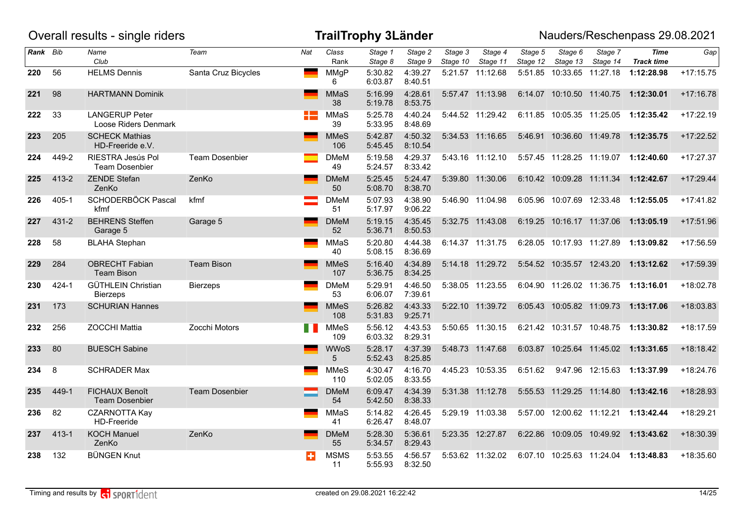|          |           | Overall results - single riders                |                       |      |                    | <b>TrailTrophy 3Länder</b> |                    |                     |                     |                     |                             |                     | Nauders/Reschenpass 29.08.2021       |             |
|----------|-----------|------------------------------------------------|-----------------------|------|--------------------|----------------------------|--------------------|---------------------|---------------------|---------------------|-----------------------------|---------------------|--------------------------------------|-------------|
| Rank Bib |           | Name<br>Club                                   | Team                  | Nat  | Class<br>Rank      | Stage 1<br>Stage 8         | Stage 2<br>Stage 9 | Stage 3<br>Stage 10 | Stage 4<br>Stage 11 | Stage 5<br>Stage 12 | Stage 6<br>Stage 13         | Stage 7<br>Stage 14 | Time<br><b>Track time</b>            | Gap         |
| 220      | 56        | <b>HELMS Dennis</b>                            | Santa Cruz Bicycles   | ست ا | MMgP<br>6          | 5:30.82<br>6:03.87         | 4:39.27<br>8:40.51 |                     | 5:21.57 11:12.68    |                     | 5:51.85 10:33.65 11:27.18   |                     | 1:12:28.98                           | $+17:15.75$ |
| 221      | 98        | <b>HARTMANN Dominik</b>                        |                       |      | MMaS<br>38         | 5:16.99<br>5:19.78         | 4:28.61<br>8:53.75 |                     | 5:57.47 11:13.98    |                     | 6:14.07 10:10.50 11:40.75   |                     | 1:12:30.01                           | $+17:16.78$ |
| 222      | 33        | <b>LANGERUP Peter</b><br>Loose Riders Denmark  |                       |      | MMaS<br>39         | 5:25.78<br>5:33.95         | 4:40.24<br>8:48.69 |                     | 5:44.52 11:29.42    |                     | 6:11.85 10:05.35 11:25.05   |                     | 1:12:35.42                           | $+17:22.19$ |
| 223      | 205       | <b>SCHECK Mathias</b><br>HD-Freeride e.V.      |                       |      | <b>MMeS</b><br>106 | 5:42.87<br>5:45.45         | 4:50.32<br>8:10.54 |                     | 5:34.53 11:16.65    |                     | 5:46.91  10:36.60  11:49.78 |                     | 1:12:35.75                           | $+17:22.52$ |
| 224      | 449-2     | RIESTRA Jesús Pol<br><b>Team Dosenbier</b>     | <b>Team Dosenbier</b> |      | <b>DMeM</b><br>49  | 5:19.58<br>5:24.57         | 4:29.37<br>8:33.42 |                     | 5:43.16 11:12.10    |                     | 5:57.45 11:28.25 11:19.07   |                     | 1:12:40.60                           | +17:27.37   |
| 225      | 413-2     | <b>ZENDE Stefan</b><br>ZenKo                   | ZenKo                 |      | <b>DMeM</b><br>50  | 5:25.45<br>5:08.70         | 5:24.47<br>8:38.70 |                     | 5:39.80 11:30.06    |                     |                             |                     | 6:10.42 10:09.28 11:11.34 1:12:42.67 | $+17:29.44$ |
| 226      | 405-1     | SCHODERBÖCK Pascal<br>kfmf                     | kfmf                  |      | <b>DMeM</b><br>51  | 5:07.93<br>5:17.97         | 4:38.90<br>9:06.22 |                     | 5:46.90 11:04.98    |                     | 6:05.96 10:07.69 12:33.48   |                     | 1:12:55.05                           | $+17:41.82$ |
| 227      | $431 - 2$ | <b>BEHRENS Steffen</b><br>Garage 5             | Garage 5              |      | <b>DMeM</b><br>52  | 5:19.15<br>5:36.71         | 4:35.45<br>8:50.53 |                     | 5:32.75 11:43.08    |                     | 6:19.25 10:16.17 11:37.06   |                     | 1:13:05.19                           | $+17:51.96$ |
| 228      | 58        | <b>BLAHA Stephan</b>                           |                       |      | MMaS<br>40         | 5:20.80<br>5:08.15         | 4:44.38<br>8:36.69 |                     | 6:14.37 11:31.75    |                     | 6:28.05 10:17.93 11:27.89   |                     | 1:13:09.82                           | $+17:56.59$ |
| 229      | 284       | <b>OBRECHT Fabian</b><br><b>Team Bison</b>     | <b>Team Bison</b>     |      | <b>MMeS</b><br>107 | 5:16.40<br>5:36.75         | 4:34.89<br>8:34.25 |                     | 5:14.18 11:29.72    |                     | 5:54.52 10:35.57 12:43.20   |                     | 1:13:12.62                           | $+17:59.39$ |
| 230      | $424 - 1$ | <b>GÜTHLEIN Christian</b><br><b>Bierzeps</b>   | <b>Bierzeps</b>       |      | <b>DMeM</b><br>53  | 5:29.91<br>6:06.07         | 4:46.50<br>7:39.61 |                     | 5:38.05 11:23.55    |                     | 6:04.90 11:26.02 11:36.75   |                     | 1:13:16.01                           | $+18:02.78$ |
| 231      | 173       | <b>SCHURIAN Hannes</b>                         |                       |      | <b>MMeS</b><br>108 | 5:26.82<br>5:31.83         | 4:43.33<br>9:25.71 |                     | 5:22.10 11:39.72    |                     | 6:05.43 10:05.82 11:09.73   |                     | 1:13:17.06                           | $+18:03.83$ |
| 232      | 256       | <b>ZOCCHI Mattia</b>                           | Zocchi Motors         |      | <b>MMeS</b><br>109 | 5:56.12<br>6:03.32         | 4:43.53<br>8:29.31 |                     | 5:50.65 11:30.15    |                     | 6:21.42 10:31.57 10:48.75   |                     | 1:13:30.82                           | $+18:17.59$ |
| 233      | 80        | <b>BUESCH Sabine</b>                           |                       |      | <b>WWoS</b><br>5   | 5:28.17<br>5:52.43         | 4:37.39<br>8:25.85 |                     | 5:48.73 11:47.68    |                     | 6:03.87 10:25.64 11:45.02   |                     | 1:13:31.65                           | $+18:18.42$ |
| 234      | 8         | <b>SCHRADER Max</b>                            |                       |      | <b>MMeS</b><br>110 | 4:30.47<br>5:02.05         | 4:16.70<br>8:33.55 |                     | 4:45.23 10:53.35    | 6:51.62             |                             | 9:47.96 12:15.63    | 1:13:37.99                           | $+18:24.76$ |
| 235      | 449-1     | <b>FICHAUX Benoît</b><br><b>Team Dosenbier</b> | <b>Team Dosenbier</b> |      | <b>DMeM</b><br>54  | 6:09.47<br>5:42.50         | 4:34.39<br>8:38.33 |                     | 5:31.38 11:12.78    |                     | 5:55.53 11:29.25 11:14.80   |                     | 1:13:42.16                           | +18:28.93   |
| 236      | 82        | <b>CZARNOTTA Kay</b><br><b>HD-Freeride</b>     |                       |      | MMaS<br>41         | 5:14.82<br>6:26.47         | 4:26.45<br>8:48.07 |                     | 5:29.19 11:03.38    |                     | 5:57.00 12:00.62 11:12.21   |                     | 1:13:42.44                           | $+18:29.21$ |
| 237      | $413 - 1$ | <b>KOCH Manuel</b><br>ZenKo                    | ZenKo                 |      | <b>DMeM</b><br>55  | 5:28.30<br>5:34.57         | 5:36.61<br>8:29.43 |                     | 5:23.35 12:27.87    |                     |                             |                     | 6:22.86 10:09.05 10:49.92 1:13:43.62 | +18:30.39   |
| 238      | 132       | <b>BÜNGEN Knut</b>                             |                       | ÷    | <b>MSMS</b><br>11  | 5:53.55<br>5:55.93         | 4:56.57<br>8:32.50 |                     | 5:53.62 11:32.02    |                     |                             |                     | 6:07.10 10:25.63 11:24.04 1:13:48.83 | $+18:35.60$ |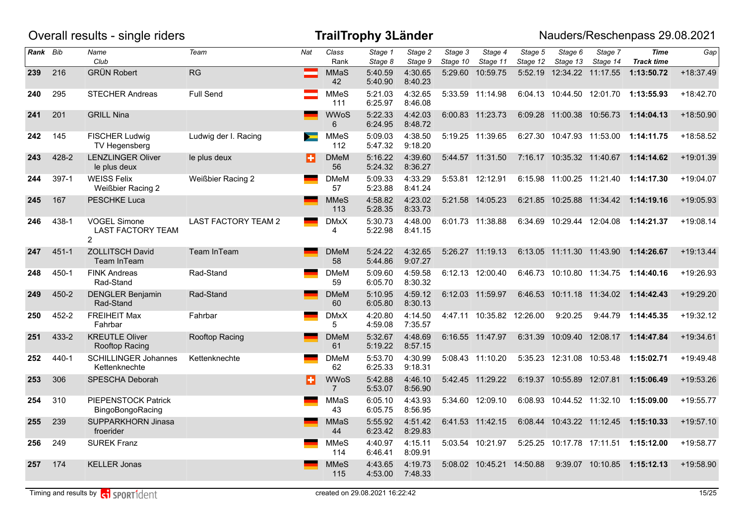|          |           | Overall results - single riders                                   |                          |     |                                | <b>TrailTrophy 3Länder</b> |                    |                     |                           |                     |                             |                     | Nauders/Reschenpass 29.08.2021       |             |
|----------|-----------|-------------------------------------------------------------------|--------------------------|-----|--------------------------------|----------------------------|--------------------|---------------------|---------------------------|---------------------|-----------------------------|---------------------|--------------------------------------|-------------|
| Rank Bib |           | Name<br>Club                                                      | Team                     | Nat | Class<br>Rank                  | Stage 1<br>Stage 8         | Stage 2<br>Stage 9 | Stage 3<br>Stage 10 | Stage 4<br>Stage 11       | Stage 5<br>Stage 12 | Stage 6<br>Stage 13         | Stage 7<br>Stage 14 | <b>Time</b><br><b>Track time</b>     | Gap         |
| 239      | 216       | <b>GRÜN Robert</b>                                                | RG                       |     | <b>MMaS</b><br>42              | 5:40.59<br>5:40.90         | 4:30.65<br>8:40.23 |                     | 5:29.60 10:59.75          |                     | 5:52.19  12:34.22  11:17.55 |                     | 1:13:50.72                           | +18:37.49   |
| 240      | 295       | <b>STECHER Andreas</b>                                            | Full Send                |     | MMeS<br>111                    | 5:21.03<br>6:25.97         | 4:32.65<br>8:46.08 |                     | 5:33.59 11:14.98          |                     |                             |                     | 6:04.13 10:44.50 12:01.70 1:13:55.93 | $+18:42.70$ |
| 241      | 201       | <b>GRILL Nina</b>                                                 |                          |     | <b>WWoS</b><br>6               | 5:22.33<br>6:24.95         | 4:42.03<br>8:48.72 |                     | 6:00.83 11:23.73          |                     | 6:09.28 11:00.38 10:56.73   |                     | 1:14:04.13                           | +18:50.90   |
| 242      | 145       | <b>FISCHER Ludwig</b><br>TV Hegensberg                            | Ludwig der I. Racing     |     | <b>MMeS</b><br>112             | 5:09.03<br>5:47.32         | 4:38.50<br>9:18.20 |                     | 5:19.25 11:39.65          |                     |                             |                     | 6:27.30 10:47.93 11:53.00 1:14:11.75 | +18:58.52   |
| 243      | 428-2     | <b>LENZLINGER Oliver</b><br>le plus deux                          | le plus deux             | Н   | <b>DMeM</b><br>56              | 5:16.22<br>5:24.32         | 4:39.60<br>8:36.27 |                     | 5:44.57 11:31.50          |                     |                             |                     | 7:16.17 10:35.32 11:40.67 1:14:14.62 | $+19:01.39$ |
| 244      | 397-1     | <b>WEISS Felix</b><br>Weißbier Racing 2                           | <b>Weißbier Racing 2</b> |     | <b>DMeM</b><br>57              | 5:09.33<br>5:23.88         | 4:33.29<br>8:41.24 |                     | 5:53.81 12:12.91          |                     |                             |                     | 6:15.98 11:00.25 11:21.40 1:14:17.30 | $+19:04.07$ |
| 245      | 167       | <b>PESCHKE Luca</b>                                               |                          |     | <b>MMeS</b><br>113             | 4:58.82<br>5:28.35         | 4:23.02<br>8:33.73 |                     | 5:21.58 14:05.23          |                     |                             |                     | 6:21.85 10:25.88 11:34.42 1:14:19.16 | +19:05.93   |
| 246      | 438-1     | <b>VOGEL Simone</b><br><b>LAST FACTORY TEAM</b><br>$\overline{2}$ | LAST FACTORY TEAM 2      |     | <b>DMxX</b><br>4               | 5:30.73<br>5:22.98         | 4:48.00<br>8:41.15 |                     | 6:01.73 11:38.88          |                     |                             |                     | 6:34.69 10:29.44 12:04.08 1:14:21.37 | $+19:08.14$ |
| 247      | $451 - 1$ | <b>ZOLLITSCH David</b><br>Team InTeam                             | Team InTeam              |     | <b>DMeM</b><br>58              | 5:24.22<br>5:44.86         | 4:32.65<br>9:07.27 |                     | 5:26.27 11:19.13          |                     |                             |                     | 6:13.05 11:11.30 11:43.90 1:14:26.67 | $+19:13.44$ |
| 248      | 450-1     | <b>FINK Andreas</b><br>Rad-Stand                                  | Rad-Stand                |     | <b>DMeM</b><br>59              | 5:09.60<br>6:05.70         | 4:59.58<br>8:30.32 |                     | 6:12.13 12:00.40          |                     |                             |                     | 6:46.73 10:10.80 11:34.75 1:14:40.16 | +19:26.93   |
| 249      | 450-2     | <b>DENGLER Benjamin</b><br>Rad-Stand                              | Rad-Stand                |     | <b>DMeM</b><br>60              | 5:10.95<br>6:05.80         | 4:59.12<br>8:30.13 |                     | 6:12.03 11:59.97          |                     |                             |                     | 6:46.53 10:11.18 11:34.02 1:14:42.43 | +19:29.20   |
| 250      | 452-2     | <b>FREIHEIT Max</b><br>Fahrbar                                    | Fahrbar                  |     | <b>DMxX</b><br>5               | 4:20.80<br>4:59.08         | 4:14.50<br>7:35.57 |                     | 4:47.11 10:35.82 12:26.00 |                     | 9:20.25                     |                     | 9:44.79 1:14:45.35                   | $+19:32.12$ |
| 251      | 433-2     | <b>KREUTLE Oliver</b><br>Rooftop Racing                           | Rooftop Racing           |     | <b>DMeM</b><br>61              | 5:32.67<br>5:19.22         | 4:48.69<br>8:57.15 |                     | 6:16.55 11:47.97          |                     |                             |                     | 6:31.39 10:09.40 12:08.17 1:14:47.84 | $+19:34.61$ |
| 252      | 440-1     | <b>SCHILLINGER Johannes</b><br>Kettenknechte                      | Kettenknechte            |     | <b>DMeM</b><br>62              | 5:53.70<br>6:25.33         | 4:30.99<br>9:18.31 |                     | 5:08.43 11:10.20          |                     |                             |                     | 5:35.23 12:31.08 10:53.48 1:15:02.71 | +19:49.48   |
| 253      | 306       | <b>SPESCHA Deborah</b>                                            |                          | п   | <b>WWoS</b><br>$7\overline{ }$ | 5:42.88<br>5:53.07         | 4:46.10<br>8:56.90 |                     | 5:42.45 11:29.22          |                     | 6:19.37 10:55.89 12:07.81   |                     | 1:15:06.49                           | $+19:53.26$ |
| 254      | 310       | PIEPENSTOCK Patrick<br>BingoBongoRacing                           |                          |     | MMaS<br>43                     | 6:05.10<br>6:05.75         | 4:43.93<br>8:56.95 |                     | 5:34.60 12:09.10          |                     |                             |                     | 6:08.93 10:44.52 11:32.10 1:15:09.00 | +19:55.77   |
| 255      | 239       | SUPPARKHORN Jinasa<br>froerider                                   |                          |     | <b>MMaS</b><br>44              | 5:55.92<br>6:23.42         | 4:51.42<br>8:29.83 |                     | 6:41.53 11:42.15          |                     |                             |                     | 6:08.44 10:43.22 11:12.45 1:15:10.33 | $+19:57.10$ |
| 256      | 249       | <b>SUREK Franz</b>                                                |                          |     | <b>MMeS</b><br>114             | 4:40.97<br>6:46.41         | 4:15.11<br>8:09.91 |                     | 5:03.54 10:21.97          |                     |                             |                     | 5:25.25 10:17.78 17:11.51 1:15:12.00 | $+19:58.77$ |
| 257      | 174       | <b>KELLER Jonas</b>                                               |                          |     | <b>MMeS</b><br>115             | 4:43.65<br>4:53.00         | 4:19.73<br>7:48.33 |                     | 5:08.02 10:45.21 14:50.88 |                     |                             | 9:39.07 10:10.85    | 1:15:12.13                           | +19:58.90   |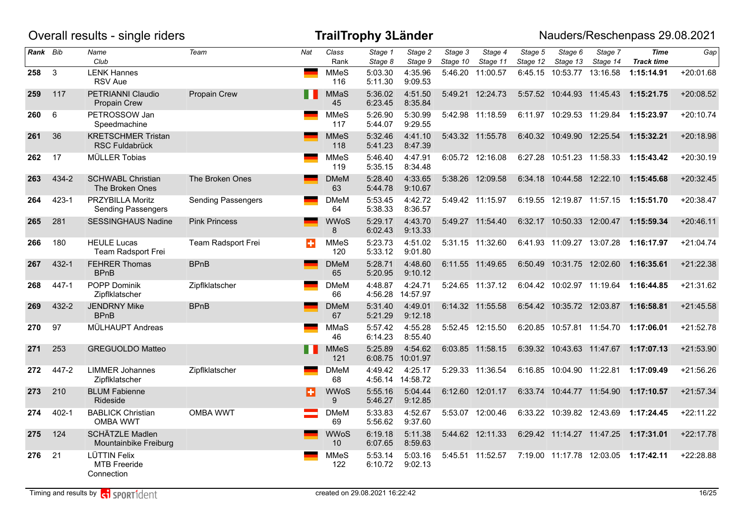|          |              | Overall results - single riders                          |                           |     |                    | <b>TrailTrophy 3Länder</b> |                     |                     |                     |                     |                           |                           | Nauders/Reschenpass 29.08.2021       |             |
|----------|--------------|----------------------------------------------------------|---------------------------|-----|--------------------|----------------------------|---------------------|---------------------|---------------------|---------------------|---------------------------|---------------------------|--------------------------------------|-------------|
| Rank Bib |              | Name<br>Club                                             | Team                      | Nat | Class<br>Rank      | Stage 1<br>Stage 8         | Stage 2<br>Stage 9  | Stage 3<br>Stage 10 | Stage 4<br>Stage 11 | Stage 5<br>Stage 12 | Stage 6<br>Stage 13       | Stage 7<br>Stage 14       | <b>Time</b><br><b>Track time</b>     | Gap         |
| 258      | $\mathbf{3}$ | <b>LENK Hannes</b><br><b>RSV</b> Aue                     |                           |     | <b>MMeS</b><br>116 | 5:03.30<br>5:11.30         | 4:35.96<br>9:09.53  | 5:46.20             | 11:00.57            | 6:45.15             | 10:53.77 13:16.58         |                           | 1:15:14.91                           | $+20:01.68$ |
| 259      | 117          | PETRIANNI Claudio<br>Propain Crew                        | Propain Crew              |     | MMaS<br>45         | 5:36.02<br>6:23.45         | 4:51.50<br>8:35.84  |                     | 5:49.21 12:24.73    |                     | 5:57.52 10:44.93 11:45.43 |                           | 1:15:21.75                           | +20:08.52   |
| 260      | $\,6\,$      | PETROSSOW Jan<br>Speedmachine                            |                           |     | <b>MMeS</b><br>117 | 5:26.90<br>5:44.07         | 5:30.99<br>9:29.55  |                     | 5:42.98 11:18.59    |                     | 6:11.97 10:29.53 11:29.84 |                           | 1:15:23.97                           | $+20:10.74$ |
| 261      | 36           | <b>KRETSCHMER Tristan</b><br>RSC Fuldabrück              |                           |     | <b>MMeS</b><br>118 | 5:32.46<br>5:41.23         | 4:41.10<br>8:47.39  |                     | 5:43.32 11:55.78    |                     | 6:40.32 10:49.90 12:25.54 |                           | 1:15:32.21                           | $+20:18.98$ |
| 262      | 17           | <b>MÜLLER Tobias</b>                                     |                           |     | <b>MMeS</b><br>119 | 5:46.40<br>5:35.15         | 4:47.91<br>8:34.48  |                     | 6:05.72 12:16.08    |                     | 6:27.28 10:51.23 11:58.33 |                           | 1:15:43.42                           | $+20:30.19$ |
| 263      | 434-2        | <b>SCHWABL Christian</b><br>The Broken Ones              | The Broken Ones           |     | <b>DMeM</b><br>63  | 5:28.40<br>5:44.78         | 4:33.65<br>9:10.67  |                     | 5:38.26 12:09.58    |                     |                           |                           | 6:34.18 10:44.58 12:22.10 1:15:45.68 | $+20:32.45$ |
| 264      | $423 - 1$    | PRZYBILLA Moritz<br><b>Sending Passengers</b>            | <b>Sending Passengers</b> |     | <b>DMeM</b><br>64  | 5:53.45<br>5:38.33         | 4:42.72<br>8:36.57  |                     | 5:49.42 11:15.97    |                     | 6:19.55 12:19.87 11:57.15 |                           | 1:15:51.70                           | $+20:38.47$ |
| 265      | 281          | <b>SESSINGHAUS Nadine</b>                                | <b>Pink Princess</b>      |     | <b>WWoS</b><br>8   | 5:29.17<br>6:02.43         | 4:43.70<br>9:13.33  |                     | 5:49.27 11:54.40    |                     |                           | 6:32.17 10:50.33 12:00.47 | 1:15:59.34                           | $+20:46.11$ |
| 266      | 180          | <b>HEULE Lucas</b><br>Team Radsport Frei                 | Team Radsport Frei        | ÷   | <b>MMeS</b><br>120 | 5:23.73<br>5:33.12         | 4:51.02<br>9:01.80  |                     | 5:31.15 11:32.60    |                     | 6:41.93 11:09.27 13:07.28 |                           | 1:16:17.97                           | $+21:04.74$ |
| 267      | 432-1        | <b>FEHRER Thomas</b><br><b>BPnB</b>                      | <b>BPnB</b>               |     | <b>DMeM</b><br>65  | 5:28.71<br>5:20.95         | 4:48.60<br>9:10.12  |                     | 6:11.55 11:49.65    |                     |                           |                           | 6:50.49 10:31.75 12:02.60 1:16:35.61 | $+21:22.38$ |
| 268      | 447-1        | POPP Dominik<br>Zipflklatscher                           | Zipflklatscher            |     | <b>DMeM</b><br>66  | 4:48.87<br>4:56.28         | 4:24.71<br>14:57.97 |                     | 5:24.65 11:37.12    |                     | 6:04.42 10:02.97 11:19.64 |                           | 1:16:44.85                           | $+21:31.62$ |
| 269      | 432-2        | <b>JENDRNY Mike</b><br><b>BPnB</b>                       | <b>BPnB</b>               |     | <b>DMeM</b><br>67  | 5:31.40<br>5:21.29         | 4:49.01<br>9:12.18  |                     | 6:14.32 11:55.58    |                     | 6:54.42 10:35.72 12:03.87 |                           | 1:16:58.81                           | $+21:45.58$ |
| 270      | 97           | MÜLHAUPT Andreas                                         |                           |     | <b>MMaS</b><br>46  | 5:57.42<br>6:14.23         | 4:55.28<br>8:55.40  |                     | 5:52.45 12:15.50    |                     | 6:20.85 10:57.81 11:54.70 |                           | 1:17:06.01                           | +21:52.78   |
| 271      | 253          | GREGUOLDO Matteo                                         |                           | H   | <b>MMeS</b><br>121 | 5:25.89<br>6:08.75         | 4:54.62<br>10:01.97 |                     | 6:03.85 11:58.15    |                     |                           |                           | 6:39.32 10:43.63 11:47.67 1:17:07.13 | $+21:53.90$ |
| 272      | 447-2        | <b>LIMMER Johannes</b><br>Zipflklatscher                 | Zipflklatscher            |     | <b>DMeM</b><br>68  | 4:49.42<br>4:56.14         | 4:25.17<br>14:58.72 |                     | 5:29.33 11:36.54    |                     | 6:16.85 10:04.90 11:22.81 |                           | 1:17:09.49                           | $+21:56.26$ |
| 273      | 210          | <b>BLUM Fabienne</b><br>Rideside                         |                           | ю   | <b>WWoS</b><br>9   | 5:55.16<br>5:46.27         | 5:04.44<br>9:12.85  |                     | 6:12.60 12:01.17    |                     | 6:33.74 10:44.77 11:54.90 |                           | 1:17:10.57                           | $+21:57.34$ |
| 274      | $402 - 1$    | <b>BABLICK Christian</b><br><b>OMBA WWT</b>              | <b>OMBA WWT</b>           |     | <b>DMeM</b><br>69  | 5:33.83<br>5:56.62         | 4:52.67<br>9:37.60  |                     | 5:53.07 12:00.46    |                     | 6:33.22 10:39.82 12:43.69 |                           | 1:17:24.45                           | $+22:11.22$ |
| 275      | 124          | SCHÄTZLE Madlen<br>Mountainbike Freiburg                 |                           |     | <b>WWoS</b><br>10  | 6:19.18<br>6:07.65         | 5:11.38<br>8:59.63  |                     | 5:44.62 12:11.33    |                     |                           |                           | 6:29.42 11:14.27 11:47.25 1:17:31.01 | $+22:17.78$ |
| 276      | 21           | <b>LÜTTIN Felix</b><br><b>MTB Freeride</b><br>Connection |                           |     | <b>MMeS</b><br>122 | 5:53.14<br>6:10.72         | 5:03.16<br>9:02.13  |                     | 5:45.51 11:52.57    |                     |                           |                           | 7:19.00 11:17.78 12:03.05 1:17:42.11 | +22:28.88   |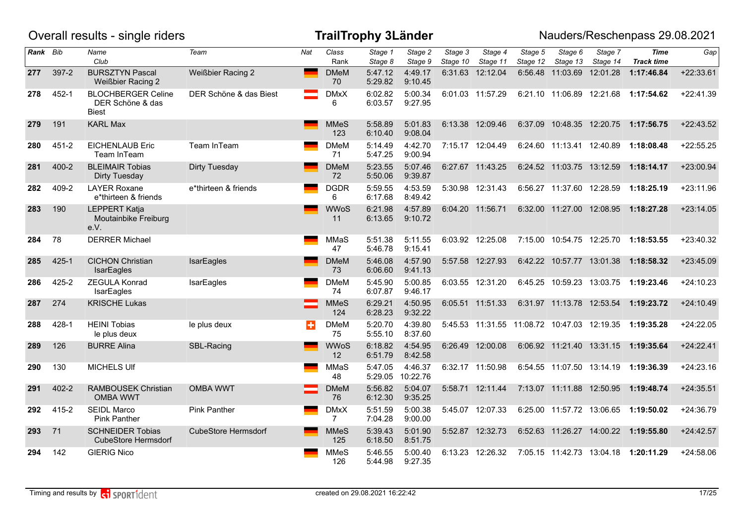|          |           | Overall results - single riders                               |                            |     | <b>TrailTrophy 3Länder</b>    |                    |                     |                     |                                             |                     |                           |                     | Nauders/Reschenpass 29.08.2021          |             |
|----------|-----------|---------------------------------------------------------------|----------------------------|-----|-------------------------------|--------------------|---------------------|---------------------|---------------------------------------------|---------------------|---------------------------|---------------------|-----------------------------------------|-------------|
| Rank Bib |           | Name<br>Club                                                  | Team                       | Nat | Class<br>Rank                 | Stage 1<br>Stage 8 | Stage 2<br>Stage 9  | Stage 3<br>Stage 10 | Stage 4<br>Stage 11                         | Stage 5<br>Stage 12 | Stage 6<br>Stage 13       | Stage 7<br>Stage 14 | <b>Time</b><br><b>Track time</b>        | Gap         |
| 277      | 397-2     | <b>BURSZTYN Pascal</b><br><b>Weißbier Racing 2</b>            | <b>Weißbier Racing 2</b>   |     | <b>DMeM</b><br>70             | 5:47.12<br>5:29.82 | 4:49.17<br>9:10.45  |                     | 6:31.63 12:12.04                            |                     | 6:56.48 11:03.69          | 12:01.28            | 1:17:46.84                              | $+22:33.61$ |
| 278      | 452-1     | <b>BLOCHBERGER Celine</b><br>DER Schöne & das<br><b>Biest</b> | DER Schöne & das Biest     |     | <b>DMxX</b><br>6              | 6:02.82<br>6:03.57 | 5:00.34<br>9:27.95  |                     | 6:01.03 11:57.29                            |                     |                           |                     | 6:21.10 11:06.89 12:21.68 1:17:54.62    | $+22:41.39$ |
| 279      | 191       | <b>KARL Max</b>                                               |                            |     | <b>MMeS</b><br>123            | 5:58.89<br>6:10.40 | 5:01.83<br>9:08.04  |                     | 6:13.38 12:09.46                            |                     | 6:37.09 10:48.35 12:20.75 |                     | 1:17:56.75                              | $+22:43.52$ |
| 280      | $451 - 2$ | <b>EICHENLAUB Eric</b><br>Team InTeam                         | Team InTeam                |     | <b>DMeM</b><br>71             | 5:14.49<br>5:47.25 | 4:42.70<br>9:00.94  |                     | 7:15.17 12:04.49                            |                     | 6:24.60 11:13.41 12:40.89 |                     | 1:18:08.48                              | $+22:55.25$ |
| 281      | $400 - 2$ | <b>BLEIMAIR Tobias</b><br>Dirty Tuesday                       | Dirty Tuesday              |     | <b>DMeM</b><br>72             | 5:23.55<br>5:50.06 | 5:07.46<br>9:39.87  |                     | 6:27.67 11:43.25                            |                     | 6:24.52 11:03.75 13:12.59 |                     | 1:18:14.17                              | $+23:00.94$ |
| 282      | 409-2     | <b>LAYER Roxane</b><br>e*thirteen & friends                   | e*thirteen & friends       |     | <b>DGDR</b><br>6              | 5:59.55<br>6:17.68 | 4:53.59<br>8:49.42  |                     | 5:30.98 12:31.43                            |                     | 6:56.27 11:37.60 12:28.59 |                     | 1:18:25.19                              | $+23:11.96$ |
| 283      | 190       | <b>LEPPERT Katja</b><br>Moutainbike Freiburg<br>e.V.          |                            |     | <b>WWoS</b><br>11             | 6:21.98<br>6:13.65 | 4:57.89<br>9:10.72  |                     | 6:04.20 11:56.71                            |                     |                           |                     | 6:32.00 11:27.00 12:08.95 1:18:27.28    | $+23:14.05$ |
| 284      | 78        | <b>DERRER Michael</b>                                         |                            |     | MMaS<br>47                    | 5:51.38<br>5:46.78 | 5:11.55<br>9:15.41  |                     | 6:03.92 12:25.08                            |                     |                           |                     | 7:15.00  10:54.75  12:25.70  1:18:53.55 | $+23:40.32$ |
| 285      | $425 - 1$ | <b>CICHON Christian</b><br>IsarEagles                         | IsarEagles                 |     | <b>DMeM</b><br>73             | 5:46.08<br>6:06.60 | 4:57.90<br>9:41.13  |                     | 5:57.58 12:27.93                            |                     | 6:42.22 10:57.77 13:01.38 |                     | 1:18:58.32                              | $+23:45.09$ |
| 286      | 425-2     | <b>ZEGULA Konrad</b><br>IsarEagles                            | IsarEagles                 |     | <b>DMeM</b><br>74             | 5:45.90<br>6:07.87 | 5:00.85<br>9:46.17  |                     | 6:03.55 12:31.20                            |                     | 6:45.25 10:59.23 13:03.75 |                     | 1:19:23.46                              | $+24:10.23$ |
| 287      | 274       | <b>KRISCHE Lukas</b>                                          |                            |     | <b>MMeS</b><br>124            | 6:29.21<br>6:28.23 | 4:50.95<br>9:32.22  |                     | 6:05.51 11:51.33                            |                     | 6:31.97 11:13.78 12:53.54 |                     | 1:19:23.72                              | $+24:10.49$ |
| 288      | 428-1     | <b>HEINI Tobias</b><br>le plus deux                           | le plus deux               | н   | <b>DMeM</b><br>75             | 5:20.70<br>5:55.10 | 4:39.80<br>8:37.60  |                     | 5:45.53 11:31.55 11:08.72 10:47.03 12:19.35 |                     |                           |                     | 1:19:35.28                              | $+24:22.05$ |
| 289      | 126       | <b>BURRE Alina</b>                                            | SBL-Racing                 |     | <b>WWoS</b><br>12             | 6:18.82<br>6:51.79 | 4:54.95<br>8:42.58  |                     | 6:26.49 12:00.08                            |                     |                           |                     | 6:06.92 11:21.40 13:31.15 1:19:35.64    | $+24:22.41$ |
| 290      | 130       | <b>MICHELS UIf</b>                                            |                            |     | MMaS<br>48                    | 5:47.05<br>5:29.05 | 4:46.37<br>10:22.76 |                     | 6:32.17 11:50.98                            |                     | 6:54.55 11:07.50 13:14.19 |                     | 1:19:36.39                              | $+24:23.16$ |
| 291      | $402 - 2$ | <b>RAMBOUSEK Christian</b><br><b>OMBA WWT</b>                 | <b>OMBA WWT</b>            |     | <b>DMeM</b><br>76             | 5:56.82<br>6:12.30 | 5:04.07<br>9:35.25  |                     | 5:58.71 12:11.44                            |                     | 7:13.07 11:11.88 12:50.95 |                     | 1:19:48.74                              | $+24:35.51$ |
| 292      | 415-2     | <b>SEIDL Marco</b><br><b>Pink Panther</b>                     | Pink Panther               |     | <b>DMxX</b><br>$\overline{7}$ | 5:51.59<br>7:04.28 | 5:00.38<br>9:00.00  |                     | 5:45.07 12:07.33                            |                     |                           |                     | 6:25.00 11:57.72 13:06.65 1:19:50.02    | $+24:36.79$ |
| 293      | 71        | <b>SCHNEIDER Tobias</b><br><b>CubeStore Hermsdorf</b>         | <b>CubeStore Hermsdorf</b> |     | <b>MMeS</b><br>125            | 5:39.43<br>6:18.50 | 5:01.90<br>8:51.75  |                     | 5:52.87 12:32.73                            |                     |                           |                     | 6:52.63 11:26.27 14:00.22 1:19:55.80    | $+24:42.57$ |
| 294      | 142       | <b>GIERIG Nico</b>                                            |                            |     | MMeS<br>126                   | 5:46.55<br>5:44.98 | 5:00.40<br>9:27.35  |                     | 6:13.23 12:26.32                            |                     | 7:05.15 11:42.73 13:04.18 |                     | 1:20:11.29                              | $+24:58.06$ |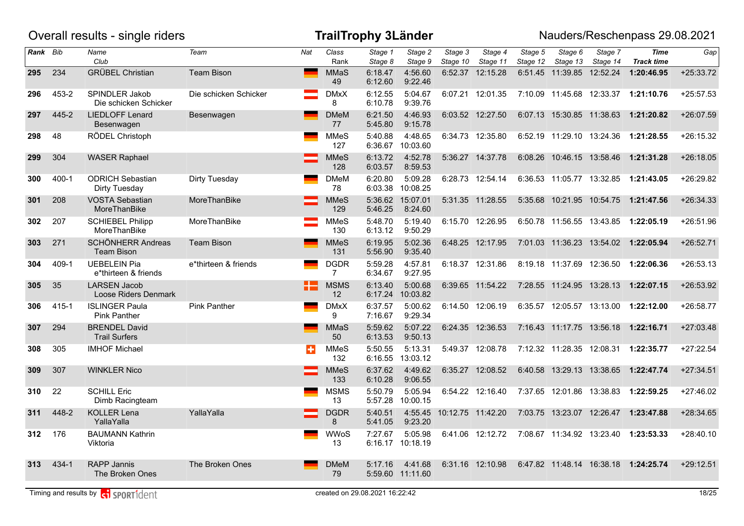|          |           | Overall results - single riders              |                       |     |                                | <b>TrailTrophy 3Länder</b> |                             |                     |                     |                     |                             |                           | Nauders/Reschenpass 29.08.2021       |             |
|----------|-----------|----------------------------------------------|-----------------------|-----|--------------------------------|----------------------------|-----------------------------|---------------------|---------------------|---------------------|-----------------------------|---------------------------|--------------------------------------|-------------|
| Rank Bib |           | Name<br>Club                                 | Team                  | Nat | $\overline{Class}$<br>Rank     | Stage 1<br>Stage 8         | Stage 2<br>Stage 9          | Stage 3<br>Stage 10 | Stage 4<br>Stage 11 | Stage 5<br>Stage 12 | Stage 6<br>Stage 13         | Stage 7<br>Stage 14       | <b>Time</b><br><b>Track time</b>     | Gap         |
| 295      | 234       | <b>GRÜBEL Christian</b>                      | <b>Team Bison</b>     |     | <b>MMaS</b><br>49              | 6:18.47<br>6:12.60         | 4:56.60<br>9:22.46          |                     | 6:52.37 12:15.28    |                     | 6:51.45 11:39.85            | 12:52.24                  | 1:20:46.95                           | $+25:33.72$ |
| 296      | 453-2     | SPINDLER Jakob<br>Die schicken Schicker      | Die schicken Schicker |     | <b>DMxX</b><br>8               | 6:12.55<br>6:10.78         | 5:04.67<br>9:39.76          |                     | 6:07.21 12:01.35    |                     | 7:10.09  11:45.68  12:33.37 |                           | 1:21:10.76                           | $+25:57.53$ |
| 297      | 445-2     | <b>LIEDLOFF Lenard</b><br>Besenwagen         | Besenwagen            |     | <b>DMeM</b><br>77              | 6:21.50<br>5:45.80         | 4:46.93<br>9:15.78          |                     | 6:03.52 12:27.50    |                     | 6:07.13 15:30.85 11:38.63   |                           | 1:21:20.82                           | $+26:07.59$ |
| 298      | 48        | RÖDEL Christoph                              |                       |     | <b>MMeS</b><br>127             | 5:40.88                    | 4:48.65<br>6:36.67 10:03.60 |                     | 6:34.73 12:35.80    |                     | 6:52.19 11:29.10 13:24.36   |                           | 1:21:28.55                           | $+26:15.32$ |
| 299      | 304       | <b>WASER Raphael</b>                         |                       |     | <b>MMeS</b><br>128             | 6:13.72<br>6:03.57         | 4:52.78<br>8:59.53          |                     | 5:36.27 14:37.78    |                     | 6:08.26 10:46.15 13:58.46   |                           | 1:21:31.28                           | $+26:18.05$ |
| 300      | $400 - 1$ | <b>ODRICH Sebastian</b><br>Dirty Tuesday     | Dirty Tuesday         |     | <b>DMeM</b><br>78              | 6:20.80<br>6:03.38         | 5:09.28<br>10:08.25         |                     | 6:28.73 12:54.14    |                     | 6:36.53 11:05.77 13:32.85   |                           | 1:21:43.05                           | +26:29.82   |
| 301      | 208       | <b>VOSTA Sebastian</b><br>MoreThanBike       | MoreThanBike          |     | <b>MMeS</b><br>129             | 5:46.25                    | 5:36.62 15:07.01<br>8:24.60 |                     | 5:31.35 11:28.55    |                     | 5:35.68 10:21.95 10:54.75   |                           | 1:21:47.56                           | $+26:34.33$ |
| 302      | 207       | <b>SCHIEBEL Philipp</b><br>MoreThanBike      | MoreThanBike          |     | MMeS<br>130                    | 5:48.70<br>6:13.12         | 5:19.40<br>9:50.29          |                     | 6:15.70 12:26.95    |                     | 6:50.78 11:56.55 13:43.85   |                           | 1:22:05.19                           | $+26:51.96$ |
| 303      | 271       | SCHÖNHERR Andreas<br><b>Team Bison</b>       | <b>Team Bison</b>     |     | <b>MMeS</b><br>131             | 6:19.95<br>5:56.90         | 5:02.36<br>9:35.40          |                     | 6:48.25 12:17.95    |                     |                             |                           | 7:01.03 11:36.23 13:54.02 1:22:05.94 | $+26:52.71$ |
| 304      | 409-1     | <b>UEBELEIN Pia</b><br>e*thirteen & friends  | e*thirteen & friends  |     | <b>DGDR</b><br>$\overline{7}$  | 5:59.28<br>6:34.67         | 4:57.81<br>9:27.95          |                     | 6:18.37 12:31.86    |                     | 8:19.18 11:37.69 12:36.50   |                           | 1:22:06.36                           | $+26:53.13$ |
| 305      | 35        | <b>LARSEN Jacob</b><br>Loose Riders Denmark  |                       | H   | <b>MSMS</b><br>12 <sup>2</sup> | 6:13.40<br>6:17.24         | 5:00.68<br>10:03.82         |                     | 6:39.65 11:54.22    |                     | 7:28.55 11:24.95 13:28.13   |                           | 1:22:07.15                           | +26:53.92   |
| 306      | 415-1     | <b>ISLINGER Paula</b><br><b>Pink Panther</b> | <b>Pink Panther</b>   |     | <b>DMxX</b><br>9               | 6:37.57<br>7:16.67         | 5:00.62<br>9:29.34          |                     | 6:14.50 12:06.19    |                     |                             |                           | 6:35.57 12:05.57 13:13.00 1:22:12.00 | $+26:58.77$ |
| 307      | 294       | <b>BRENDEL David</b><br><b>Trail Surfers</b> |                       |     | <b>MMaS</b><br>50              | 5:59.62<br>6:13.53         | 5:07.22<br>9:50.13          |                     | 6:24.35 12:36.53    |                     | 7:16.43  11:17.75  13:56.18 |                           | 1:22:16.71                           | $+27:03.48$ |
| 308      | 305       | <b>IMHOF Michael</b>                         |                       | ÷   | <b>MMeS</b><br>132             | 5:50.55<br>6:16.55         | 5:13.31<br>13:03.12         |                     | 5:49.37 12:08.78    |                     | 7:12.32 11:28.35 12:08.31   |                           | 1:22:35.77                           | $+27:22.54$ |
| 309      | 307       | <b>WINKLER Nico</b>                          |                       |     | <b>MMeS</b><br>133             | 6:37.62<br>6:10.28         | 4:49.62<br>9:06.55          |                     | 6:35.27 12:08.52    |                     | 6:40.58 13:29.13 13:38.65   |                           | 1:22:47.74                           | $+27:34.51$ |
| 310      | 22        | <b>SCHILL Eric</b><br>Dimb Racingteam        |                       |     | <b>MSMS</b><br>13              | 5:50.79<br>5:57.28         | 5:05.94<br>10:00.15         |                     | 6:54.22 12:16.40    |                     | 7:37.65 12:01.86 13:38.83   |                           | 1:22:59.25                           | $+27:46.02$ |
| 311      | 448-2     | <b>KOLLER Lena</b><br>YallaYalla             | YallaYalla            |     | <b>DGDR</b><br>8               | 5:40.51<br>5:41.05         | 4:55.45<br>9:23.20          | 10:12.75 11:42.20   |                     |                     |                             |                           | 7:03.75 13:23.07 12:26.47 1:23:47.88 | +28:34.65   |
| 312      | 176       | <b>BAUMANN Kathrin</b><br>Viktoria           |                       |     | <b>WWoS</b><br>13              | 7:27.67<br>6:16.17         | 5:05.98<br>10:18.19         |                     | 6:41.06 12:12.72    |                     |                             | 7:08.67 11:34.92 13:23.40 | 1:23:53.33                           | $+28:40.10$ |
| 313      | $434 - 1$ | <b>RAPP Jannis</b><br>The Broken Ones        | The Broken Ones       |     | <b>DMeM</b><br>79              | 5:17.16                    | 4:41.68<br>5:59.60 11:11.60 |                     | 6:31.16 12:10.98    |                     | 6:47.82  11:48.14  16:38.18 |                           | 1:24:25.74                           | $+29:12.51$ |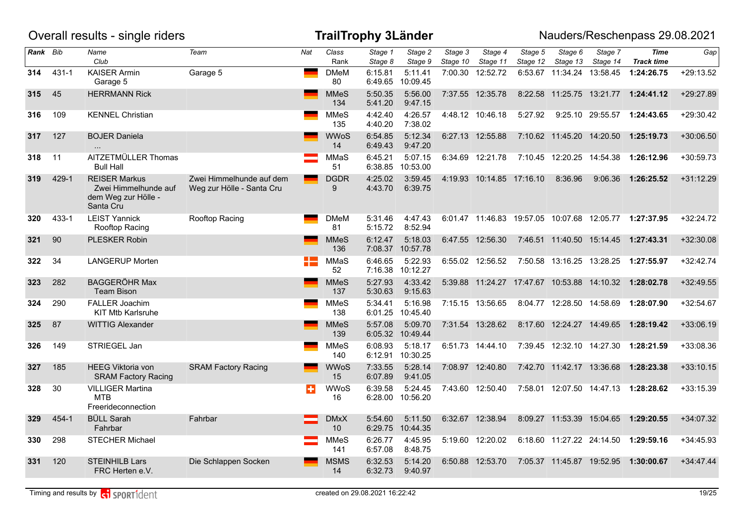|          |           | Overall results - single riders                                                  |                                                       |                 |                                | <b>TrailTrophy 3Länder</b> |                     |                     |                           |                     |                             |                             | Nauders/Reschenpass 29.08.2021                         |             |
|----------|-----------|----------------------------------------------------------------------------------|-------------------------------------------------------|-----------------|--------------------------------|----------------------------|---------------------|---------------------|---------------------------|---------------------|-----------------------------|-----------------------------|--------------------------------------------------------|-------------|
| Rank Bib |           | Name<br>Club                                                                     | Team                                                  | Nat             | Class<br>Rank                  | Stage 1<br>Stage 8         | Stage 2<br>Stage 9  | Stage 3<br>Stage 10 | Stage 4<br>Stage 11       | Stage 5<br>Stage 12 | Stage 6<br>Stage 13         | Stage 7<br>Stage 14         | <b>Time</b><br><b>Track time</b>                       | Gap         |
| 314      | $431 - 1$ | <b>KAISER Armin</b><br>Garage 5                                                  | Garage 5                                              | <b>Contract</b> | <b>DMeM</b><br>80              | 6:15.81<br>6:49.65         | 5:11.41<br>10:09.45 |                     | 7:00.30 12:52.72          |                     | 6:53.67 11:34.24            | 13:58.45                    | 1:24:26.75                                             | $+29:13.52$ |
| 315      | 45        | <b>HERRMANN Rick</b>                                                             |                                                       |                 | <b>MMeS</b><br>134             | 5:50.35<br>5:41.20         | 5:56.00<br>9:47.15  |                     | 7:37.55 12:35.78          |                     |                             |                             | 8:22.58 11:25.75 13:21.77 1:24:41.12                   | +29:27.89   |
| 316      | 109       | <b>KENNEL Christian</b>                                                          |                                                       |                 | <b>MMeS</b><br>135             | 4:42.40<br>4:40.20         | 4:26.57<br>7:38.02  |                     | 4:48.12 10:46.18          | 5:27.92             |                             | 9:25.10 29:55.57            | 1:24:43.65                                             | +29:30.42   |
| 317      | 127       | <b>BOJER Daniela</b><br>$\ddotsc$                                                |                                                       |                 | <b>WWoS</b><br>14              | 6:54.85<br>6:49.43         | 5:12.34<br>9:47.20  |                     | 6:27.13 12:55.88          |                     | 7:10.62 11:45.20 14:20.50   |                             | 1:25:19.73                                             | $+30:06.50$ |
| 318      | 11        | AITZETMÜLLER Thomas<br><b>Bull Hall</b>                                          |                                                       |                 | MMaS<br>51                     | 6:45.21<br>6:38.85         | 5:07.15<br>10:53.00 |                     | 6:34.69 12:21.78          |                     | 7:10.45 12:20.25 14:54.38   |                             | 1:26:12.96                                             | $+30:59.73$ |
| 319      | 429-1     | <b>REISER Markus</b><br>Zwei Himmelhunde auf<br>dem Weg zur Hölle -<br>Santa Cru | Zwei Himmelhunde auf dem<br>Weg zur Hölle - Santa Cru |                 | <b>DGDR</b><br>9               | 4:25.02<br>4:43.70         | 3:59.45<br>6:39.75  |                     | 4:19.93 10:14.85 17:16.10 |                     | 8:36.96                     | 9:06.36                     | 1:26:25.52                                             | $+31:12.29$ |
| 320      | 433-1     | <b>LEIST Yannick</b><br>Rooftop Racing                                           | Rooftop Racing                                        |                 | <b>DMeM</b><br>81              | 5:31.46<br>5:15.72         | 4:47.43<br>8:52.94  |                     |                           |                     |                             |                             | 6:01.47 11:46.83 19:57.05 10:07.68 12:05.77 1:27:37.95 | $+32:24.72$ |
| 321      | 90        | <b>PLESKER Robin</b>                                                             |                                                       |                 | <b>MMeS</b><br>136             | 6:12.47<br>7:08.37         | 5:18.03<br>10:57.78 |                     | 6:47.55 12:56.30          |                     |                             |                             | 7:46.51  11:40.50  15:14.45  1:27:43.31                | +32:30.08   |
| 322      | 34        | <b>LANGERUP Morten</b>                                                           |                                                       |                 | MMaS<br>52                     | 6:46.65<br>7:16.38         | 5:22.93<br>10:12.27 |                     | 6:55.02 12:56.52          |                     |                             | 7:50.58 13:16.25 13:28.25   | 1:27:55.97                                             | $+32:42.74$ |
| 323      | 282       | <b>BAGGERÖHR Max</b><br><b>Team Bison</b>                                        |                                                       |                 | <b>MMeS</b><br>137             | 5:27.93<br>5:30.63         | 4:33.42<br>9:15.63  |                     |                           |                     |                             |                             | 5:39.88 11:24.27 17:47.67 10:53.88 14:10.32 1:28:02.78 | $+32:49.55$ |
| 324      | 290       | <b>FALLER Joachim</b><br><b>KIT Mtb Karlsruhe</b>                                |                                                       |                 | <b>MMeS</b><br>138             | 5:34.41<br>6:01.25         | 5:16.98<br>10:45.40 |                     | 7:15.15 13:56.65          |                     | 8:04.77 12:28.50 14:58.69   |                             | 1:28:07.90                                             | $+32:54.67$ |
| 325      | 87        | <b>WITTIG Alexander</b>                                                          |                                                       |                 | <b>MMeS</b><br>139             | 5:57.08<br>6:05.32         | 5:09.70<br>10:49.44 |                     | 7:31.54 13:28.62          |                     | 8:17.60  12:24.27  14:49.65 |                             | 1:28:19.42                                             | $+33:06.19$ |
| 326      | 149       | STRIEGEL Jan                                                                     |                                                       |                 | <b>MMeS</b><br>140             | 6:08.93<br>6:12.91         | 5:18.17<br>10:30.25 |                     | 6:51.73 14:44.10          |                     |                             | 7:39.45  12:32.10  14:27.30 | 1:28:21.59                                             | +33:08.36   |
| 327      | 185       | <b>HEEG Viktoria von</b><br><b>SRAM Factory Racing</b>                           | <b>SRAM Factory Racing</b>                            |                 | <b>WWoS</b><br>15              | 7:33.55<br>6:07.89         | 5:28.14<br>9:41.05  |                     | 7:08.97 12:40.80          |                     | 7:42.70 11:42.17 13:36.68   |                             | 1:28:23.38                                             | $+33:10.15$ |
| 328      | 30        | <b>VILLIGER Martina</b><br><b>MTB</b><br>Freerideconnection                      |                                                       | н               | <b>WWoS</b><br>16              | 6:39.58<br>6:28.00         | 5:24.45<br>10:56.20 |                     | 7:43.60 12:50.40          |                     |                             | 7:58.01  12:07.50  14:47.13 | 1:28:28.62                                             | $+33:15.39$ |
| 329      | 454-1     | <b>BÜLL Sarah</b><br>Fahrbar                                                     | Fahrbar                                               |                 | <b>DMxX</b><br>10 <sup>°</sup> | 5:54.60<br>6:29.75         | 5:11.50<br>10:44.35 |                     | 6:32.67 12:38.94          |                     | 8:09.27 11:53.39 15:04.65   |                             | 1:29:20.55                                             | $+34:07.32$ |
| 330      | 298       | <b>STECHER Michael</b>                                                           |                                                       |                 | <b>MMeS</b><br>141             | 6:26.77<br>6:57.08         | 4:45.95<br>8:48.75  |                     | 5:19.60 12:20.02          |                     |                             | 6:18.60 11:27.22 24:14.50   | 1:29:59.16                                             | $+34:45.93$ |
| 331      | 120       | <b>STEINHILB Lars</b><br>FRC Herten e.V.                                         | Die Schlappen Socken                                  |                 | <b>MSMS</b><br>14              | 6:32.53<br>6:32.73         | 5:14.20<br>9:40.97  |                     | 6:50.88 12:53.70          |                     | 7:05.37 11:45.87            | 19:52.95                    | 1:30:00.67                                             | $+34:47.44$ |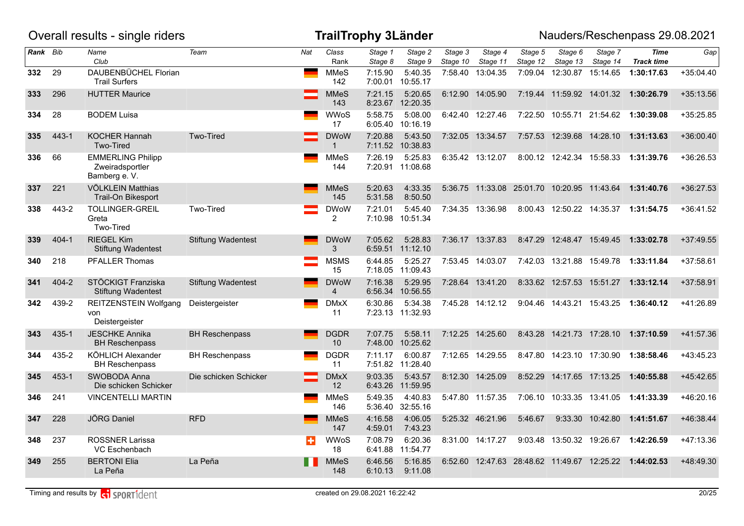|          |           | Overall results - single riders                              |                           |     |                               | <b>TrailTrophy 3Länder</b> |                             |                     |                     |                                             |                             |                           | Nauders/Reschenpass 29.08.2021       |             |
|----------|-----------|--------------------------------------------------------------|---------------------------|-----|-------------------------------|----------------------------|-----------------------------|---------------------|---------------------|---------------------------------------------|-----------------------------|---------------------------|--------------------------------------|-------------|
| Rank Bib |           | Name<br>Club                                                 | Team                      | Nat | Class<br>Rank                 | Stage 1<br>Stage 8         | Stage 2<br>Stage 9          | Stage 3<br>Stage 10 | Stage 4<br>Stage 11 | Stage 5<br>Stage 12                         | Stage 6<br>Stage 13         | Stage 7<br>Stage 14       | <b>Time</b><br><b>Track time</b>     | Gap         |
| 332      | 29        | DAUBENBÜCHEL Florian<br><b>Trail Surfers</b>                 |                           |     | <b>MMeS</b><br>142            | 7:15.90<br>7:00.01         | 5:40.35<br>10:55.17         |                     | 7:58.40 13:04.35    | 7:09.04                                     | 12:30.87 15:14.65           |                           | 1:30:17.63                           | $+35:04.40$ |
| 333      | 296       | <b>HUTTER Maurice</b>                                        |                           |     | <b>MMeS</b><br>143            | 7:21.15<br>8:23.67         | 5:20.65<br>12:20.35         |                     | 6:12.90 14:05.90    |                                             |                             |                           | 7:19.44 11:59.92 14:01.32 1:30:26.79 | $+35:13.56$ |
| 334      | 28        | <b>BODEM Luisa</b>                                           |                           |     | <b>WWoS</b><br>17             | 5:58.75<br>6:05.40         | 5:08.00<br>10:16.19         |                     | 6:42.40 12:27.46    |                                             | 7:22.50 10:55.71 21:54.62   |                           | 1:30:39.08                           | $+35:25.85$ |
| 335      | 443-1     | <b>KOCHER Hannah</b><br>Two-Tired                            | Two-Tired                 |     | <b>DWoW</b><br>$\mathbf{1}$   | 7:20.88                    | 5:43.50<br>7:11.52 10:38.83 |                     | 7:32.05 13:34.57    |                                             | 7:57.53 12:39.68 14:28.10   |                           | 1:31:13.63                           | $+36:00.40$ |
| 336      | 66        | <b>EMMERLING Philipp</b><br>Zweiradsportler<br>Bamberg e. V. |                           |     | <b>MMeS</b><br>144            | 7:26.19                    | 5:25.83<br>7:20.91 11:08.68 |                     | 6:35.42 13:12.07    |                                             | 8:00.12 12:42.34 15:58.33   |                           | 1:31:39.76                           | $+36:26.53$ |
| 337      | 221       | VÖLKLEIN Matthias<br>Trail-On Bikesport                      |                           |     | <b>MMeS</b><br>145            | 5:20.63<br>5:31.58         | 4:33.35<br>8:50.50          |                     |                     | 5:36.75 11:33.08 25:01.70 10:20.95 11:43.64 |                             |                           | 1:31:40.76                           | $+36:27.53$ |
| 338      | 443-2     | <b>TOLLINGER-GREIL</b><br>Greta<br>Two-Tired                 | Two-Tired                 |     | <b>DWoW</b><br>2              | 7:21.01<br>7:10.98         | 5:45.40<br>10:51.34         |                     | 7:34.35 13:36.98    |                                             | 8:00.43 12:50.22 14:35.37   |                           | 1:31:54.75                           | $+36:41.52$ |
| 339      | $404 - 1$ | <b>RIEGEL Kim</b><br><b>Stiftung Wadentest</b>               | <b>Stiftung Wadentest</b> |     | <b>DWoW</b><br>3              | 7:05.62<br>6:59.51         | 5:28.83<br>11:12.10         |                     | 7:36.17 13:37.83    |                                             | 8:47.29 12:48.47 15:49.45   |                           | 1:33:02.78                           | $+37:49.55$ |
| 340      | 218       | PFALLER Thomas                                               |                           |     | <b>MSMS</b><br>15             | 6:44.85<br>7:18.05         | 5:25.27<br>11:09.43         |                     | 7:53.45 14:03.07    |                                             | 7:42.03 13:21.88 15:49.78   |                           | 1:33:11.84                           | $+37:58.61$ |
| 341      | $404 - 2$ | STÖCKIGT Franziska<br><b>Stiftung Wadentest</b>              | <b>Stiftung Wadentest</b> |     | <b>DWoW</b><br>$\overline{4}$ | 7:16.38<br>6:56.34         | 5:29.95<br>10:56.55         |                     | 7:28.64 13:41.20    |                                             | 8:33.62 12:57.53 15:51.27   |                           | 1:33:12.14                           | +37:58.91   |
| 342      | 439-2     | REITZENSTEIN Wolfgang<br>von<br>Deistergeister               | Deistergeister            |     | <b>DMxX</b><br>11             | 6:30.86                    | 5:34.38<br>7:23.13 11:32.93 |                     | 7:45.28 14:12.12    |                                             | 9:04.46  14:43.21  15:43.25 |                           | 1:36:40.12                           | +41:26.89   |
| 343      | 435-1     | <b>JESCHKE Annika</b><br><b>BH Reschenpass</b>               | <b>BH Reschenpass</b>     |     | <b>DGDR</b><br>10             | 7:07.75<br>7:48.00         | 5:58.11<br>10:25.62         |                     | 7:12.25 14:25.60    |                                             | 8:43.28  14:21.73  17:28.10 |                           | 1:37:10.59                           | $+41:57.36$ |
| 344      | 435-2     | KÖHLICH Alexander<br><b>BH Reschenpass</b>                   | <b>BH Reschenpass</b>     |     | <b>DGDR</b><br>11             | 7:11.17<br>7:51.82         | 6:00.87<br>11:28.40         |                     | 7:12.65 14:29.55    |                                             | 8:47.80  14:23.10  17:30.90 |                           | 1:38:58.46                           | $+43:45.23$ |
| 345      | 453-1     | SWOBODA Anna<br>Die schicken Schicker                        | Die schicken Schicker     |     | <b>DMxX</b><br>12             | 9:03.35<br>6:43.26         | 5:43.57<br>11:59.95         |                     | 8:12.30 14:25.09    | 8:52.29                                     | 14:17.65 17:13.25           |                           | 1:40:55.88                           | $+45:42.65$ |
| 346      | 241       | <b>VINCENTELLI MARTIN</b>                                    |                           |     | <b>MMeS</b><br>146            | 5:49.35<br>5:36.40         | 4:40.83<br>32:55.16         |                     | 5:47.80 11:57.35    |                                             |                             | 7:06.10 10:33.35 13:41.05 | 1:41:33.39                           | $+46:20.16$ |
| 347      | 228       | JÖRG Daniel                                                  | <b>RFD</b>                |     | <b>MMeS</b><br>147            | 4:16.58<br>4:59.01         | 4:06.05<br>7:43.23          |                     | 5:25.32 46:21.96    | 5:46.67                                     |                             | 9:33.30 10:42.80          | 1:41:51.67                           | +46:38.44   |
| 348      | 237       | ROSSNER Larissa<br>VC Eschenbach                             |                           | ш   | WWoS<br>18                    | 7:08.79<br>6:41.88         | 6:20.36<br>11:54.77         |                     | 8:31.00 14:17.27    |                                             | 9:03.48 13:50.32 19:26.67   |                           | 1:42:26.59                           | +47:13.36   |
| 349      | 255       | <b>BERTONI Elia</b><br>La Peña                               | La Peña                   |     | <b>MMeS</b><br>148            | 6:46.56<br>6:10.13         | 5:16.85<br>9:11.08          |                     |                     | 6:52.60 12:47.63 28:48.62 11:49.67 12:25.22 |                             |                           | 1:44:02.53                           | +48:49.30   |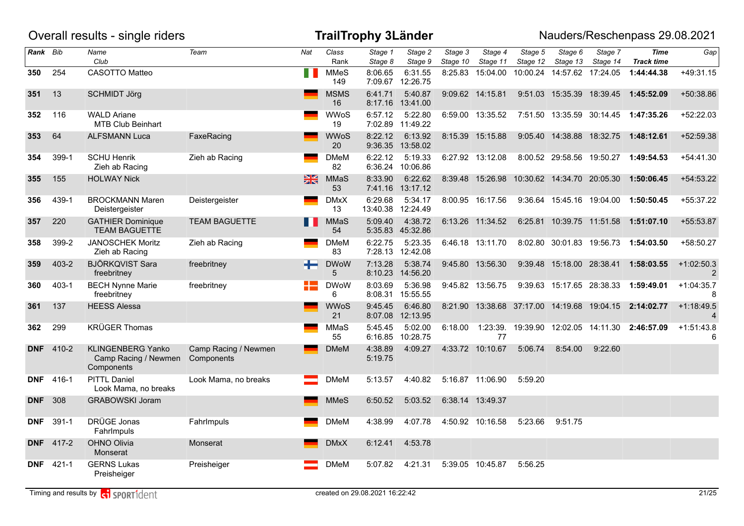|            |           | Overall results - single riders                                |                                    |             |                    | <b>TrailTrophy 3Länder</b> |                             |                     |                                             |                     |                             |                     | Nauders/Reschenpass 29.08.2021                 |                   |
|------------|-----------|----------------------------------------------------------------|------------------------------------|-------------|--------------------|----------------------------|-----------------------------|---------------------|---------------------------------------------|---------------------|-----------------------------|---------------------|------------------------------------------------|-------------------|
| Rank Bib   |           | Name<br>Club                                                   | Team                               | Nat         | Class<br>Rank      | Stage 1<br>Stage 8         | Stage 2<br>Stage 9          | Stage 3<br>Stage 10 | Stage 4<br>Stage 11                         | Stage 5<br>Stage 12 | Stage 6<br>Stage 13         | Stage 7<br>Stage 14 | <b>Time</b><br><b>Track time</b>               | Gap               |
| 350        | 254       | CASOTTO Matteo                                                 |                                    | П           | <b>MMeS</b><br>149 | 8:06.65                    | 6:31.55<br>7:09.67 12:26.75 | 8:25.83             | 15:04.00                                    |                     | 10:00.24 14:57.62           | 17:24.05            | 1:44:44.38                                     | +49:31.15         |
| 351        | 13        | <b>SCHMIDT Jörg</b>                                            |                                    |             | <b>MSMS</b><br>16  | 6:41.71<br>8:17.16         | 5:40.87<br>13:41.00         |                     | 9:09.62 14:15.81                            |                     | 9:51.03  15:35.39  18:39.45 |                     | 1:45:52.09                                     | +50:38.86         |
| 352        | 116       | <b>WALD Ariane</b><br><b>MTB Club Beinhart</b>                 |                                    |             | <b>WWoS</b><br>19  | 6:57.12<br>7:02.89         | 5:22.80<br>11:49.22         |                     | 6:59.00 13:35.52                            |                     | 7:51.50  13:35.59  30:14.45 |                     | 1:47:35.26                                     | +52:22.03         |
| 353        | 64        | <b>ALFSMANN Luca</b>                                           | FaxeRacing                         |             | WWoS<br>20         | 8:22.12                    | 6:13.92<br>9:36.35 13:58.02 |                     | 8:15.39 15:15.88                            |                     | 9:05.40  14:38.88  18:32.75 |                     | 1:48:12.61                                     | +52:59.38         |
| 354        | 399-1     | <b>SCHU Henrik</b><br>Zieh ab Racing                           | Zieh ab Racing                     |             | <b>DMeM</b><br>82  | 6:22.12                    | 5:19.33<br>6:36.24 10:06.86 |                     | 6:27.92 13:12.08                            |                     | 8:00.52 29:58.56 19:50.27   |                     | 1:49:54.53                                     | $+54:41.30$       |
| 355        | 155       | <b>HOLWAY Nick</b>                                             |                                    | $rac{N}{N}$ | <b>MMaS</b><br>53  | 8:33.90                    | 6:22.62<br>7:41.16 13:17.12 |                     | 8:39.48 15:26.98 10:30.62 14:34.70 20:05.30 |                     |                             |                     | 1:50:06.45                                     | +54:53.22         |
| 356        | 439-1     | <b>BROCKMANN Maren</b><br>Deistergeister                       | Deistergeister                     |             | <b>DMxX</b><br>13  | 6:29.68<br>13:40.38        | 5:34.17<br>12:24.49         |                     | 8:00.95 16:17.56                            |                     | 9:36.64 15:45.16 19:04.00   |                     | 1:50:50.45                                     | +55:37.22         |
| 357        | 220       | <b>GATHIER Dominique</b><br><b>TEAM BAGUETTE</b>               | <b>TEAM BAGUETTE</b>               |             | <b>MMaS</b><br>54  | 5:09.40                    | 4:38.72<br>5:35.83 45:32.86 |                     | 6:13.26 11:34.52                            |                     | 6:25.81 10:39.75 11:51.58   |                     | 1:51:07.10                                     | +55:53.87         |
| 358        | 399-2     | <b>JANOSCHEK Moritz</b><br>Zieh ab Racing                      | Zieh ab Racing                     |             | <b>DMeM</b><br>83  | 6:22.75                    | 5:23.35<br>7:28.13 12:42.08 |                     | 6:46.18 13:11.70                            |                     | 8:02.80 30:01.83 19:56.73   |                     | 1:54:03.50                                     | +58:50.27         |
| 359        | $403 - 2$ | <b>BJÖRKQVIST Sara</b><br>freebritney                          | freebritney                        |             | <b>DWoW</b><br>5   | 7:13.28<br>8:10.23         | 5:38.74<br>14:56.20         |                     | 9:45.80 13:56.30                            |                     | 9:39.48 15:18.00 28:38.41   |                     | 1:58:03.55                                     | $+1:02:50.3$<br>2 |
| 360        | $403 - 1$ | <b>BECH Nynne Marie</b><br>freebritney                         | freebritney                        |             | <b>DWoW</b><br>6   | 8:03.69<br>8:08.31         | 5:36.98<br>15:55.55         |                     | 9:45.82 13:56.75                            |                     | 9:39.63 15:17.65 28:38.33   |                     | 1:59:49.01                                     | $+1:04:35.7$<br>8 |
| 361        | 137       | <b>HEESS Alessa</b>                                            |                                    |             | <b>WWoS</b><br>21  | 9:45.45                    | 6:46.80<br>8:07.08 12:13.95 |                     | 8:21.90  13:38.68  37:17.00  14:19.68       |                     |                             | 19:04.15            | 2:14:02.77                                     | $+1:18:49.5$      |
| 362        | 299       | <b>KRÜGER Thomas</b>                                           |                                    |             | MMaS<br>55         | 5:45.45<br>6:16.85         | 5:02.00<br>10:28.75         | 6:18.00             | 77                                          |                     |                             |                     | 1:23:39. 19:39.90 12:02.05 14:11.30 2:46:57.09 | $+1:51:43.8$      |
| <b>DNF</b> | 410-2     | <b>KLINGENBERG Yanko</b><br>Camp Racing / Newmen<br>Components | Camp Racing / Newmen<br>Components |             | <b>DMeM</b>        | 4:38.89<br>5:19.75         | 4:09.27                     |                     | 4:33.72 10:10.67                            | 5:06.74             | 8:54.00                     | 9:22.60             |                                                |                   |
| <b>DNF</b> | 416-1     | <b>PITTL Daniel</b><br>Look Mama, no breaks                    | Look Mama, no breaks               |             | <b>DMeM</b>        | 5:13.57                    | 4:40.82                     |                     | 5:16.87 11:06.90                            | 5:59.20             |                             |                     |                                                |                   |
| <b>DNF</b> | 308       | <b>GRABOWSKI Joram</b>                                         |                                    |             | <b>MMeS</b>        | 6:50.52                    | 5:03.52                     |                     | 6:38.14 13:49.37                            |                     |                             |                     |                                                |                   |
| <b>DNF</b> | $391 - 1$ | DRÜGE Jonas<br>Fahrlmpuls                                      | Fahrlmpuls                         |             | <b>DMeM</b>        | 4:38.99                    | 4:07.78                     |                     | 4:50.92 10:16.58                            | 5:23.66             | 9:51.75                     |                     |                                                |                   |
| <b>DNF</b> | 417-2     | OHNO Olivia<br>Monserat                                        | Monserat                           |             | <b>DMxX</b>        | 6:12.41                    | 4:53.78                     |                     |                                             |                     |                             |                     |                                                |                   |
| <b>DNF</b> | $421 - 1$ | <b>GERNS Lukas</b><br>Preisheiger                              | Preisheiger                        |             | <b>DMeM</b>        | 5:07.82                    | 4:21.31                     |                     | 5:39.05 10:45.87                            | 5:56.25             |                             |                     |                                                |                   |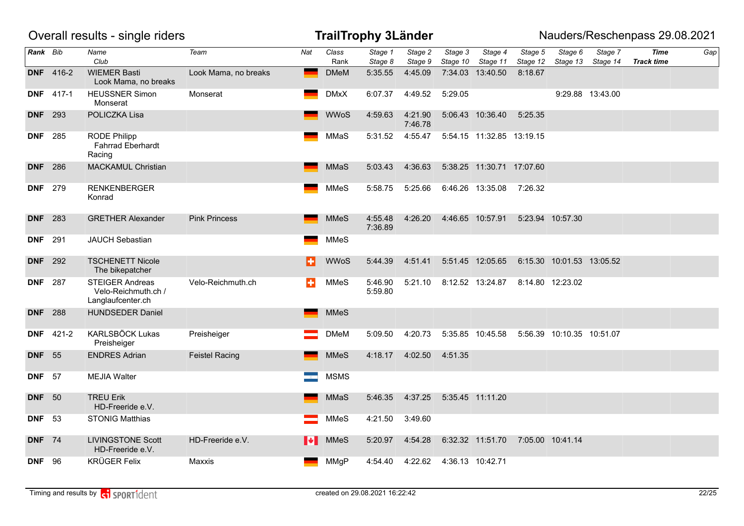|                |                  | Overall results - single riders                                    |                       |     |               | <b>TrailTrophy 3Länder</b> |                    |                     |                           |                     |                           |                     | Nauders/Reschenpass 29.08.2021   |     |
|----------------|------------------|--------------------------------------------------------------------|-----------------------|-----|---------------|----------------------------|--------------------|---------------------|---------------------------|---------------------|---------------------------|---------------------|----------------------------------|-----|
| Rank Bib       |                  | Name<br>Club                                                       | Team                  | Nat | Class<br>Rank | Stage 1<br>Stage 8         | Stage 2<br>Stage 9 | Stage 3<br>Stage 10 | Stage 4<br>Stage 11       | Stage 5<br>Stage 12 | Stage 6<br>Stage 13       | Stage 7<br>Stage 14 | <b>Time</b><br><b>Track time</b> | Gap |
|                | <b>DNF</b> 416-2 | <b>WIEMER Basti</b><br>Look Mama, no breaks                        | Look Mama, no breaks  |     | <b>DMeM</b>   | 5:35.55                    | 4:45.09            |                     | 7:34.03 13:40.50          | 8:18.67             |                           |                     |                                  |     |
|                | <b>DNF</b> 417-1 | <b>HEUSSNER Simon</b><br>Monserat                                  | Monserat              |     | <b>DMxX</b>   | 6:07.37                    | 4:49.52            | 5:29.05             |                           |                     |                           | 9:29.88 13:43.00    |                                  |     |
| <b>DNF</b> 293 |                  | POLICZKA Lisa                                                      |                       |     | <b>WWoS</b>   | 4:59.63                    | 4:21.90<br>7:46.78 |                     | 5:06.43 10:36.40          | 5:25.35             |                           |                     |                                  |     |
| <b>DNF</b> 285 |                  | <b>RODE Philipp</b><br><b>Fahrrad Eberhardt</b><br>Racing          |                       |     | MMaS          | 5:31.52                    | 4:55.47            |                     | 5:54.15 11:32.85 13:19.15 |                     |                           |                     |                                  |     |
| <b>DNF</b> 286 |                  | <b>MACKAMUL Christian</b>                                          |                       |     | <b>MMaS</b>   | 5:03.43                    | 4:36.63            |                     | 5:38.25 11:30.71 17:07.60 |                     |                           |                     |                                  |     |
| <b>DNF</b> 279 |                  | <b>RENKENBERGER</b><br>Konrad                                      |                       |     | <b>MMeS</b>   | 5:58.75                    | 5:25.66            |                     | 6:46.26 13:35.08          | 7:26.32             |                           |                     |                                  |     |
| <b>DNF</b> 283 |                  | <b>GRETHER Alexander</b>                                           | <b>Pink Princess</b>  |     | <b>MMeS</b>   | 4:55.48<br>7:36.89         | 4:26.20            |                     | 4:46.65 10:57.91          |                     | 5:23.94 10:57.30          |                     |                                  |     |
| <b>DNF</b>     | 291              | JAUCH Sebastian                                                    |                       |     | <b>MMeS</b>   |                            |                    |                     |                           |                     |                           |                     |                                  |     |
| <b>DNF</b> 292 |                  | <b>TSCHENETT Nicole</b><br>The bikepatcher                         |                       | H   | <b>WWoS</b>   | 5:44.39                    | 4:51.41            |                     | 5:51.45 12:05.65          |                     | 6:15.30 10:01.53 13:05.52 |                     |                                  |     |
| <b>DNF</b> 287 |                  | <b>STEIGER Andreas</b><br>Velo-Reichmuth.ch /<br>Langlaufcenter.ch | Velo-Reichmuth.ch     | в   | <b>MMeS</b>   | 5:46.90<br>5:59.80         | 5:21.10            |                     | 8:12.52 13:24.87          |                     | 8:14.80 12:23.02          |                     |                                  |     |
| <b>DNF</b>     | 288              | <b>HUNDSEDER Daniel</b>                                            |                       |     | <b>MMeS</b>   |                            |                    |                     |                           |                     |                           |                     |                                  |     |
|                | <b>DNF</b> 421-2 | <b>KARLSBÖCK Lukas</b><br>Preisheiger                              | Preisheiger           |     | <b>DMeM</b>   | 5:09.50                    | 4:20.73            |                     | 5:35.85 10:45.58          |                     | 5:56.39 10:10.35 10:51.07 |                     |                                  |     |
| <b>DNF</b> 55  |                  | <b>ENDRES Adrian</b>                                               | <b>Feistel Racing</b> |     | <b>MMeS</b>   | 4:18.17                    | 4:02.50            | 4:51.35             |                           |                     |                           |                     |                                  |     |
| <b>DNF</b>     | - 57             | <b>MEJIA Walter</b>                                                |                       |     | <b>MSMS</b>   |                            |                    |                     |                           |                     |                           |                     |                                  |     |
| <b>DNF</b> 50  |                  | <b>TREU Erik</b><br>HD-Freeride e.V.                               |                       |     | <b>MMaS</b>   | 5:46.35                    | 4:37.25            |                     | 5:35.45 11:11.20          |                     |                           |                     |                                  |     |
| <b>DNF</b>     | - 53             | <b>STONIG Matthias</b>                                             |                       |     | <b>MMeS</b>   | 4:21.50                    | 3:49.60            |                     |                           |                     |                           |                     |                                  |     |
| <b>DNF</b> 74  |                  | <b>LIVINGSTONE Scott</b><br>HD-Freeride e.V.                       | HD-Freeride e.V.      | M   | <b>MMeS</b>   | 5:20.97                    | 4:54.28            |                     | 6:32.32 11:51.70          |                     | 7:05.00 10:41.14          |                     |                                  |     |
| <b>DNF</b> 96  |                  | <b>KRÜGER Felix</b>                                                | Maxxis                |     | <b>MMgP</b>   | 4:54.40                    | 4:22.62            |                     | 4:36.13 10:42.71          |                     |                           |                     |                                  |     |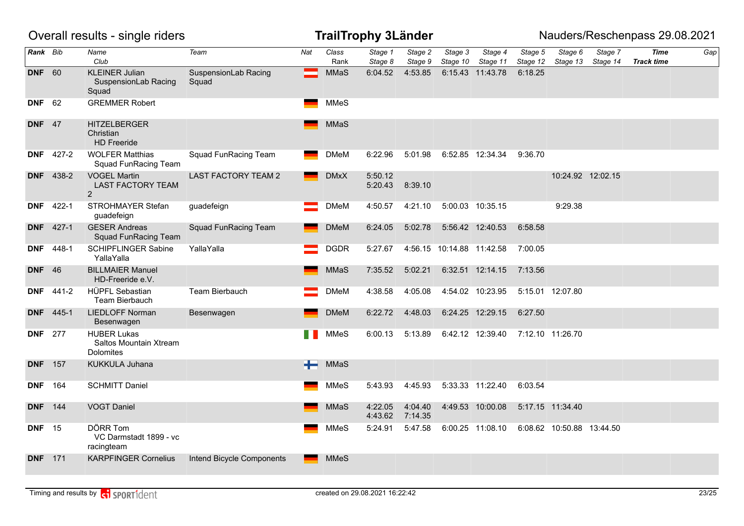|                |                  | Overall results - single riders                           |                               |     |               | <b>TrailTrophy 3Länder</b> |                    |                           |                     |                     |                           |                     | Nauders/Reschenpass 29.08.2021   |     |
|----------------|------------------|-----------------------------------------------------------|-------------------------------|-----|---------------|----------------------------|--------------------|---------------------------|---------------------|---------------------|---------------------------|---------------------|----------------------------------|-----|
| Rank Bib       |                  | Name<br>Club                                              | Team                          | Nat | Class<br>Rank | Stage 1<br>Stage 8         | Stage 2<br>Stage 9 | Stage 3<br>Stage 10       | Stage 4<br>Stage 11 | Stage 5<br>Stage 12 | Stage 6<br>Stage 13       | Stage 7<br>Stage 14 | <b>Time</b><br><b>Track time</b> | Gap |
| <b>DNF</b> 60  |                  | <b>KLEINER Julian</b><br>SuspensionLab Racing<br>Squad    | SuspensionLab Racing<br>Squad |     | MMaS          | 6:04.52                    | 4:53.85            |                           | 6:15.43 11:43.78    | 6:18.25             |                           |                     |                                  |     |
| <b>DNF</b> 62  |                  | <b>GREMMER Robert</b>                                     |                               |     | MMeS          |                            |                    |                           |                     |                     |                           |                     |                                  |     |
| <b>DNF</b> 47  |                  | <b>HITZELBERGER</b><br>Christian<br><b>HD</b> Freeride    |                               |     | MMaS          |                            |                    |                           |                     |                     |                           |                     |                                  |     |
|                | <b>DNF</b> 427-2 | <b>WOLFER Matthias</b><br>Squad FunRacing Team            | <b>Squad FunRacing Team</b>   |     | <b>DMeM</b>   | 6:22.96                    | 5:01.98            |                           | 6:52.85 12:34.34    | 9:36.70             |                           |                     |                                  |     |
|                | <b>DNF</b> 438-2 | <b>VOGEL Martin</b><br><b>LAST FACTORY TEAM</b><br>2      | <b>LAST FACTORY TEAM 2</b>    |     | <b>DMxX</b>   | 5:50.12<br>5:20.43         | 8:39.10            |                           |                     |                     |                           | 10:24.92 12:02.15   |                                  |     |
| DNF            | 422-1            | STROHMAYER Stefan<br>guadefeign                           | guadefeign                    |     | <b>DMeM</b>   | 4:50.57                    | 4:21.10            |                           | 5:00.03 10:35.15    |                     | 9:29.38                   |                     |                                  |     |
| <b>DNF</b>     | $427 - 1$        | <b>GESER Andreas</b><br><b>Squad FunRacing Team</b>       | <b>Squad FunRacing Team</b>   |     | <b>DMeM</b>   | 6:24.05                    | 5:02.78            |                           | 5:56.42 12:40.53    | 6:58.58             |                           |                     |                                  |     |
| <b>DNF</b>     | 448-1            | <b>SCHIPFLINGER Sabine</b><br>YallaYalla                  | YallaYalla                    |     | <b>DGDR</b>   | 5:27.67                    |                    | 4:56.15 10:14.88 11:42.58 |                     | 7:00.05             |                           |                     |                                  |     |
| <b>DNF</b> 46  |                  | <b>BILLMAIER Manuel</b><br>HD-Freeride e.V.               |                               |     | MMaS          | 7:35.52                    | 5:02.21            |                           | 6:32.51 12:14.15    | 7:13.56             |                           |                     |                                  |     |
|                | <b>DNF</b> 441-2 | HÜPFL Sebastian<br><b>Team Bierbauch</b>                  | Team Bierbauch                |     | <b>DMeM</b>   | 4:38.58                    | 4:05.08            |                           | 4:54.02 10:23.95    |                     | 5:15.01 12:07.80          |                     |                                  |     |
| <b>DNF</b>     | 445-1            | <b>LIEDLOFF Norman</b><br>Besenwagen                      | Besenwagen                    |     | <b>DMeM</b>   | 6:22.72                    | 4:48.03            |                           | 6:24.25 12:29.15    | 6:27.50             |                           |                     |                                  |     |
| <b>DNF</b> 277 |                  | <b>HUBER Lukas</b><br>Saltos Mountain Xtream<br>Dolomites |                               |     | MMeS          | 6:00.13                    | 5:13.89            |                           | 6:42.12 12:39.40    |                     | 7:12.10 11:26.70          |                     |                                  |     |
| <b>DNF</b> 157 |                  | KUKKULA Juhana                                            |                               | ÷   | MMaS          |                            |                    |                           |                     |                     |                           |                     |                                  |     |
| <b>DNF</b>     | 164              | <b>SCHMITT Daniel</b>                                     |                               |     | MMeS          | 5:43.93                    | 4:45.93            |                           | 5:33.33 11:22.40    | 6:03.54             |                           |                     |                                  |     |
| <b>DNF</b>     | 144              | <b>VOGT Daniel</b>                                        |                               |     | MMaS          | 4:22.05<br>4:43.62         | 4:04.40<br>7:14.35 |                           | 4:49.53 10:00.08    |                     | 5:17.15 11:34.40          |                     |                                  |     |
| <b>DNF</b>     | - 15             | <b>DÖRR Tom</b><br>VC Darmstadt 1899 - vc<br>racingteam   |                               |     | MMeS          | 5:24.91                    | 5:47.58            |                           | 6:00.25 11:08.10    |                     | 6:08.62 10:50.88 13:44.50 |                     |                                  |     |
| <b>DNF</b> 171 |                  | <b>KARPFINGER Cornelius</b>                               | Intend Bicycle Components     |     | <b>MMeS</b>   |                            |                    |                           |                     |                     |                           |                     |                                  |     |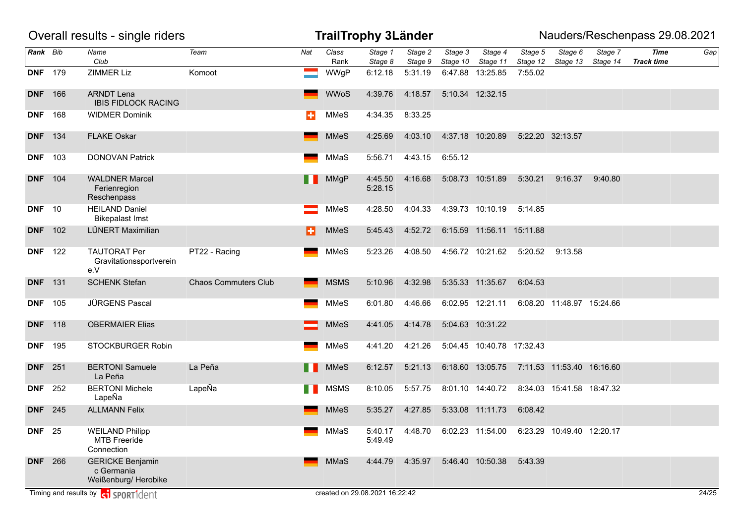|                |     | Overall results - single riders                               |                             |     |               | <b>TrailTrophy 3Länder</b>     |                    |                     |                             |                     |                             |                     | Nauders/Reschenpass 29.08.2021   |       |
|----------------|-----|---------------------------------------------------------------|-----------------------------|-----|---------------|--------------------------------|--------------------|---------------------|-----------------------------|---------------------|-----------------------------|---------------------|----------------------------------|-------|
| Rank Bib       |     | Name<br>Club                                                  | Team                        | Nat | Class<br>Rank | Stage 1<br>Stage 8             | Stage 2<br>Stage 9 | Stage 3<br>Stage 10 | Stage 4<br>Stage 11         | Stage 5<br>Stage 12 | Stage 6<br>Stage 13         | Stage 7<br>Stage 14 | <b>Time</b><br><b>Track time</b> | Gap   |
| <b>DNF</b> 179 |     | <b>ZIMMER Liz</b>                                             | Komoot                      |     | WWgP          | 6:12.18                        | 5:31.19            |                     | 6:47.88 13:25.85            | 7:55.02             |                             |                     |                                  |       |
| <b>DNF</b> 166 |     | <b>ARNDT Lena</b><br><b>IBIS FIDLOCK RACING</b>               |                             |     | <b>WWoS</b>   | 4:39.76                        | 4:18.57            |                     | 5:10.34 12:32.15            |                     |                             |                     |                                  |       |
| <b>DNF</b>     | 168 | <b>WIDMER Dominik</b>                                         |                             | ÷   | MMeS          | 4:34.35                        | 8:33.25            |                     |                             |                     |                             |                     |                                  |       |
| <b>DNF</b> 134 |     | <b>FLAKE Oskar</b>                                            |                             |     | <b>MMeS</b>   | 4:25.69                        | 4:03.10            |                     | 4:37.18 10:20.89            |                     | 5:22.20 32:13.57            |                     |                                  |       |
| <b>DNF</b> 103 |     | <b>DONOVAN Patrick</b>                                        |                             |     | MMaS          | 5:56.71                        | 4:43.15            | 6:55.12             |                             |                     |                             |                     |                                  |       |
| <b>DNF</b> 104 |     | <b>WALDNER Marcel</b><br>Ferienregion<br>Reschenpass          |                             |     | <b>MMgP</b>   | 4:45.50<br>5:28.15             | 4:16.68            |                     | 5:08.73 10:51.89            | 5:30.21             | 9:16.37                     | 9:40.80             |                                  |       |
| <b>DNF</b> 10  |     | <b>HEILAND Daniel</b><br><b>Bikepalast Imst</b>               |                             |     | <b>MMeS</b>   | 4:28.50                        | 4:04.33            |                     | 4:39.73 10:10.19            | 5:14.85             |                             |                     |                                  |       |
| <b>DNF</b> 102 |     | LÜNERT Maximilian                                             |                             | в   | <b>MMeS</b>   | 5:45.43                        | 4:52.72            |                     | 6:15.59  11:56.11  15:11.88 |                     |                             |                     |                                  |       |
| <b>DNF</b> 122 |     | <b>TAUTORAT Per</b><br>Gravitationssportverein<br>e.V         | PT22 - Racing               |     | <b>MMeS</b>   | 5:23.26                        | 4:08.50            |                     | 4:56.72 10:21.62            | 5:20.52             | 9:13.58                     |                     |                                  |       |
| <b>DNF</b> 131 |     | <b>SCHENK Stefan</b>                                          | <b>Chaos Commuters Club</b> |     | <b>MSMS</b>   | 5:10.96                        | 4:32.98            |                     | 5:35.33 11:35.67            | 6:04.53             |                             |                     |                                  |       |
| <b>DNF</b> 105 |     | JÜRGENS Pascal                                                |                             |     | <b>MMeS</b>   | 6:01.80                        | 4:46.66            |                     | 6:02.95 12:21.11            |                     | 6:08.20 11:48.97 15:24.66   |                     |                                  |       |
| <b>DNF</b> 118 |     | <b>OBERMAIER Elias</b>                                        |                             |     | <b>MMeS</b>   | 4:41.05                        | 4:14.78            |                     | 5:04.63 10:31.22            |                     |                             |                     |                                  |       |
| <b>DNF</b> 195 |     | STOCKBURGER Robin                                             |                             |     | MMeS          | 4:41.20                        | 4:21.26            |                     | 5:04.45 10:40.78 17:32.43   |                     |                             |                     |                                  |       |
| <b>DNF</b> 251 |     | <b>BERTONI Samuele</b><br>La Peña                             | La Peña                     | . . | <b>MMeS</b>   | 6:12.57                        | 5:21.13            |                     | 6:18.60 13:05.75            |                     | 7:11.53  11:53.40  16:16.60 |                     |                                  |       |
| <b>DNF</b> 252 |     | <b>BERTONI Michele</b><br>LapeÑa                              | LapeÑa                      | H.  | <b>MSMS</b>   | 8:10.05                        | 5:57.75            |                     | 8:01.10 14:40.72            |                     | 8:34.03  15:41.58  18:47.32 |                     |                                  |       |
| <b>DNF</b> 245 |     | <b>ALLMANN Felix</b>                                          |                             |     | <b>MMeS</b>   | 5:35.27                        | 4:27.85            |                     | 5:33.08 11:11.73            | 6:08.42             |                             |                     |                                  |       |
| <b>DNF</b> 25  |     | <b>WEILAND Philipp</b><br><b>MTB Freeride</b><br>Connection   |                             |     | MMaS          | 5:40.17<br>5:49.49             | 4:48.70            |                     | 6:02.23 11:54.00            |                     | 6:23.29 10:49.40 12:20.17   |                     |                                  |       |
| <b>DNF</b> 266 |     | <b>GERICKE Benjamin</b><br>c Germania<br>Weißenburg/ Herobike |                             |     | MMaS          | 4:44.79                        | 4:35.97            |                     | 5:46.40 10:50.38            | 5:43.39             |                             |                     |                                  |       |
|                |     | Timing and results by <b>c</b> o <b>SPORT1</b> dent           |                             |     |               | created on 29.08.2021 16:22:42 |                    |                     |                             |                     |                             |                     |                                  | 24/25 |